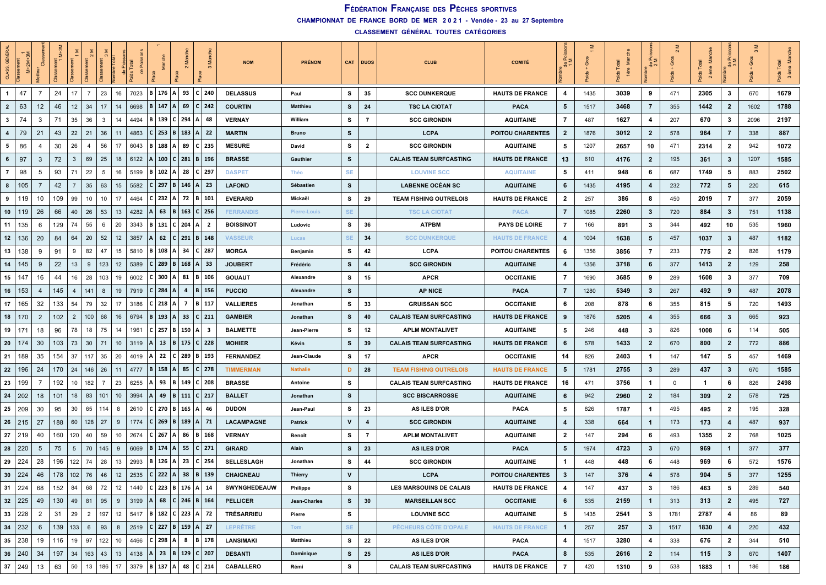**CHAMPIONNAT DE FRANCE BORD DE MER 2 0 2 1 - Vendée - 23 au 27 Septembre**

| CLASS          | ż             | $\overline{O}$    | 专           |                 |                |     |    |      |                |          |                     |                                   | <b>NOM</b>        | <b>PRÉNOM</b>       |           | CAT DUOS                | <b>CLUB</b>                    | <b>COMITÉ</b>           |                | Ō    | Total | ĔΣ<br>용        | ত           | Σ<br>ème<br>$\tilde{\mathbf{Q}}$ | ĔΣ             | ত    | ž.<br>3 ème |
|----------------|---------------|-------------------|-------------|-----------------|----------------|-----|----|------|----------------|----------|---------------------|-----------------------------------|-------------------|---------------------|-----------|-------------------------|--------------------------------|-------------------------|----------------|------|-------|----------------|-------------|----------------------------------|----------------|------|-------------|
| $\mathbf{1}$   | 47            | -7                | 24          | 17              | $\overline{7}$ | 23  | 16 | 7023 | B 176 A 93     |          |                     | $C$   240                         | <b>DELASSUS</b>   | Paul                | s         | 35                      | <b>SCC DUNKERQUE</b>           | <b>HAUTS DE FRANCE</b>  | 4              | 1435 | 3039  | 9              | 471         | 2305                             | 3              | 670  | 1679        |
| $\overline{2}$ | 63            | $12 \overline{ }$ | 46          | 12 <sup>2</sup> | 34             | 17  | 14 | 6698 | B  <br>147     |          | 69                  | $C$   242                         | <b>COURTIN</b>    | <b>Matthieu</b>     | s         | 24                      | <b>TSC LA CIOTAT</b>           | <b>PACA</b>             | 5              | 1517 | 3468  | 7              | 355         | 1442                             | $\overline{2}$ | 1602 | 1788        |
| $\mathbf{3}$   | 74            | 3                 | 71          | 35              | 36             | 3   | 14 | 4494 | 139<br>B       | l C      | 294                 | 48                                | <b>VERNAY</b>     | William             | s         | 7                       | <b>SCC GIRONDIN</b>            | <b>AQUITAINE</b>        | 7              | 487  | 1627  | 4              | 207         | 670                              | 3              | 2096 | 2197        |
| $\overline{4}$ | 79            | 21                | 43          | 22              | 21             | 36  | 11 | 4863 | 253<br>C.      | l B      | 183                 | $A$   22                          | <b>MARTIN</b>     | <b>Bruno</b>        | s         |                         | <b>LCPA</b>                    | <b>POITOU CHARENTES</b> | $\mathbf{2}$   | 1876 | 3012  | $\mathbf{2}$   | 578         | 964                              | $\overline{7}$ | 338  | 887         |
| 5              | 86            | 4                 | 30          | 26              | $\overline{4}$ | 56  | 17 | 6043 | 188<br>  B     |          | A 89                | $C$   235                         | <b>MESURE</b>     | David               | s         | $\overline{\mathbf{2}}$ | <b>SCC GIRONDIN</b>            | <b>AQUITAINE</b>        | 5              | 1207 | 2657  | 10             | 471         | 2314                             | $\overline{2}$ | 942  | 1072        |
| 6              | 97            | 3                 | 72          | $\mathbf{3}$    | 69             | 25  | 18 | 6122 | 100<br>ΙA      | l C l    | 281                 | $B \mid 196$                      | <b>BRASSE</b>     | Gauthier            | s         |                         | <b>CALAIS TEAM SURFCASTING</b> | <b>HAUTS DE FRANCE</b>  | 13             | 610  | 4176  | $\overline{2}$ | 195         | 361                              | $\mathbf{3}$   | 1207 | 1585        |
| $\overline{7}$ | 98            | 5                 | 93          | 71              | 22             | 5   | 16 | 5199 | 102<br>IB.     | l A      | 28                  | $C$ 297                           | <b>DASPET</b>     | Théo                | <b>SE</b> |                         | <b>LOUVINE SCC</b>             | <b>AQUITAINE</b>        | 5              | 411  | 948   | 6              | 687         | 1749                             | 5              | 883  | 2502        |
| 8              | 105           | 7                 | 42          | 7               | 35             | 63  | 15 | 5582 | C.             | 297 B    | 146                 | $A \mid 23$                       | <b>LAFOND</b>     | Sébastien           | s         |                         | <b>LABENNE OCÉAN SC</b>        | <b>AQUITAINE</b>        | 6              | 1435 | 4195  | 4              | 232         | 772                              | 5              | 220  | 615         |
| 9              | 119           | 10                | 109         | 99              | 10             | 10  | 17 | 4464 | C.             |          |                     | 232   A   72   B   101            | <b>EVERARD</b>    | Mickaël             | s         | 29                      | <b>TEAM FISHING OUTRELOIS</b>  | <b>HAUTS DE FRANCE</b>  | $\overline{2}$ | 257  | 386   | 8              | 450         | 2019                             | $\overline{7}$ | 377  | 2059        |
| 10             | 119           | 26                | 66          | 40              | 26             | 53  | 13 | 4282 | 63<br>A        | l B      | 163                 | $C$ 256                           | <b>FERRANDIS</b>  | <b>Pierre-Louis</b> | <b>SE</b> |                         | <b>TSC LA CIOTAT</b>           | <b>PACA</b>             | $\overline{7}$ | 1085 | 2260  | $\mathbf{3}$   | 720         | 884                              | $\mathbf{3}$   | 751  | 1138        |
| 11             | 135           | 6                 | 129         | 74              | 55             | 6   | 20 | 3343 | 131<br>  B     |          | 204                 | 2                                 | <b>BOISSINOT</b>  | Ludovic             | s         | 36                      | <b>ATPBM</b>                   | <b>PAYS DE LOIRE</b>    | 7              | 166  | 891   | 3              | 344         | 492                              | 10             | 535  | 1960        |
| 12             | 136           | 20                | 84          | 64              | 20             | 52  | 12 | 3857 | 62             | C        | 291                 | $B \mid 148$                      | <b>VASSEUR</b>    | Lucas               | <b>SE</b> | 34                      | <b>SCC DUNKERQUE</b>           | <b>HAUTS DE FRANCE</b>  | 4              | 1004 | 1638  | 5              | 457         | 1037                             | $\mathbf{3}$   | 487  | 1182        |
| 13             | 138           | 9                 | 91          | 9               | 82             | 47  | 15 | 5810 | B 108 A 34     |          |                     | $C$   287                         | <b>MORGA</b>      | Benjamin            | s         | 42                      | LCPA                           | <b>POITOU CHARENTES</b> | 6              | 1356 | 3856  | 7              | 233         | 775                              | $\overline{2}$ | 826  | 1179        |
| 14             | 145           | 9                 | 22          | 13              | 9              | 123 | 12 | 5389 | C I            | $289$ B  |                     | 168 A 33                          | <b>JOUBERT</b>    | Frédéric            | s         | 44                      | <b>SCC GIRONDIN</b>            | <b>AQUITAINE</b>        | 4              | 1356 | 3718  | 6              | 377         | 1413                             | $\mathbf{2}$   | 129  | 258         |
| 15             | 147           | 16                | 44          | 16              | 28             | 103 | 19 | 6002 | 300<br>C I     | A        | 81                  | <b>B</b>   106                    | <b>GOUAUT</b>     | Alexandre           | s         | 15                      | <b>APCR</b>                    | <b>OCCITANIE</b>        | 7              | 1690 | 3685  | 9              | 289         | 1608                             | 3              | 377  | 709         |
| 16             | 153           | 4                 | 145         | $\overline{4}$  | 141            | 8   | 19 | 7919 | 284<br>C I     | l A      | $\overline{a}$      | <b>B</b>   156                    | <b>PUCCIO</b>     | Alexandre           | s         |                         | <b>AP NICE</b>                 | <b>PACA</b>             | $\overline{7}$ | 1280 | 5349  | $\mathbf{3}$   | 267         | 492                              | 9              | 487  | 2078        |
| 17             | 165           | 32                | 133         | 54              | 79             | 32  | 17 | 3186 | C I            | $218$ A  | - 7                 | B   117                           | <b>VALLIERES</b>  | Jonathan            | s         | 33                      | <b>GRUISSAN SCC</b>            | <b>OCCITANIE</b>        | 6              | 208  | 878   | 6              | 355         | 815                              | 5              | 720  | 1493        |
| 18             | 170           | $\overline{2}$    | 102         | $\overline{2}$  | 100            | 68  | 16 | 6794 | 193<br>  B     | <b>A</b> | 33                  | $C$   211                         | <b>GAMBIER</b>    | Jonathan            | s         | 40                      | <b>CALAIS TEAM SURFCASTING</b> | <b>HAUTS DE FRANCE</b>  | 9              | 1876 | 5205  | 4              | 355         | 666                              | 3              | 665  | 923         |
| 19             | 17'           | 18                | 96          | 78              | 18             | 75  | 14 | 1961 | 257<br>C.      | l B      | 150                 | 3<br>Α                            | <b>BALMETTE</b>   | Jean-Pierre         | s         | 12                      | <b>APLM MONTALIVET</b>         | <b>AQUITAINE</b>        | 5              | 246  | 448   | 3              | 826         | 1008                             | 6              | 114  | 505         |
| 20             | 174           | 30                | 103         | 73              | 30             | 71  | 10 | 3119 | 13<br>A        | ΙB.      | 175                 | $C$ 228                           | <b>MOHIER</b>     | Kévin               | s         | 39                      | <b>CALAIS TEAM SURFCASTING</b> | <b>HAUTS DE FRANCE</b>  | 6              | 578  | 1433  | $\overline{2}$ | 670         | 800                              | $\mathbf{2}$   | 772  | 886         |
| 21             | 189           | 35                | 154         | -37             | 117            | 35  | 20 | 4019 | 22<br>А        | c        | 289                 | B   193                           | <b>FERNANDEZ</b>  | Jean-Claude         | s         | 17                      | <b>APCR</b>                    | <b>OCCITANIE</b>        | 14             | 826  | 2403  | $\mathbf{1}$   | 147         | 147                              | 5              | 457  | 1469        |
| 22             | 196           | 24                | 170         | 24              | 146            | 26  | 11 | 4777 | <b>B</b> 158 A |          | 85                  | $C$ 278                           | <b>TIMMERMAN</b>  | <b>Nathalie</b>     | D         | 28                      | <b>TEAM FISHING OUTRELOIS</b>  | <b>HAUTS DE FRANCE</b>  | 5              | 1781 | 2755  | 3              | 289         | 437                              | 3              | 670  | 1585        |
| 23             | 199           | -7                | 192         | 10              | 182            | 7   | 23 | 6255 | 93<br>А        | l B      |                     | 149   C   208                     | <b>BRASSE</b>     | Antoine             | s         |                         | <b>CALAIS TEAM SURFCASTING</b> | <b>HAUTS DE FRANCE</b>  | 16             | 471  | 3756  | -1             | $\mathbf 0$ | -1                               | 6              | 826  | 2498        |
| 24             | 202           | 18                | 101         | 18              | 83             | 101 | 10 | 3994 | 49             | l B      |                     | 111   C   217                     | <b>BALLET</b>     | Jonathan            | s         |                         | <b>SCC BISCARROSSE</b>         | <b>AQUITAINE</b>        | 6              | 942  | 2960  | $\mathbf{2}$   | 184         | 309                              | $\mathbf{2}$   | 578  | 725         |
| 25             | 209           | 30                | 95          | 30              | 65             | 114 | 8  | 2610 | C              |          | $270$   B   165   A | -46                               | <b>DUDON</b>      | Jean-Paul           | s         | 23                      | AS ILES D'OR                   | <b>PACA</b>             | 5              | 826  | 1787  | $\mathbf{1}$   | 495         | 495                              | $\mathbf{2}$   | 195  | 328         |
| 26             | 215           | 27                | 188         | 60              | 128            | 27  | 9  | 1774 | C.             |          |                     | 269   B   189   A   71            | <b>LACAMPAGNE</b> | <b>Patrick</b>      | V         | $\overline{4}$          | <b>SCC GIRONDIN</b>            | <b>AQUITAINE</b>        | 4              | 338  | 664   | $\mathbf{1}$   | 173         | 173                              | 4              | 487  | 937         |
| 27             | 219           | 40                | 160         | 120             | 40             | 59  | 10 | 2674 | 267<br>C I     | A        | 86                  | $\mid$ 168<br>в                   | <b>VERNAY</b>     | Benoît              | s         | 7                       | <b>APLM MONTALIVET</b>         | <b>AQUITAINE</b>        | $\overline{2}$ | 147  | 294   | 6              | 493         | 1355                             | $\overline{2}$ | 768  | 1025        |
| 28             | 220           | 5                 | 75          | 5               | 70             | 145 | 9  | 6069 | 174<br>IBI     | ΙA       | 55                  | $C$   271                         | <b>GIRARD</b>     | Alain               | s         | 23                      | <b>AS ILES D'OR</b>            | <b>PACA</b>             | 5              | 1974 | 4723  | $\mathbf{3}$   | 670         | 969                              | $\mathbf{1}$   | 377  | 377         |
| 29             | 224           | 28                | 196         | 122             | 74             | 28  | 13 | 2993 | 126<br>B       | ΙA       | 23                  | 254                               | <b>SELLESLAGH</b> | Jonathan            | s         | 44                      | <b>SCC GIRONDIN</b>            | <b>AQUITAINE</b>        | 1              | 448  | 448   | 6              | 448         | 969                              | 6              | 572  | 1576        |
|                | 30   224      | 46                | 178         | 102             | 76             | 46  | 12 | 2535 | C I            | $222$ A  | 38                  | $B \mid 139$                      | CHAIGNEAU         | <b>Thierry</b>      | v         |                         | <b>LCPA</b>                    | <b>POITOU CHARENTES</b> | 3              | 147  | 376   | 4              | 578         | 904                              | 5              | 377  | 1255        |
|                | $31 \mid 224$ | 68                | $152$ 84    |                 | 68             | 72  | 12 |      |                |          |                     | 1440   C   223   B   176   A   14 | SWYNGHEDEAUW      | Philippe            | s         |                         | LES MARSOUINS DE CALAIS        | <b>HAUTS DE FRANCE</b>  | 4              | 147  | 437   | 3              | 186         | 463                              | 5              | 289  | 540         |
|                | $32 \mid 225$ | 49                | 130         | 49              | 81             | 95  | 9  |      |                |          |                     | 3199   A   68   C   246   B   164 | <b>PELLICER</b>   | Jean-Charles        | s.        | 30                      | <b>MARSEILLAN SCC</b>          | <b>OCCITANIE</b>        | 6              | 535  | 2159  | $\mathbf{1}$   | 313         | 313                              | $\mathbf{2}$   | 495  | 727         |
|                | 33   228      | $\overline{2}$    | 31          | 29              | $\overline{2}$ | 197 | 12 |      |                |          |                     | 5417   B   182   C   223   A   72 | <b>TRÉSARRIEU</b> | Pierre              | s         |                         | <b>LOUVINE SCC</b>             | <b>AQUITAINE</b>        | 5              | 1435 | 2541  | 3              | 1781        | 2787                             | 4              | 86   | 89          |
| 34             | 232           | 6                 | $139$   133 |                 | 6              | 93  | 8  | 2519 |                |          |                     | $ C $ 227   B   159   A   27      | <b>LEPRÊTRE</b>   | Tom                 | SE.       |                         | PÊCHEURS CÔTE D'OPALE          | <b>HAUTS DE FRANCE</b>  | $\mathbf{1}$   | 257  | 257   | $\mathbf{3}$   | 1517        | 1830                             | 4              | 220  | 432         |
|                | $35 \mid 238$ | 19                | $116$   19  |                 | 97             | 122 | 10 |      |                |          |                     | 4466   C   298   A   8   B   178  | LANSIMAKI         | <b>Matthieu</b>     | s         | 22                      | AS ILES D'OR                   | <b>PACA</b>             | 4              | 1517 | 3280  | 4              | 338         | 676                              | $\overline{2}$ | 344  | 510         |
|                | $36 \mid 240$ | 34                | 197         | 34              | 163   43       |     | 13 |      |                |          |                     | 4138   A   23   B   129   C   207 | <b>DESANTI</b>    | Dominique           | s         | 25                      | AS ILES D'OR                   | <b>PACA</b>             | 8              | 535  | 2616  | $\mathbf{2}$   | 114         | 115                              | $\mathbf{3}$   | 670  | 1407        |
|                | $37 \mid 249$ | 13                | 63          | 50              | 13             | 186 | 17 |      |                |          |                     | 3379   B   137   A   48   C   214 | <b>CABALLERO</b>  | Rémi                | s         |                         | <b>CALAIS TEAM SURFCASTING</b> | <b>HAUTS DE FRANCE</b>  | 7              | 420  | 1310  | 9              | 538         | 1883                             | $\mathbf{1}$   | 186  | 186         |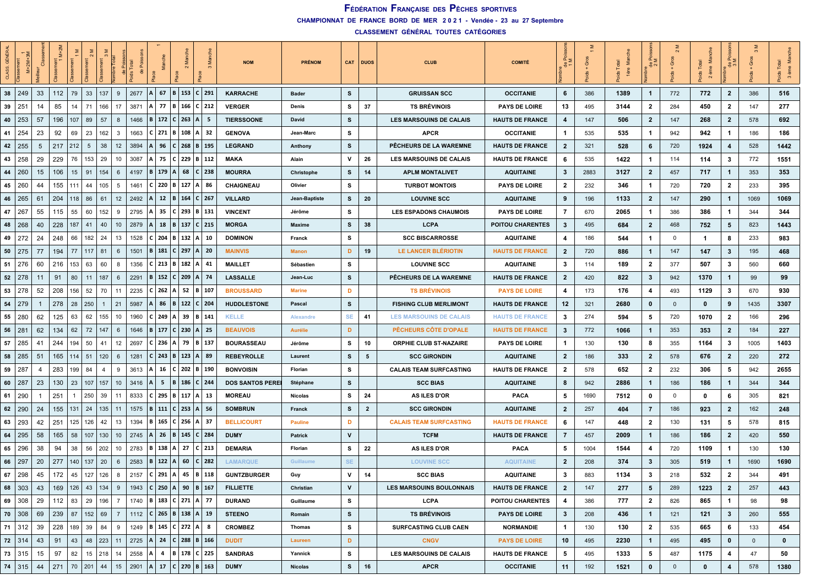**CHAMPIONNAT DE FRANCE BORD DE MER 2 0 2 1 - Vendée - 23 au 27 Septembre**

| ĞÊ<br>CLASS | $M+2M$        |    | ż   |                 |                    |                       |                 |      |                |     |                                                                            |                              | <b>NOM</b>              | <b>PRÉNOM</b>  |              | CAT DUOS     | <b>CLUB</b>                     | <b>COMITÉ</b>           | $\tilde{\sigma}$ $\geq$<br>$\frac{e}{\sigma}$ | উ    | ≅    | 용              |              | ds Total<br>Σ<br>$\overline{\mathbf{c}}$ |                         | Gros           |          |
|-------------|---------------|----|-----|-----------------|--------------------|-----------------------|-----------------|------|----------------|-----|----------------------------------------------------------------------------|------------------------------|-------------------------|----------------|--------------|--------------|---------------------------------|-------------------------|-----------------------------------------------|------|------|----------------|--------------|------------------------------------------|-------------------------|----------------|----------|
|             | $38 \mid 249$ | 33 | 112 | 79              | 33                 | 137<br>9              |                 | 2677 | A              | 67  | B   153   C   291                                                          |                              | <b>KARRACHE</b>         | Bader          | s            |              | <b>GRUISSAN SCC</b>             | <b>OCCITANIE</b>        | 6                                             | 386  | 1389 | $\mathbf{1}$   | 772          | 772                                      | $\overline{2}$          | 386            | 516      |
| 39          | $25^{\circ}$  | 14 | 85  | 14              | 71                 | 166<br>17             |                 | 3871 | A              | 77  | l B                                                                        | 166 C 212                    | <b>VERGER</b>           | Denis          | s            | 37           | <b>TS BRÉVINOIS</b>             | <b>PAYS DE LOIRE</b>    | 13                                            | 495  | 3144 | 2              | 284          | 450                                      | $\overline{2}$          | 147            | 277      |
| 40          | 253           | 57 | 196 | 107             | 89                 | 57<br>8               |                 | 1466 | B.             | 172 | $C$   263                                                                  | -5                           | <b>TIERSSOONE</b>       | David          | s            |              | LES MARSOUINS DE CALAIS         | <b>HAUTS DE FRANCE</b>  | 4                                             | 147  | 506  | $\mathbf{2}$   | 147          | 268                                      | $\overline{2}$          | 578            | 692      |
| 41          | 254           | 23 | 92  | 69              | 23                 | 162<br>3              |                 | 1663 | $C$ 271        |     | <b>B</b> 108                                                               | $A \mid 32$                  | <b>GENOVA</b>           | Jean-Marc      | s            |              | <b>APCR</b>                     | <b>OCCITANIE</b>        | $\mathbf{1}$                                  | 535  | 535  | -1             | 942          | 942                                      | $\mathbf{1}$            | 186            | 186      |
| 42          | 255           | 5  | 217 | 212             | 5                  | 38                    | 12              | 3894 |                | 96  | C<br>268                                                                   | $B \mid 195$                 | <b>LEGRAND</b>          | <b>Anthony</b> | s            |              | PÊCHEURS DE LA WAREMNE          | <b>HAUTS DE FRANCE</b>  | $\overline{2}$                                | 321  | 528  | 6              | 720          | 1924                                     | 4                       | 528            | 1442     |
| 43          | 258           | 29 | 229 | 76              | 153                | 29                    | 10              | 3087 | А              | 75  | 229  <br>C.                                                                | B   112                      | <b>MAKA</b>             | Alain          | v            | -26          | LES MARSOUINS DE CALAIS         | <b>HAUTS DE FRANCE</b>  | 6                                             | 535  | 1422 | -1             | 114          | 114                                      | 3                       | 772            | 1551     |
| 44          | 260           | 15 | 106 | 15 <sub>1</sub> | 91                 | 154<br>6              |                 | 4197 | B              | 179 | $\overline{A}$<br>68                                                       | $C$   238                    | <b>MOURRA</b>           | Christophe     | s            | 14           | <b>APLM MONTALIVET</b>          | <b>AQUITAINE</b>        | $\mathbf{3}$                                  | 2883 | 3127 | $\mathbf{2}$   | 457          | 717                                      | $\mathbf{1}$            | 353            | 353      |
| 45          | 260           | 44 | 155 | 111             | 44                 | 105<br>5              |                 | 1461 |                |     | $220$   B   127   A   86                                                   |                              | CHAIGNEAU               | Olivier        | s            |              | <b>TURBOT MONTOIS</b>           | <b>PAYS DE LOIRE</b>    | $\mathbf{2}$                                  | 232  | 346  | 1              | 720          | 720                                      | $\overline{2}$          | 233            | 395      |
| 46          | 265           | 61 | 204 | 118             | 86                 | 61                    | 12              | 2492 |                | 12  | B                                                                          | 164   C   267                | <b>VILLARD</b>          | Jean-Baptiste  | S,           | 20           | <b>LOUVINE SCC</b>              | <b>AQUITAINE</b>        | 9                                             | 196  | 1133 | $\mathbf{2}$   | 147          | 290                                      | $\mathbf{1}$            | 1069           | 1069     |
| 47          | 267           | 55 | 115 | 55              | 60                 | 152<br>9              |                 | 2795 | A              | 35  | 293                                                                        | B   131                      | <b>VINCENT</b>          | Jérôme         | s            |              | <b>LES ESPADONS CHAUMOIS</b>    | <b>PAYS DE LOIRE</b>    | 7                                             | 670  | 2065 | 1              | 386          | 386                                      | $\mathbf{1}$            | 344            | 344      |
| 48          | 268           | 40 | 228 | 187             | 41                 | 40                    | 10 <sup>°</sup> | 2879 |                | 18  | B<br>137                                                                   | $C$   215                    | <b>MORGA</b>            | <b>Maxime</b>  | s            | 38           | <b>LCPA</b>                     | <b>POITOU CHARENTES</b> | $\mathbf{3}$                                  | 495  | 684  | $\mathbf{2}$   | 468          | 752                                      | 5                       | 823            | 1443     |
| 49          | 272           | 24 | 248 | 66              | 182                | -24                   | 13              | 1528 |                | 204 | 132  <br>ΙB.                                                               | A   10                       | <b>DOMINON</b>          | Franck         | s            |              | <b>SCC BISCARROSSE</b>          | <b>AQUITAINE</b>        | 4                                             | 186  | 544  | 1              | $\mathbf 0$  | -1                                       | 8                       | 233            | 983      |
|             | 50   275      | 77 | 194 | 77              | 117                | 81<br>6               |                 | 1501 | B <sub>1</sub> | 181 | $C$ 297 A 20                                                               |                              | <b>MAINVIS</b>          | <b>Manon</b>   | D            | 19           | LE LANCER BLÉRIOTIN             | <b>HAUTS DE FRANCE</b>  | $\overline{2}$                                | 720  | 886  | $\mathbf{1}$   | 147          | 147                                      | $\mathbf{3}$            | 195            | 468      |
| 51          | 276           | 60 | 216 | 153             | 63                 | 60<br>8               |                 | 1356 | c <sub>1</sub> | 213 | B<br>  182                                                                 | A   41                       | <b>MAILLET</b>          | Sébastien      | s            |              | <b>LOUVINE SCC</b>              | <b>AQUITAINE</b>        | $\mathbf{3}$                                  | 114  | 189  | $\mathbf{2}$   | 377          | 507                                      | 3                       | 560            | 660      |
| 52          | 278           | 11 | 91  | 80              | 11                 | 187<br>6              |                 | 2291 | B              | 152 | $C$ 209                                                                    | $A$   74                     | <b>LASSALLE</b>         | Jean-Luc       | s            |              | PÊCHEURS DE LA WAREMNE          | <b>HAUTS DE FRANCE</b>  | $\overline{2}$                                | 420  | 822  | 3              | 942          | 1370                                     | $\mathbf{1}$            | 99             | 99       |
| 53          | 278           | 52 | 208 | 156             | 52                 | 70                    | 11              | 2235 | C.             | 262 | $\overline{A}$                                                             | $52$   B   107               | <b>BROUSSARD</b>        | <b>Marine</b>  | D            |              | <b>TS BRÉVINOIS</b>             | <b>PAYS DE LOIRE</b>    | 4                                             | 173  | 176  | 4              | 493          | 1129                                     | 3                       | 670            | 930      |
| 54          | 279           | -1 | 278 | 28              | 250                | 21<br>$\mathbf{1}$    |                 | 5987 |                | 86  | B                                                                          | 122 C 204                    | <b>HUDDLESTONE</b>      | Pascal         | s            |              | <b>FISHING CLUB MERLIMONT</b>   | <b>HAUTS DE FRANCE</b>  | 12                                            | 321  | 2680 | $\mathbf 0$    | $\mathbf 0$  | 0                                        | 9                       | 1435           | 3307     |
|             | 55   280      | 62 | 125 | 63              | 62                 | 155                   | 10              | 1960 | C I            | 249 | 39<br>Α                                                                    | B   141                      | <b>KELLE</b>            | Alexandre      | SE.          | 41           | <b>LES MARSOUINS DE CALAIS</b>  | <b>HAUTS DE FRANCE</b>  | $\mathbf{3}$                                  | 274  | 594  | 5              | 720          | 1070                                     | $\mathbf{2}$            | 166            | 296      |
| 56          | 281           | 62 | 134 | 62              | 72                 | 147<br>6              |                 | 1646 | B 177          |     | $C$ 230 A 25                                                               |                              | <b>BEAUVOIS</b>         | <b>Aurélie</b> | D            |              | PÊCHEURS CÔTE D'OPALE           | <b>HAUTS DE FRANCE</b>  | $\boldsymbol{3}$                              | 772  | 1066 | $\mathbf 1$    | 353          | 353                                      | $\overline{2}$          | 184            | 227      |
| 57          | 285           | 41 | 244 | 194             | 50                 | 41                    | 12              | 2697 | C I            | 236 | 79<br>A                                                                    | B   137                      | <b>BOURASSEAU</b>       | Jérôme         | s            | 10           | ORPHIE CLUB ST-NAZAIRE          | <b>PAYS DE LOIRE</b>    | $\mathbf{1}$                                  | 130  | 130  | 8              | 355          | 1164                                     | 3                       | 1005           | 1403     |
| 58          | 285           | 51 | 165 | 114             | 51                 | 120<br>6              |                 | 1281 | C.             | 243 | B   123   A   89                                                           |                              | <b>REBEYROLLE</b>       | Laurent        | s            | 5            | <b>SCC GIRONDIN</b>             | <b>AQUITAINE</b>        | $\overline{2}$                                | 186  | 333  | $\mathbf{2}$   | 578          | 676                                      | $\overline{2}$          | 220            | 272      |
| 59          | 287           | 4  | 283 | 199             | 84                 | 9<br>4                |                 | 3613 | А              | 16  |                                                                            | $202$   B   190              | <b>BONVOISIN</b>        | Florian        | s            |              | <b>CALAIS TEAM SURFCASTING</b>  | <b>HAUTS DE FRANCE</b>  | $\mathbf{2}$                                  | 578  | 652  | $\mathbf{2}$   | 232          | 306                                      | 5                       | 942            | 2655     |
| 60          | 287           | 23 | 130 | 23              | 107                | 157                   | 10              | 3416 |                | 5   | B<br>186                                                                   | $C$   244                    | <b>DOS SANTOS PEREI</b> | Stéphane       | s            |              | <b>SCC BIAS</b>                 | <b>AQUITAINE</b>        | 8                                             | 942  | 2886 | $\mathbf{1}$   | 186          | 186                                      | -1                      | 344            | 344      |
| 61          | 290           |    | 251 | -1              | 250                | 39<br>11              |                 | 8333 | C I            |     | $295$   B   117   A   13                                                   |                              | <b>MOREAU</b>           | <b>Nicolas</b> | s            | 24           | AS ILES D'OR                    | <b>PACA</b>             | 5                                             | 1690 | 7512 | 0              | $\mathbf 0$  | 0                                        | 6                       | 305            | 821      |
|             | 62   290      | 24 | 155 | 131             | 24                 | 135<br>11             |                 | 1575 |                |     | B   111   C   253   A   56                                                 |                              | <b>SOMBRUN</b>          | Franck         | s            | $\mathbf{2}$ | <b>SCC GIRONDIN</b>             | <b>AQUITAINE</b>        | $\overline{2}$                                | 257  | 404  | $\overline{7}$ | 186          | 923                                      | $\overline{2}$          | 162            | 248      |
|             | 63   293      | 42 | 251 | 125             | 126                | 42                    | 13              | 1394 | B              | 165 | $C$ 256 A 37                                                               |                              | <b>BELLICOURT</b>       | <b>Pauline</b> | D            |              | <b>CALAIS TEAM SURFCASTING</b>  | <b>HAUTS DE FRANCE</b>  | 6                                             | 147  | 448  | $\mathbf{2}$   | 130          | 131                                      | 5                       | 578            | 815      |
| 64          | 295           | 58 | 165 | 58              | 107                | 130<br>10             |                 | 2745 | A              | 26  | 145<br>B                                                                   | $C$   284                    | <b>DUMY</b>             | Patrick        | $\mathsf{v}$ |              | <b>TCFM</b>                     | <b>HAUTS DE FRANCE</b>  | $\overline{7}$                                | 457  | 2009 | $\mathbf{1}$   | 186          | 186                                      | $\overline{2}$          | 420            | 550      |
| 65          | 296           | 38 | 94  | 38              | 56                 | 202<br>10             |                 | 2783 | В.             | 138 | 27<br>Α                                                                    | $C$   213                    | <b>DEMARIA</b>          | Florian        | s            | 22           | <b>AS ILES D'OR</b>             | <b>PACA</b>             | 5                                             | 1004 | 1544 | 4              | 720          | 1109                                     | $\mathbf{1}$            | 130            | 130      |
| 66          | 297           | 20 | 277 | 140             | 137                | 20<br>6               |                 | 2583 | в              | 122 | $\overline{A}$<br>60                                                       | $C$   282                    | <b>LAMARQUE</b>         | Guillaume      | <b>SE</b>    |              | <b>LOUVINE SCC</b>              | <b>AQUITAINE</b>        | $\overline{2}$                                | 208  | 374  | 3              | 305          | 519                                      | $\mathbf{1}$            | 1690           | 1690     |
|             | $67$   298    | 45 | 172 | 45              | 127                | 126<br>8              |                 | 2157 | $C$ 291        |     | A  <br>45                                                                  | B   118                      | <b>GUNTZBURGER</b>      | Guy            | v            | 14           | <b>SCC BIAS</b>                 | <b>AQUITAINE</b>        | $\mathbf{3}$                                  | 883  | 1134 | 3              | 218          | 532                                      | $\overline{\mathbf{2}}$ | 344            | 491      |
|             | 68 303        | 43 | 169 | 126             | 43                 | 134<br>9              |                 | 1943 |                |     | C   250   A   90   B   167                                                 |                              | <b>FILLIETTE</b>        | Christian      | $\mathsf{v}$ |              | <b>LES MARSOUINS BOULONNAIS</b> | <b>HAUTS DE FRANCE</b>  | $\overline{2}$                                | 147  | 277  | 5              | 289          | 1223                                     | $\overline{2}$          | 257            | 443      |
| 69          | 308           | 29 | 112 | 83              | 29                 | 196<br>$\overline{7}$ |                 |      |                |     | 1740   B   183   C   271   A   77                                          |                              | <b>DURAND</b>           | Guillaume      | s            |              | <b>LCPA</b>                     | POITOU CHARENTES        | 4                                             | 386  | 777  | $\mathbf{2}$   | 826          | 865                                      | $\mathbf{1}$            | 98             | 98       |
| 70          | 308           | 69 | 239 | 87              | 152   69           | $\overline{7}$        |                 | 1112 |                |     | C   265   B   138   A   19                                                 |                              | <b>STEENO</b>           | Romain         | s            |              | <b>TS BRÉVINOIS</b>             | <b>PAYS DE LOIRE</b>    | $\mathbf{3}$                                  | 208  | 436  | $\mathbf{1}$   | 121          | 121                                      | $\mathbf{3}$            | 260            | 555      |
|             | 71 312        | 39 | 228 | 189 39          |                    | 84<br>9               |                 |      |                |     | 1249   <b>B</b>   <b>145</b>   <b>C</b>   <b>272</b>   <b>A</b>   <b>8</b> |                              | <b>CROMBEZ</b>          | <b>Thomas</b>  | s            |              | <b>SURFCASTING CLUB CAEN</b>    | NORMANDIE               | $\mathbf{1}$                                  | 130  | 130  | $\mathbf{2}$   | 535          | 665                                      | 6                       | 133            | 454      |
|             | 72 314        | 43 | 91  | 43              | 48                 | 223<br>11             |                 | 2725 |                |     |                                                                            | $ A $ 24   C   288   B   166 | <b>DUDIT</b>            | Laureen        | D            |              | <b>CNGV</b>                     | <b>PAYS DE LOIRE</b>    | 10                                            | 495  | 2230 | $\mathbf{1}$   | 495          | 495                                      | $\mathbf{0}$            | $\overline{0}$ | $\bf{0}$ |
|             | 73 315        | 15 | 97  | 82              | $15 \mid 218 \mid$ | 14                    |                 | 2558 |                |     | A  4  B 178  C 225                                                         |                              | <b>SANDRAS</b>          | Yannick        | s            |              | <b>LES MARSOUINS DE CALAIS</b>  | <b>HAUTS DE FRANCE</b>  | 5                                             | 495  | 1333 | 5              | 487          | 1175                                     | 4                       | 47             | 50       |
|             | $74 \mid 315$ | 44 | 271 | 70 201          |                    | 44                    | 15              | 2901 | A              | 17  |                                                                            | $ C $ 270   B   163          | <b>DUMY</b>             | <b>Nicolas</b> | S            | 16           | <b>APCR</b>                     | <b>OCCITANIE</b>        | 11                                            | 192  | 1521 | $\bf{0}$       | $\mathbf{0}$ | $\mathbf{0}$                             | 4                       | 578            | 1380     |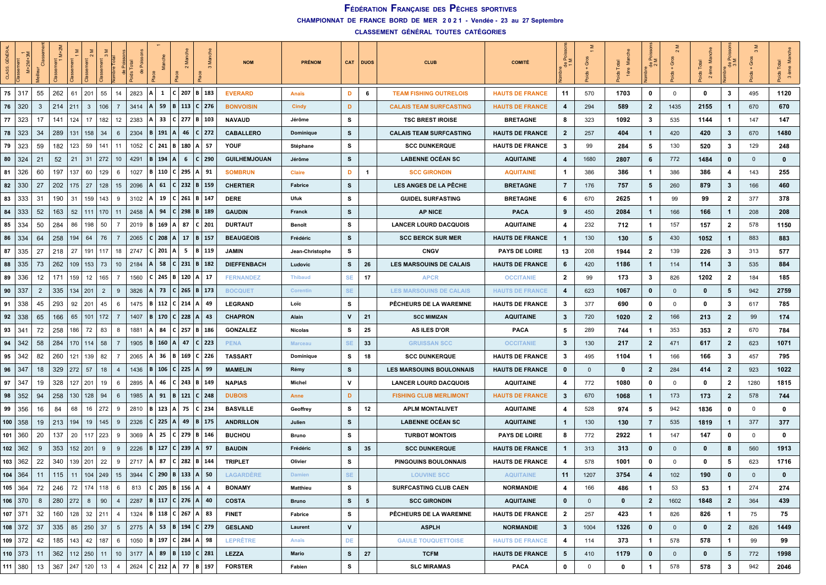**CHAMPIONNAT DE FRANCE BORD DE MER 2 0 2 1 - Vendée - 23 au 27 Septembre**

| 숑<br>CLASS. |                |    | $M+2M$ |           |                |                       | Total | 용    | Mar                |                |                                   |         |           | <b>NOM</b>          | <b>PRÉNOM</b>    |              | CAT DUOS        | <b>CLUB</b>                     | <b>COMITÉ</b>          | $rac{p}{\theta}$ $\geq$ | উ            | Ξ        | 용              |              | ds Total<br>Σ<br>ème<br>$\mathbf{\Omega}$ | cз             | উ            |          |
|-------------|----------------|----|--------|-----------|----------------|-----------------------|-------|------|--------------------|----------------|-----------------------------------|---------|-----------|---------------------|------------------|--------------|-----------------|---------------------------------|------------------------|-------------------------|--------------|----------|----------------|--------------|-------------------------------------------|----------------|--------------|----------|
| 75 317      |                | 55 | 262    | 61        | 201            | 55<br>14              |       | 2823 | $\mathbf{1}$<br>Al |                | $C$ 207 B 183                     |         |           | <b>EVERARD</b>      | <b>Anaïs</b>     | D            | 6               | <b>TEAM FISHING OUTRELOIS</b>   | <b>HAUTS DE FRANCE</b> | 11                      | 570          | 1703     | 0              | $\mathbf 0$  | 0                                         | 3              | 495          | 1120     |
| 76          | 320            | 3  | 214    | 211       | $\overline{3}$ | 106<br>$\overline{7}$ |       | 3414 | 59                 |                | B   113   C   276                 |         |           | <b>BONVOISIN</b>    | <b>Cindy</b>     | D            |                 | <b>CALAIS TEAM SURFCASTING</b>  | <b>HAUTS DE FRANCE</b> | $\overline{4}$          | 294          | 589      | $\mathbf{2}$   | 1435         | 2155                                      | $\mathbf{1}$   | 670          | 670      |
| 77          | 323            | 17 | 141    | 124       | 17             | 182<br>12             |       | 2383 | 33                 |                | $C$ 277   B   103                 |         |           | <b>NAVAUD</b>       | Jérôme           | s            |                 | <b>TSC BREST IROISE</b>         | <b>BRETAGNE</b>        | 8                       | 323          | 1092     | 3              | 535          | 1144                                      | $\mathbf{1}$   | 147          | 147      |
| 78          | 323            | 34 | 289    | 131       | 158            | 34<br>6               |       | 2304 | B   191   A        |                | 46                                |         | $C$   272 | <b>CABALLERO</b>    | <b>Dominique</b> | s            |                 | <b>CALAIS TEAM SURFCASTING</b>  | <b>HAUTS DE FRANCE</b> | $\overline{2}$          | 257          | 404      | $\mathbf{1}$   | 420          | 420                                       | $\mathbf{3}$   | 670          | 1480     |
| 79          | 323            | 59 | 182    | 123       | 59             | 141<br>11             |       | 1052 | $C$ 241            |                | B 180 A 57                        |         |           | <b>YOUF</b>         | Stéphane         | s            |                 | <b>SCC DUNKERQUE</b>            | <b>HAUTS DE FRANCE</b> | 3                       | 99           | 284      | 5              | 130          | 520                                       | 3              | 129          | 248      |
| 80          | 324            | 21 | 52     | 21        | 31             | 272<br>10             |       | 4291 | 194<br>B.          | A              | 6                                 |         | $C$ 290   | <b>GUILHEMJOUAN</b> | Jérôme           | s            |                 | <b>LABENNE OCÉAN SC</b>         | <b>AQUITAINE</b>       | 4                       | 1680         | 2807     | 6              | 772          | 1484                                      | 0              | $\mathbf{0}$ | $\bf{0}$ |
| 81          | 326            | 60 | 197    | 137       | 60             | 129<br>6              |       | 1027 | <b>B</b> 110       |                | $C$ 295 A 91                      |         |           | <b>SOMBRUN</b>      | Claire           | D            | 1               | <b>SCC GIRONDIN</b>             | <b>AQUITAINE</b>       | $\mathbf{1}$            | 386          | 386      | $\mathbf 1$    | 386          | 386                                       | 4              | 143          | 255      |
| 82          | 330            | 27 | 202    | 175       | 27             | 128<br>15             |       | 2096 | 61                 |                | $C$   232   B   159               |         |           | <b>CHERTIER</b>     | Fabrice          | s            |                 | <b>LES ANGES DE LA PÊCHE</b>    | <b>BRETAGNE</b>        | $\overline{7}$          | 176          | 757      | 5              | 260          | 879                                       | $\mathbf{3}$   | 166          | 460      |
| 83          | 333            | 31 | 190    | 31        | 159            | 143<br>9              |       | 3102 | 19<br>А            |                | $ C $ 261   B   147               |         |           | <b>DERE</b>         | Ufuk             | s            |                 | <b>GUIDEL SURFASTING</b>        | <b>BRETAGNE</b>        | 6                       | 670          | 2625     | $\mathbf 1$    | 99           | 99                                        | $\overline{2}$ | 377          | 378      |
| 84          | 333            | 52 | 163    | 52        | 111            | 170<br>11             |       | 2458 | 94                 |                | $C$ 298 B 189                     |         |           | <b>GAUDIN</b>       | Franck           | s            |                 | <b>AP NICE</b>                  | <b>PACA</b>            | 9                       | 450          | 2084     | $\mathbf 1$    | 166          | 166                                       | $\overline{1}$ | 208          | 208      |
| 85          | 334            | 50 | 284    | 86        | 198            | 50<br>$\overline{7}$  |       | 2019 | <b>B</b> 169       | $\Delta$       | 87                                |         | $C$   201 | <b>DURTAUT</b>      | Benoît           | s            |                 | <b>LANCER LOURD DACQUOIS</b>    | <b>AQUITAINE</b>       | 4                       | 232          | 712      | -1             | 157          | 157                                       | $\overline{2}$ | 578          | 1150     |
| 86          | 334            | 64 | 258    | 194       | 64             | 76                    |       | 2065 | C 208              | $\mathsf{A}$   | 17                                | B   157 |           | <b>BEAUGEOIS</b>    | Frédéric         | s            |                 | <b>SCC BERCK SUR MER</b>        | <b>HAUTS DE FRANCE</b> | $\mathbf{1}$            | 130          | 130      | 5              | 430          | 1052                                      | $\overline{1}$ | 883          | 883      |
| 87          | 335            | 27 | 218    | 27        | 191            | 117<br>18             |       | 2747 | $C$ 201            | A <sub>1</sub> | 5   B   119                       |         |           | <b>JAMIN</b>        | Jean-Christophe  | s            |                 | <b>CNGV</b>                     | <b>PAYS DE LOIRE</b>   | 13                      | 208          | 1944     | 2              | 139          | 226                                       | 3              | 313          | 577      |
| 88          | 335            | 73 | 262    | 109       | 153            | 73<br>10 <sup>°</sup> |       | 2184 | 58                 |                | $C$ 231 B 32                      |         |           | <b>DIEFFENBACH</b>  | Ludovic          | s            | 26              | LES MARSOUINS DE CALAIS         | <b>HAUTS DE FRANCE</b> | 6                       | 420          | 1186     | $\mathbf 1$    | 114          | 114                                       | $\mathbf{3}$   | 535          | 884      |
| 89          | 336            | 12 | 171    | 159       | 12             | 165<br>$\overline{7}$ |       | 1560 | $C$ 245            |                | B   120   A   17                  |         |           | <b>FERNANDEZ</b>    | <b>Thibaud</b>   | <b>SE</b>    | 17              | <b>APCR</b>                     | <b>OCCITANIE</b>       | $\mathbf{2}$            | 99           | 173      | 3              | 826          | 1202                                      | $\mathbf{2}$   | 184          | 185      |
| 90          | 337            | 2  | 335    | 134   201 |                | $\overline{2}$<br>9   |       | 3826 | 73                 |                | $C$ 265 B 173                     |         |           | <b>BOCQUET</b>      | Corentin         | SE.          |                 | <b>LES MARSOUINS DE CALAIS</b>  | <b>HAUTS DE FRANCE</b> | 4                       | 623          | 1067     | 0              | $\mathbf{0}$ | 0                                         | 5              | 942          | 2759     |
| 91          | 338            | 45 | 293    |           | $92$   201     | 45<br>6               |       | 1475 |                    |                | B   112   C   214   A   49        |         |           | <b>LEGRAND</b>      | Loïc             | s            |                 | PÊCHEURS DE LA WAREMNE          | <b>HAUTS DE FRANCE</b> | $\mathbf{3}$            | 377          | 690      | 0              | 0            | 0                                         | 3              | 617          | 785      |
| 92          | 338            | 65 | 166    | 65        | 101            | 172<br>-7             |       | 1407 | <b>B</b>   170     |                | $ C $ 228   A                     |         | 43        | <b>CHAPRON</b>      | Alain            | v            | 21              | <b>SCC MIMIZAN</b>              | <b>AQUITAINE</b>       | $\mathbf{3}$            | 720          | 1020     | $\mathbf{2}$   | 166          | 213                                       | $\overline{2}$ | 99           | 174      |
| 93          | l 341          | 72 | 258    | 186       | 72             | 83<br>8               |       | 1881 | 84                 |                | $C$   257   B   186               |         |           | <b>GONZALEZ</b>     | <b>Nicolas</b>   | s            | 25              | <b>AS ILES D'OR</b>             | <b>PACA</b>            | 5                       | 289          | 744      | $\mathbf{1}$   | 353          | 353                                       | $\overline{2}$ | 670          | 784      |
| 94          | 342            | 58 | 284    | 170       | 114            | 58<br>-7              |       | 1905 | <b>B</b> 160       | $\mathsf{A}$   | 47                                |         | $C$ 223   | <b>PENA</b>         | <b>Marceau</b>   | SE           | 33              | <b>GRUISSAN SCC</b>             | <b>OCCITANIE</b>       | $\mathbf{3}$            | 130          | 217      | $\mathbf{2}$   | 471          | 617                                       | $\overline{2}$ | 623          | 1071     |
| 95          | 342            | 82 | 260    | 121       | 139            | 82<br>7               |       | 2065 | 36                 | В              | 169 C 226                         |         |           | <b>TASSART</b>      | Dominique        | s            | 18              | <b>SCC DUNKERQUE</b>            | <b>HAUTS DE FRANCE</b> | $\mathbf{3}$            | 495          | 1104     | -1             | 166          | 166                                       | 3              | 457          | 795      |
| 96          | 347            | 18 | 329    | 272       | 57             | 18<br>$\overline{4}$  |       | 1436 | $B \mid 106$       |                | $C$ 225 A 99                      |         |           | <b>MAMELIN</b>      | Rémy             | s            |                 | <b>LES MARSOUINS BOULONNAIS</b> | <b>HAUTS DE FRANCE</b> | $\mathbf 0$             | $\mathbf 0$  | 0        | $\mathbf{2}$   | 284          | 414                                       | $\overline{2}$ | 923          | 1022     |
| 97          | -347           | 19 | 328    | 127       | 201            | 19<br>6               |       | 2895 | 46                 | C              | $243$ B 149                       |         |           | <b>NAPIAS</b>       | Michel           | v            |                 | <b>LANCER LOURD DACQUOIS</b>    | <b>AQUITAINE</b>       | 4                       | 772          | 1080     | $\mathbf{0}$   | $\mathbf 0$  | 0                                         | $\overline{2}$ | 1280         | 1815     |
| 98          | 352            | 94 | 258    | 130       | 128            | 94<br>6               |       | 1985 | 91                 | B              | 121   C   248                     |         |           | <b>DUBOIS</b>       | Anne             | D            |                 | <b>FISHING CLUB MERLIMONT</b>   | <b>HAUTS DE FRANCE</b> | 3                       | 670          | 1068     | -1             | 173          | 173                                       | $\overline{2}$ | 578          | 744      |
| 99          | 356            | 16 | 84     | 68        | 16             | 272<br>9              |       | 2810 | 123<br><b>B</b>    | $\mathsf{A}$   | 75                                |         | $C$ 234   | <b>BASVILLE</b>     | Geoffrey         | s            | 12              | <b>APLM MONTALIVET</b>          | <b>AQUITAINE</b>       | 4                       | 528          | 974      | 5              | 942          | 1836                                      | $\mathbf 0$    | 0            | $\bf{0}$ |
|             | 100   358      | 19 | 213    | 194       | 19             | 145<br>9              |       | 2326 | $C$ 225 A 49       |                |                                   |         | B 175     | <b>ANDRILLON</b>    | Julien           | s            |                 | <b>LABENNE OCÉAN SC</b>         | <b>AQUITAINE</b>       | $\mathbf{1}$            | 130          | 130      | 7              | 535          | 1819                                      | $\overline{1}$ | 377          | 377      |
|             | 101   360      | 20 | 137    | 20        | $117 \mid 223$ | 9                     |       | 3069 | 25                 |                | $C$   279   B   146               |         |           | <b>BUCHOU</b>       | Bruno            | s            |                 | <b>TURBOT MONTOIS</b>           | <b>PAYS DE LOIRE</b>   | 8                       | 772          | 2922     | $\mathbf{1}$   | 147          | 147                                       | $\mathbf{0}$   | $^{\circ}$   | 0        |
|             | $102$ 362      | -9 | 353    | 152       | 201            | 9<br>9                |       | 2226 | $B \mid 127$       |                | $C$ 239 A                         |         | - 97      | <b>BAUDIN</b>       | Frédéric         | s            | 35              | <b>SCC DUNKERQUE</b>            | <b>HAUTS DE FRANCE</b> | $\mathbf{1}$            | 313          | 313      | 0              | $\mathbf 0$  | 0                                         | 8              | 560          | 1913     |
|             | 103   362      | 22 | 340    | 139       | 201            | 22<br>9               |       | 2717 | 87                 |                | $C$   282   B   144               |         |           | <b>TRIPLET</b>      | Olivier          | s            |                 | PINGOUINS BOULONNAIS            | <b>HAUTS DE FRANCE</b> | 4                       | 578          | 1001     | $\mathbf{0}$   | 0            | 0                                         | 5              | 623          | 1716     |
|             | 104   364      | 11 | 115    | 11        | $104$   249    | 15                    |       | 3944 |                    |                | C   290   B   133   A   50        |         |           | <b>LAGARDERE</b>    | <b>Damien</b>    | <b>SE</b>    |                 | <b>LOUVINE SCC</b>              | <b>AQUITAINE</b>       | 11                      | 1207         | 3754     | 4              | 102          | 190                                       | $\mathbf 0$    | $\mathbf{0}$ | $\bf{0}$ |
|             | $105 \mid 364$ | 72 |        |           |                | 246 72 174 118 6      |       |      |                    |                | 813   C   205   B   156   A   4   |         |           | <b>BONAMY</b>       | <b>Matthieu</b>  | s            |                 | <b>SURFCASTING CLUB CAEN</b>    | <b>NORMANDIE</b>       | 4                       | 166          | 486      | $\mathbf{1}$   | 53           | 53                                        | $\mathbf{1}$   | 274          | 274      |
|             | $106$ 370      | 8  | 280    | 272       | 8              | 90<br>$\overline{4}$  |       |      |                    |                | 2287   B   117   C   276   A   40 |         |           | <b>COSTA</b>        | <b>Bruno</b>     | s            | $5\phantom{.0}$ | <b>SCC GIRONDIN</b>             | <b>AQUITAINE</b>       | $\mathbf{0}$            | $\mathbf{0}$ | $\bf{0}$ | $\overline{2}$ | 1602         | 1848                                      | $\overline{2}$ | 364          | 439      |
|             | $107$ 371      | 32 | 160    |           | $128$ 32 211   | $\overline{4}$        |       | 1324 |                    |                | B   118   C   267   A   83        |         |           | <b>FINET</b>        | Fabrice          | s            |                 | PÊCHEURS DE LA WAREMNE          | <b>HAUTS DE FRANCE</b> | $\overline{2}$          | 257          | 423      | $\mathbf 1$    | 826          | 826                                       | $\mathbf{1}$   | 75           | 75       |
|             | $108$ 372      | 37 | 335    |           | 85 250 37      | 5 <sup>5</sup>        |       | 2775 |                    |                | A  53  B  194   C   279           |         |           | <b>GESLAND</b>      | Laurent          | $\mathsf{v}$ |                 | <b>ASPLH</b>                    | <b>NORMANDIE</b>       | $\mathbf{3}$            | 1004         | 1326     | $\mathbf{0}$   | $\mathbf{0}$ | $\bf{0}$                                  | $\overline{2}$ | 826          | 1449     |
|             | $109$ 372      | 42 | 185    |           | $143$ 42 187   | 6                     |       | 1050 |                    |                | B   197   C   284   A   98        |         |           | <b>LEPRÊTRE</b>     | Anaïs            | DE           |                 | <b>GAULE TOUQUETTOISE</b>       | <b>HAUTS DE FRANCE</b> | 4                       | 114          | 373      | $\mathbf 1$    | 578          | 578                                       | $\mathbf{1}$   | 99           | 99       |
|             | 110   373      | 11 | 362    |           | $112$ 250 11   | 10 <sup>°</sup>       |       | 3177 |                    |                | $ A $ 89   B   110   C   281      |         |           | <b>LEZZA</b>        | Mario            | s            | 27              | <b>TCFM</b>                     | <b>HAUTS DE FRANCE</b> | 5                       | 410          | 1179     | $\mathbf{0}$   | $\mathbf 0$  | $\bf{0}$                                  | 5              | 772          | 1998     |
|             | 111   380      | 13 | 367    | 247       | 120            | 13<br>$\overline{4}$  |       | 2624 |                    |                | $ C $ 212   A   77   B   197      |         |           | <b>FORSTER</b>      | Fabien           | s            |                 | <b>SLC MIRAMAS</b>              | <b>PACA</b>            | $\mathbf 0$             | $\mathbf 0$  | 0        | $\mathbf 1$    | 578          | 578                                       | $\mathbf{3}$   | 942          | 2046     |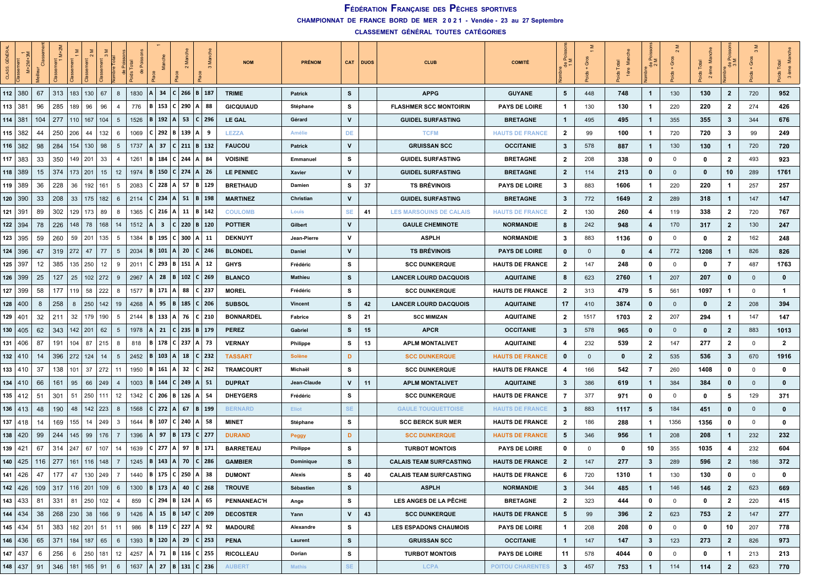**CHAMPIONNAT DE FRANCE BORD DE MER 2 0 2 1 - Vendée - 23 au 27 Septembre**

| GÉN<br>CLASS |                                         |     | ż            |             |                |                       |                | 용         |              |                         |                                   |              |                      | <b>NOM</b>         | <b>PRÉNOM</b>    |              | CAT DUOS | <b>CLUB</b>                    | <b>COMITÉ</b>           | ੰ≥<br>용        | উ              | š<br>lère | 용 c            |              | $\overline{\mathfrak{a}}$<br>Σ<br>ds Tot<br>2 |                | ିତ             | Ξ<br>$\sim$  |
|--------------|-----------------------------------------|-----|--------------|-------------|----------------|-----------------------|----------------|-----------|--------------|-------------------------|-----------------------------------|--------------|----------------------|--------------------|------------------|--------------|----------|--------------------------------|-------------------------|----------------|----------------|-----------|----------------|--------------|-----------------------------------------------|----------------|----------------|--------------|
|              | 112   380                               | 67  | 313          | 183         | 130            | 67                    | 8              | 1830      | $\Delta$     | 34                      | c <br>266 B 187                   |              |                      | <b>TRIME</b>       | <b>Patrick</b>   | s            |          | <b>APPG</b>                    | <b>GUYANE</b>           | 5              | 448            | 748       | $\mathbf{1}$   | 130          | 130                                           | $\overline{2}$ | 720            | 952          |
|              | 113   381                               | 96  | 285          | 189         | 96             | 96<br>-4              |                | 776       | <b>B</b> 153 |                         | $C$ 290 A                         |              | 88                   | <b>GICQUIAUD</b>   | Stéphane         | s            |          | <b>FLASHMER SCC MONTOIRIN</b>  | <b>PAYS DE LOIRE</b>    | -1             | 130            | 130       | 1              | 220          | 220                                           | $\mathbf{2}$   | 274            | 426          |
|              | 114   381                               | 104 | 277          | 110         | 167            | 104                   | 5              | 1526      |              | 192                     | 53<br>$\mathsf{A}$                | $\mathsf{C}$ | 296                  | LE GAL             | Gérard           | v            |          | <b>GUIDEL SURFASTING</b>       | <b>BRETAGNE</b>         | $\mathbf{1}$   | 495            | 495       | $\mathbf{1}$   | 355          | 355                                           | 3              | 344            | 676          |
|              | 115   382                               | 44  | 250          | 206         | 44             | 132                   | 6              | 1069      |              |                         | $C$ 292 B 139 A                   |              | -9                   | <b>LEZZA</b>       | Amélie           | DE           |          | <b>TCFM</b>                    | <b>HAUTS DE FRANCE</b>  | $\mathbf{2}$   | 99             | 100       | 1              | 720          | 720                                           | 3              | 99             | 249          |
|              | $116$   382                             | 98  | 284          | 154         | 130            | 98                    | 5              | 1737      |              | 37                      | $C$   211   B   132               |              |                      | <b>FAUCOU</b>      | <b>Patrick</b>   | $\mathsf{v}$ |          | <b>GRUISSAN SCC</b>            | <b>OCCITANIE</b>        | $\mathbf{3}$   | 578            | 887       | $\mathbf{1}$   | 130          | 130                                           | $\mathbf{1}$   | 720            | 720          |
|              | $117$ 383                               | 33  | 350          | 149         | 201            | 33                    | 4              | 1261      | B.           | 184                     | $C$ 244                           | I A          | -84                  | <b>VOISINE</b>     | Emmanuel         | s            |          | <b>GUIDEL SURFASTING</b>       | <b>BRETAGNE</b>         | $\mathbf{2}$   | 208            | 338       | 0              | 0            | 0                                             | $\mathbf{2}$   | 493            | 923          |
|              | 118   389                               | 15  | 374          | 173 201     |                | 15                    | 12             | 1974      | в            | 150                     | $C$ 274 A                         |              | - 26                 | <b>LE PENNEC</b>   | Xavier           | $\mathsf{V}$ |          | <b>GUIDEL SURFASTING</b>       | <b>BRETAGNE</b>         | $\overline{2}$ | 114            | 213       | 0              | $\mathbf{0}$ | 0                                             | 10             | 289            | 1761         |
|              | 119   389                               | 36  | 228          | 36          | 192   161      |                       | 5              | 2083      |              | 228                     | A   57   B   129                  |              |                      | <b>BRETHAUD</b>    | Damien           | s            | 37       | <b>TS BRÉVINOIS</b>            | <b>PAYS DE LOIRE</b>    | 3              | 883            | 1606      | 1              | 220          | 220                                           | -1             | 257            | 257          |
|              | 120   390                               | 33  | 208          | 33          | $175$   182    |                       | 6              | 2114      | $C$ 234      |                         | $A \mid 51$                       |              | $B$ 198              | <b>MARTINEZ</b>    | Christian        | V            |          | <b>GUIDEL SURFASTING</b>       | <b>BRETAGNE</b>         | $\mathbf{3}$   | 772            | 1649      | $\mathbf{2}$   | 289          | 318                                           | $\mathbf{1}$   | 147            | 147          |
|              | 121   391                               | 89  | 302          | 129         | 173            | 89                    | 8              | 1365      | $C$ 216      |                         | A                                 |              | $11 \mid B \mid 142$ | <b>COULOMB</b>     | Louis            | SE           | 41       | <b>LES MARSOUINS DE CALAIS</b> | <b>HAUTS DE FRANCE</b>  | $\mathbf{2}$   | 130            | 260       | 4              | 119          | 338                                           | $\mathbf{2}$   | 720            | 767          |
|              | 122 394                                 | 78  | 226          | 148         | 78             | 168                   | 14             | 1512      |              | $\overline{\mathbf{3}}$ | $\mathbf{C}$<br>$220$   B   120   |              |                      | <b>POTTIER</b>     | Gilbert          | $\mathsf{v}$ |          | <b>GAULE CHEMINOTE</b>         | <b>NORMANDIE</b>        | 8              | 242            | 948       | 4              | 170          | 317                                           | $\overline{2}$ | 130            | 247          |
|              | 123 395                                 | 59  | 260          | 59          | 201            | 135                   | 5              | 1384      | в.           | 195                     | $C$ 300                           | А            | -11                  | <b>DEKNUYT</b>     | Jean-Pierre      | v            |          | <b>ASPLH</b>                   | <b>NORMANDIE</b>        | 3              | 883            | 1136      | 0              | $\mathbf 0$  | 0                                             | $\mathbf{2}$   | 162            | 248          |
|              | 124   396                               | 47  | 319          | 272         | 47             | 77                    | 5              | 2034      | <b>B</b> 101 |                         | $A \mid 20$                       |              | $C$ 246              | <b>BLONDEL</b>     | Daniel           | V            |          | <b>TS BRÉVINOIS</b>            | <b>PAYS DE LOIRE</b>    | $\mathbf 0$    | $\overline{0}$ | $\bf{0}$  | 4              | 772          | 1208                                          | $\mathbf{1}$   | 826            | 826          |
|              | $125 \mid 397$                          | 12  | 385          | 135         | 250            | 12                    | 9              | 2011      | C I          | 293                     | B<br>151                          | ΙA           | 12                   | <b>GHYS</b>        | Frédéric         | s            |          | <b>SCC DUNKERQUE</b>           | <b>HAUTS DE FRANCE</b>  | $\mathbf{2}$   | 147            | 248       | 0              | 0            | 0                                             | 7              | 487            | 1763         |
|              | $126$ 399                               | 25  | 127          | 25          | 102            | 272                   | 9              | 2967      |              | 28                      | B<br>$102$   C   269              |              |                      | <b>BLANCO</b>      | <b>Mathieu</b>   | s            |          | <b>LANCER LOURD DACQUOIS</b>   | <b>AQUITAINE</b>        | 8              | 623            | 2760      | 1              | 207          | 207                                           | $\mathbf 0$    | $\overline{0}$ | $\bf{0}$     |
| 127          | 399                                     | 58  | 177          | 119         | 58             | 222                   | 8              | 1577      | B 171        |                         | 88<br>A                           |              | $C$   237            | <b>MOREL</b>       | Frédéric         | s            |          | <b>SCC DUNKERQUE</b>           | <b>HAUTS DE FRANCE</b>  | $\mathbf{2}$   | 313            | 479       | 5              | 561          | 1097                                          | -1             | $\mathbf 0$    | $\mathbf{1}$ |
|              | $128$   400                             | 8   | 258          | 8           | 250            | 142                   | 19             | 4268      |              | 95                      | B   185   C   206                 |              |                      | <b>SUBSOL</b>      | <b>Vincent</b>   | s            | 42       | <b>LANCER LOURD DACQUOIS</b>   | <b>AQUITAINE</b>        | 17             | 410            | 3874      | 0              | $\mathbf{0}$ | $\mathbf 0$                                   | $\mathbf{2}$   | 208            | 394          |
|              | 129 401                                 | 32  | 211          | 32          | 179            | 190                   | 5              | 2144      | вΙ           | 133                     | $\mathsf{A}$<br>76                |              | $C$ 210              | <b>BONNARDEL</b>   | Fabrice          | s            | 21       | <b>SCC MIMIZAN</b>             | <b>AQUITAINE</b>        | $\mathbf{2}$   | 1517           | 1703      | $\mathbf{2}$   | 207          | 294                                           | $\mathbf{1}$   | 147            | 147          |
|              | 130   405                               | 62  | 343          | $142$   201 |                | 62                    | 5              | 1978      |              | 21                      | C I<br>$235$   B   179            |              |                      | <b>PEREZ</b>       | Gabriel          | s            | 15       | <b>APCR</b>                    | <b>OCCITANIE</b>        | $\mathbf{3}$   | 578            | 965       | 0              | $\mathbf{0}$ | $\mathbf 0$                                   | $\mathbf{2}$   | 883            | 1013         |
| 131          | 406                                     | 87  | 191          | 104         | 87             | 215                   | 8              | 818       |              | 178                     | $C$ 237                           | l A          | - 73                 | <b>VERNAY</b>      | <b>Philippe</b>  | s            | 13       | <b>APLM MONTALIVET</b>         | <b>AQUITAINE</b>        | 4              | 232            | 539       | $\mathbf{2}$   | 147          | 277                                           | $\mathbf{2}$   | 0              | $\mathbf{2}$ |
|              | $132$   410                             | 14  | 396          | 272         | 124            | 14                    | 5              | 2452      | $B \mid 103$ |                         | $A$ 18                            |              | C 232                | <b>TASSART</b>     | <b>Solène</b>    | D            |          | <b>SCC DUNKERQUE</b>           | <b>HAUTS DE FRANCE</b>  | 0              | $\mathbf 0$    | $\bf{0}$  | $\mathbf{2}$   | 535          | 536                                           | $\mathbf{3}$   | 670            | 1916         |
|              | 133   410                               | 37  | 138          | 101         | 37   272       |                       | 11             | 1950      | <b>B</b> 161 |                         | A 32                              |              | $C$ 262              | <b>TRAMCOURT</b>   | Michaël          | s            |          | <b>SCC DUNKERQUE</b>           | <b>HAUTS DE FRANCE</b>  | 4              | 166            | 542       | 7              | 260          | 1408                                          | 0              | 0              | 0            |
|              | 134   410                               | 66  | 161          | 95          | 66             | 249<br>-4             |                | 1003      | B.           | 144                     | 249<br>C                          | A   51       |                      | <b>DUPRAT</b>      | Jean-Claude      | v            | 11       | <b>APLM MONTALIVET</b>         | <b>AQUITAINE</b>        | $\mathbf{3}$   | 386            | 619       | 1              | 384          | 384                                           | $\mathbf 0$    | $\mathbf{0}$   | $\bf{0}$     |
|              | $135 \mid 412$                          | 51  | 301          | 51          | 250            | 111                   | 12             | 1342      |              | 206                     | <b>B</b> 126 A                    |              | - 54                 | <b>DHEYGERS</b>    | Frédéric         | s            |          | <b>SCC DUNKERQUE</b>           | <b>HAUTS DE FRANCE</b>  | 7              | 377            | 971       | 0              | 0            | 0                                             | 5              | 129            | 371          |
|              | $136 \mid 413$                          | 48  | 190          | 48          | 142   223      | -8                    |                | 1568      | C 272        |                         | 67<br>$\mathsf{A}$                |              | B 199                | <b>BERNARD</b>     | Eliot            | SE.          |          | <b>GAULE TOUQUETTOISE</b>      | <b>HAUTS DE FRANCE</b>  | $\mathbf{3}$   | 883            | 1117      | 5              | 184          | 451                                           | $\mathbf{0}$   | $\mathbf{0}$   | $\bf{0}$     |
|              | $137$   418                             | 14  | 169          | 155         | 14   249       |                       | 3              | 1644      | B 107        |                         | $C$ 240 A 58                      |              |                      | <b>MINET</b>       | Stéphane         | s            |          | <b>SCC BERCK SUR MER</b>       | <b>HAUTS DE FRANCE</b>  | $\mathbf{2}$   | 186            | 288       | $\mathbf{1}$   | 1356         | 1356                                          | 0              | $\mathbf 0$    | 0            |
|              | 138   420                               | 99  | 244          | 145         | 99             | 176<br>-7             |                | 1396      |              | 97                      | B<br>173 C 277                    |              |                      | <b>DURAND</b>      | Peggy            | D            |          | <b>SCC DUNKERQUE</b>           | <b>HAUTS DE FRANCE</b>  | 5              | 346            | 956       | -1             | 208          | 208                                           | $\mathbf{1}$   | 232            | 232          |
|              | 139 421                                 | 67  | 314          | 247         | 67             | 107                   | 14             | 1639      | $C$ 277      |                         | $A$ 97                            |              | B 171                | <b>BARRETEAU</b>   | Philippe         | s            |          | <b>TURBOT MONTOIS</b>          | <b>PAYS DE LOIRE</b>    | $\mathbf 0$    | $\mathbf 0$    | 0         | 10             | 355          | 1035                                          | 4              | 232            | 604          |
|              | $140$   425                             | 116 | 277          | 161         | 116            | 148<br>-7             |                | 1245      |              | 143                     | $\mathsf{A}$<br>70                |              | $C$   286            | <b>GAMBIER</b>     | <b>Dominique</b> | s            |          | <b>CALAIS TEAM SURFCASTING</b> | <b>HAUTS DE FRANCE</b>  | $\mathbf{2}$   | 147            | 277       | 3              | 289          | 596                                           | $\mathbf{2}$   | 186            | 372          |
|              | $141 \mid 426$                          | 47  | 177          | 47          | 130   249      |                       | $\overline{7}$ | 1440      |              |                         | B   175   C   250   A             |              | 38                   | <b>DUMONT</b>      | Alexis           | s            | 40       | <b>CALAIS TEAM SURFCASTING</b> | <b>HAUTS DE FRANCE</b>  | 6              | 720            | 1310      | 1              | 130          | 130                                           | 0              | $\mathbf 0$    | 0            |
|              | 142   426   109   317   116   201   109 |     |              |             |                |                       | 6              |           |              |                         | 1300   B   173   A   40   C   268 |              |                      | <b>TROUVE</b>      | Sébastien        | s            |          | <b>ASPLH</b>                   | <b>NORMANDIE</b>        | $\mathbf{3}$   | 344            | 485       | $\mathbf{1}$   | 146          | 146                                           | $\mathbf{2}$   | 623            | 669          |
|              | $143 \mid 433$                          | 81  | 331          |             | 81 250 102     |                       | $\overline{4}$ | 859       |              |                         | C   294   B   124   A   65        |              |                      | <b>PENNANEAC'H</b> | Ange             | s            |          | LES ANGES DE LA PÊCHE          | <b>BRETAGNE</b>         | $\overline{2}$ | 323            | 444       | 0              | $\mathbf 0$  | $\mathbf{0}$                                  | $\overline{2}$ | 220            | 415          |
|              | $144$ 434                               | 38  | $268$ 230 38 |             |                | 166<br>9              |                | 1426      |              |                         | A 15 B 147 C 209                  |              |                      | <b>DECOSTER</b>    | Yann             | $\mathsf{v}$ | 43       | <b>SCC DUNKERQUE</b>           | <b>HAUTS DE FRANCE</b>  | 5              | 99             | 396       | $\overline{2}$ | 623          | 753                                           | $\overline{2}$ | 147            | 277          |
|              | $145$ 434                               | 51  | 383          |             |                | $182$   201   51   11 |                | 986       |              |                         | B   119   C   227   A   92        |              |                      | <b>MADOURÉ</b>     | Alexandre        | s            |          | <b>LES ESPADONS CHAUMOIS</b>   | <b>PAYS DE LOIRE</b>    | $\mathbf{1}$   | 208            | 208       | $\mathbf 0$    | $\mathbf 0$  | $\mathbf 0$                                   | 10             | 207            | 778          |
|              | $146 \mid 436$                          | 65  | 371          |             | 184   187   65 |                       | 6              |           |              |                         | 1393   B   120   A   29   C   253 |              |                      | <b>PENA</b>        | Laurent          | s            |          | <b>GRUISSAN SCC</b>            | <b>OCCITANIE</b>        | $\mathbf{1}$   | 147            | 147       | $\mathbf{3}$   | 123          | 273                                           | $\overline{2}$ | 826            | 973          |
|              | $147 \mid 437$                          | 6   | 256          |             |                | $6$   250   181   12  |                |           |              |                         | 4257   A   71   B   116   C   255 |              |                      | <b>RICOLLEAU</b>   | Dorian           | s            |          | <b>TURBOT MONTOIS</b>          | <b>PAYS DE LOIRE</b>    | 11             | 578            | 4044      | 0              | 0            | 0                                             | $\mathbf{1}$   | 213            | 213          |
|              | $148$ 437                               | 91  | 346          | 181         | $165$ 91       |                       | 6              | 1637 A 27 |              |                         | B 131 C 236                       |              |                      | <b>AUBERT</b>      | <b>Mathis</b>    | <b>SE</b>    |          | <b>LCPA</b>                    | <b>POITOU CHARENTES</b> | $\mathbf{3}$   | 457            | 753       | $\mathbf{1}$   | 114          | 114                                           | $\mathbf{2}$   | 623            | 770          |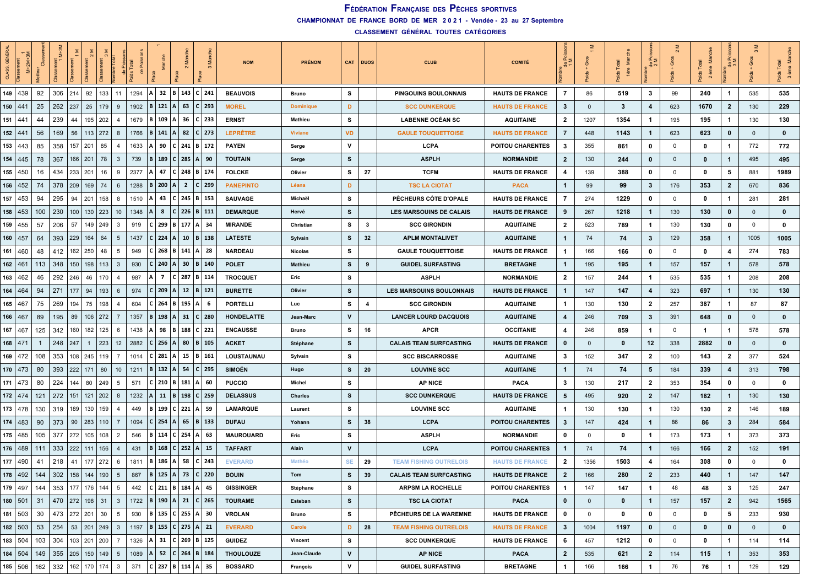**CHAMPIONNAT DE FRANCE BORD DE MER 2 0 2 1 - Vendée - 23 au 27 Septembre**

| 뭥<br>CLASS        | $M+2M$       |     | $M+21$                |                      |                |                               |      |                    |                |                                   |              |            | <b>NOM</b>       | <b>PRÉNOM</b>    | CAT       | DUOS           | <b>CLUB</b>                     | <b>COMITÉ</b>           | چق<br>$\frac{e}{\sigma}$ | Ö           | ž           | 음 c            | Ō            | Σ<br>$\sim$ |              | Gros           | 3 ème<br>$\ddot{\bm{e}}$ |
|-------------------|--------------|-----|-----------------------|----------------------|----------------|-------------------------------|------|--------------------|----------------|-----------------------------------|--------------|------------|------------------|------------------|-----------|----------------|---------------------------------|-------------------------|--------------------------|-------------|-------------|----------------|--------------|-------------|--------------|----------------|--------------------------|
|                   | 149   439    | 92  | 306                   | 214                  | 92             | 133<br>11                     | 1294 | 32<br>$\mathsf{A}$ | lв.            | 143 C 241                         |              |            | <b>BEAUVOIS</b>  | Bruno            | s         |                | PINGOUINS BOULONNAIS            | <b>HAUTS DE FRANCE</b>  | 7                        | 86          | 519         | 3              | 99           | 240         | -1           | 535            | 535                      |
| 150               | $44^{\circ}$ | 25  | 262                   | 237                  | 25             | 179<br>9                      | 1902 | $B$   121          | $\overline{A}$ | 63                                | $C$   293    |            | <b>MOREL</b>     | <b>Dominique</b> | D         |                | <b>SCC DUNKERQUE</b>            | <b>HAUTS DE FRANCE</b>  | 3                        | $\mathbf 0$ | 3           | 4              | 623          | 1670        | $\mathbf{2}$ | 130            | 229                      |
| 151               | 441          | 44  | 239                   | 44                   | 195            | 202<br>4                      | 1679 | 109<br>в           | A              | 36                                | $C$ 233      |            | <b>ERNST</b>     | Mathieu          | s         |                | <b>LABENNE OCÉAN SC</b>         | <b>AQUITAINE</b>        | $\mathbf{2}$             | 1207        | 1354        | $\mathbf{1}$   | 195          | 195         | -1           | 130            | 130                      |
| 152 $ 44^{\circ}$ |              | 56  | 169                   | 56                   | 113   272      | 8                             | 1766 | $B \mid 141$       | $\mathbf{A}$   | 82                                | $C$   273    |            | <b>LEPRÊTRE</b>  | <b>Viviane</b>   | <b>VD</b> |                | <b>GAULE TOUQUETTOISE</b>       | <b>HAUTS DE FRANCE</b>  | 7                        | 448         | 1143        | $\mathbf{1}$   | 623          | 623         | $\mathbf 0$  | $\mathbf 0$    | $\bf{0}$                 |
| 153               | 443          | 85  | 358                   | 157                  | 201            | 85<br>4                       | 1633 | 90                 | C.             | 241 B 172                         |              |            | <b>PAYEN</b>     | Serge            | v         |                | <b>LCPA</b>                     | POITOU CHARENTES        | 3                        | 355         | 861         | 0              | 0            | $\mathbf 0$ | -1           | 772            | 772                      |
| 154               | 445          | 78  | 367                   | 166                  | 201            | 78<br>$\overline{3}$          | 739  | B 189              |                | $C$ 285 A                         |              | - 90       | <b>TOUTAIN</b>   | Serge            | s         |                | <b>ASPLH</b>                    | <b>NORMANDIE</b>        | $\mathbf{2}$             | 130         | 244         | $\mathbf 0$    | $\mathbf{0}$ | $\bf{0}$    | $\mathbf{1}$ | 495            | 495                      |
| 155               | 450          | 16  | 434                   | 233                  | 201            | 16<br>9                       | 2377 | 47                 | C              | 248                               | B 174        |            | <b>FOLCKE</b>    | Olivier          | s         | 27             | <b>TCFM</b>                     | <b>HAUTS DE FRANCE</b>  | 4                        | 139         | 388         | $\mathbf 0$    | $\mathbf 0$  | 0           | 5            | 881            | 1989                     |
| $156 \mid 452$    |              | 74  | 378                   | 209                  | 169            | 74<br>6                       | 1288 | <b>B</b>   200     | A              | $\overline{2}$                    | $C$   299    |            | <b>PANEPINTO</b> | Léana            | D         |                | <b>TSC LA CIOTAT</b>            | <b>PACA</b>             | $\mathbf{1}$             | 99          | 99          | 3              | 176          | 353         | $\mathbf{2}$ | 670            | 836                      |
| 157               | 453          | 94  | 295                   | 94                   | 201            | 158<br>8                      | 1510 | 43                 |                | $C$   245   B   153               |              |            | <b>SAUVAGE</b>   | Michaël          | s         |                | PÊCHEURS CÔTE D'OPALE           | <b>HAUTS DE FRANCE</b>  | 7                        | 274         | 1229        | $\mathbf 0$    | 0            | 0           | 1            | 281            | 281                      |
| 158   453         |              | 100 | 230                   | 100                  | 130            | 223<br>10                     | 1348 | 8                  | C              | 226   B   111                     |              |            | <b>DEMARQUE</b>  | Hervé            | s         |                | LES MARSOUINS DE CALAIS         | <b>HAUTS DE FRANCE</b>  | 9                        | 267         | 1218        | $\mathbf{1}$   | 130          | 130         | 0            | $\mathbf{0}$   | $\mathbf 0$              |
| 159               | 455          | 57  | 206                   | 57                   | 149            | 249<br>3                      | 919  | 299                | В              | 177                               |              | 34         | <b>MIRANDE</b>   | Christian        | s         | 3              | <b>SCC GIRONDIN</b>             | <b>AQUITAINE</b>        | $\mathbf{2}$             | 623         | 789         | $\mathbf{1}$   | 130          | 130         | 0            | 0              | $\mathbf 0$              |
| 160               | l 457        | 64  | 393                   | 229                  | 164            | 64<br>5                       | 1437 | 224                | A              | 10                                | B 138        |            | <b>LATESTE</b>   | Sylvain          | s         | 32             | <b>APLM MONTALIVET</b>          | <b>AQUITAINE</b>        | $\mathbf{1}$             | 74          | 74          | $\mathbf{3}$   | 129          | 358         | $\mathbf{1}$ | 1005           | 1005                     |
| 161               | 460          | 48  | 412                   | 162                  | 250            | 48<br>-5                      | 949  | $C$ 268            | B              | 141   A   28                      |              |            | <b>NARDEAU</b>   | <b>Nicolas</b>   | s         |                | <b>GAULE TOUQUETTOISE</b>       | <b>HAUTS DE FRANCE</b>  | $\mathbf{1}$             | 166         | 166         | 0              | $\mathbf 0$  | 0           | 4            | 274            | 783                      |
| 162   $46'$       |              | 113 | 348                   | 150                  | 198            | 113<br>$\mathbf{3}$           | 930  | 240                | A              | 30                                | B   140      |            | <b>POLET</b>     | Mathieu          | s         | 9              | <b>GUIDEL SURFASTING</b>        | <b>BRETAGNE</b>         | $\mathbf{1}$             | 195         | 195         | $\mathbf{1}$   | 157          | 157         | $\mathbf{1}$ | 578            | 578                      |
| 163               | 462          | 46  | 292                   | 246                  | 46             | 170<br>$\overline{4}$         | 987  | $\overline{7}$     | C              | 287 B 114                         |              |            | <b>TROCQUET</b>  | Eric             | s         |                | <b>ASPLH</b>                    | <b>NORMANDIE</b>        | $\mathbf{2}$             | 157         | 244         | 1              | 535          | 535         | -1           | 208            | 208                      |
| 164               | 464          | 94  | 271                   | 177                  | 94             | 193<br>6                      | 974  | 209                | A              | 12                                | B 121        |            | <b>BURETTE</b>   | Olivier          | s         |                | <b>LES MARSOUINS BOULONNAIS</b> | <b>HAUTS DE FRANCE</b>  | $\mathbf{1}$             | 147         | 147         | 4              | 323          | 697         | $\mathbf{1}$ | 130            | 130                      |
| $165 \mid 467$    |              | 75  | 269                   | 194                  | 75             | 198<br>4                      | 604  | $C$ 264            | B              | 195   A                           |              | -6         | <b>PORTELLI</b>  | Luc              | s         | $\overline{4}$ | <b>SCC GIRONDIN</b>             | <b>AQUITAINE</b>        | $\mathbf{1}$             | 130         | 130         | $\mathbf{2}$   | 257          | 387         | 1            | 87             | 87                       |
| 166   467         |              | 89  | 195                   | 89                   | 106            | 272<br>7                      | 1357 | 198<br>B.          | A              | 31                                | $C$   280    |            | HONDELATTE       | Jean-Marc        | V         |                | <b>LANCER LOURD DACQUOIS</b>    | <b>AQUITAINE</b>        | 4                        | 246         | 709         | $\mathbf{3}$   | 391          | 648         | $\bf{0}$     | $\overline{0}$ | $\bf{0}$                 |
| 167               | 467          | 125 | 342                   | 160                  | 182            | 125<br>6                      | 1438 | 98                 | в.             | 188                               | $C$   221    |            | <b>ENCAUSSE</b>  | Bruno            | s         | 16             | <b>APCR</b>                     | <b>OCCITANIE</b>        | 4                        | 246         | 859         | $\mathbf{1}$   | 0            | -1          | 1            | 578            | 578                      |
| 168               | l 47         |     | 248                   | 247                  | $\overline{1}$ | 223<br>12                     | 2882 | $C$   256          | $\overline{A}$ | 80                                | $B \mid 105$ |            | <b>ACKET</b>     | Stéphane         | s         |                | <b>CALAIS TEAM SURFCASTING</b>  | <b>HAUTS DE FRANCE</b>  | 0                        | $\mathbf 0$ | $\mathbf 0$ | 12             | 338          | 2882        | $\mathbf 0$  | $\mathbf 0$    | $\bf{0}$                 |
| 169   $472$       |              | 108 | 353                   | 108                  | 245            | 119<br>$\overline{7}$         | 1014 | $C$ 281            | l A            | $15 \mid B \mid 161$              |              |            | LOUSTAUNAU       | Sylvain          | s         |                | <b>SCC BISCARROSSE</b>          | <b>AQUITAINE</b>        | 3                        | 152         | 347         | $\mathbf{2}$   | 100          | 143         | $\mathbf{2}$ | 377            | 524                      |
| 170   473         |              | 80  | 393                   | 222                  | 171            | 80<br>10 <sup>°</sup>         | 1211 | $B \mid 132$       | $\mathbf{A}$   | 54                                | $C$   295    |            | <b>SIMOËN</b>    | Hugo             | s         | 20             | <b>LOUVINE SCC</b>              | <b>AQUITAINE</b>        | $\mathbf{1}$             | 74          | 74          | 5              | 184          | 339         | 4            | 313            | 798                      |
| 171               | l 473        | 80  | 224                   | 144                  | 80             | 249<br>5                      | 571  | $C$ 210            | l B            | 181                               |              | -60        | <b>PUCCIO</b>    | Michel           | s         |                | <b>AP NICE</b>                  | <b>PACA</b>             | 3                        | 130         | 217         | 2              | 353          | 354         | 0            | 0              | $\mathbf 0$              |
| 172 $ 474$        |              | 121 | 272                   | 151                  | 121            | 202<br>8                      | 1232 | 11                 | B              | 198                               | $C$   259    |            | <b>DELASSUS</b>  | <b>Charles</b>   | s         |                | <b>SCC DUNKERQUE</b>            | <b>HAUTS DE FRANCE</b>  | 5                        | 495         | 920         | $\mathbf{2}$   | 147          | 182         | $\mathbf{1}$ | 130            | 130                      |
| 173   478         |              | 130 | 319                   | 189                  | 130            | 159<br>$\overline{4}$         | 449  | B 199              |                | $C$ 221 A 59                      |              |            | <b>LAMARQUE</b>  | Laurent          | s         |                | <b>LOUVINE SCC</b>              | <b>AQUITAINE</b>        | $\mathbf{1}$             | 130         | 130         | $\mathbf{1}$   | 130          | 130         | $\mathbf{2}$ | 146            | 189                      |
| 174               | 483          | 90  | 373                   | 90                   | 283            | 110<br>-7                     | 1094 | $C$ 254            | A              | 65                                | B   133      |            | <b>DUFAU</b>     | Yohann           | s         | 38             | <b>LCPA</b>                     | <b>POITOU CHARENTES</b> | $\mathbf{3}$             | 147         | 424         | $\mathbf{1}$   | 86           | 86          | $\mathbf{3}$ | 284            | 584                      |
| 175   485         |              | 105 | 377                   | 272                  | 105            | 108<br>$\overline{2}$         | 546  | 114<br>B I         | C.             | 254                               |              | 63         | <b>MAUROUARD</b> | Eric             | s         |                | <b>ASPLH</b>                    | <b>NORMANDIE</b>        | 0                        | 0           | 0           | $\mathbf{1}$   | 173          | 173         | -1           | 373            | 373                      |
| 176               | 489          | 111 | 333                   | 222                  | 111            | 156<br>$\overline{4}$         | 431  | 168<br>B I         | C              | 252                               |              | $\vert$ 15 | <b>TAFFART</b>   | Alain            | V         |                | <b>LCPA</b>                     | <b>POITOU CHARENTES</b> | 1                        | 74          | 74          | $\mathbf{1}$   | 166          | 166         | $\mathbf{2}$ | 152            | 191                      |
| 177               | 490          | 41  | 218                   | 41                   | 177            | 272<br>-6                     | 1811 | 186<br>B.          | A              | 58                                | $C$   243    |            | <b>EVERARD</b>   | Mathéo           | <b>SE</b> | 29             | <b>TEAM FISHING OUTRELOIS</b>   | <b>HAUTS DE FRANCE</b>  | $\mathbf{2}$             | 1356        | 1503        | 4              | 164          | 308         | 0            | 0              | $\mathbf 0$              |
|                   | 178 492      | 144 | 302                   | 158                  | 144            | 190<br>5                      | 867  | 125<br>B           | $\mathbf{A}$   | 73                                | C   220      |            | <b>BOUIN</b>     | Tom              | s         | 39             | <b>CALAIS TEAM SURFCASTING</b>  | <b>HAUTS DE FRANCE</b>  | $\overline{2}$           | 166         | 280         | $\overline{2}$ | 233          | 440         | $\mathbf 1$  | 147            | 147                      |
|                   | 179 497      | 144 | 353   177   176   144 |                      |                | $5\overline{)}$               | 442  |                    |                | $ C $ 211   B   184   A   45      |              |            | <b>GISSINGER</b> | Stéphane         | s         |                | <b>ARPSM LA ROCHELLE</b>        | POITOU CHARENTES        | $\mathbf{1}$             | 147         | 147         | $\mathbf{1}$   | 48           | 48          | 3            | 125            | 247                      |
| 180   501         |              | 31  | 470 272 198 31        |                      |                | $\mathbf{3}$                  |      |                    |                | 1722   B   190   A   21   C   265 |              |            | <b>TOURAME</b>   | Esteban          | s         |                | <b>TSC LA CIOTAT</b>            | <b>PACA</b>             | $\mathbf{0}$             | $\mathbf 0$ | $\mathbf 0$ | $\mathbf{1}$   | 157          | 157         | $\mathbf{2}$ | 942            | 1565                     |
| 181   503         |              | 30  |                       | 473   272   201   30 |                | 5 <sup>5</sup>                | 930  |                    |                | B   135   C   255   A   30        |              |            | <b>VROLAN</b>    | Bruno            | s         |                | PÊCHEURS DE LA WAREMNE          | <b>HAUTS DE FRANCE</b>  | $\mathbf 0$              | $\mathbf 0$ | 0           | $\mathbf 0$    | $\mathbf 0$  | $\mathbf 0$ | 5            | 233            | 930                      |
|                   | $182$ 503    | 53  | 254                   |                      |                | $53 \mid 201 \mid 249 \mid 3$ |      |                    |                | 1197   B   155   C   275   A   21 |              |            | <b>EVERARD</b>   | Carole           | D         | 28             | <b>TEAM FISHING OUTRELOIS</b>   | <b>HAUTS DE FRANCE</b>  | $\mathbf{3}$             | 1004        | 1197        | $\bf{0}$       | $\mathbf 0$  | 0           | $\bf{0}$     | $\mathbf 0$    | $\bf{0}$                 |
|                   | 183   504    |     | 103 304               | 103   201   200      |                | $\overline{7}$                | 1326 |                    |                | A   31   C   269   B   125        |              |            | <b>GUIDEZ</b>    | Vincent          | s         |                | <b>SCC DUNKERQUE</b>            | <b>HAUTS DE FRANCE</b>  | 6                        | 457         | 1212        | $\mathbf 0$    | 0            | 0           | $\mathbf 1$  | 114            | 114                      |
|                   | 184   504    |     |                       |                      |                | 149 355 205 150 149 5         | 1089 |                    |                | A   52   C   264   B   184        |              |            | <b>THOULOUZE</b> | Jean-Claude      | v         |                | <b>AP NICE</b>                  | <b>PACA</b>             | $\mathbf{2}$             | 535         | 621         | $\mathbf{2}$   | 114          | 115         | $\mathbf{1}$ | 353            | 353                      |
|                   | $185$ 506    | 162 | 332                   | 162   170            |                | 174<br>$\mathbf{3}$           | 371  |                    |                | $C$ 237   B   114   A   35        |              |            | <b>BOSSARD</b>   | François         | v         |                | <b>GUIDEL SURFASTING</b>        | <b>BRETAGNE</b>         | $\mathbf{1}$             | 166         | 166         | $\mathbf{1}$   | 76           | 76          | 1            | 129            | 129                      |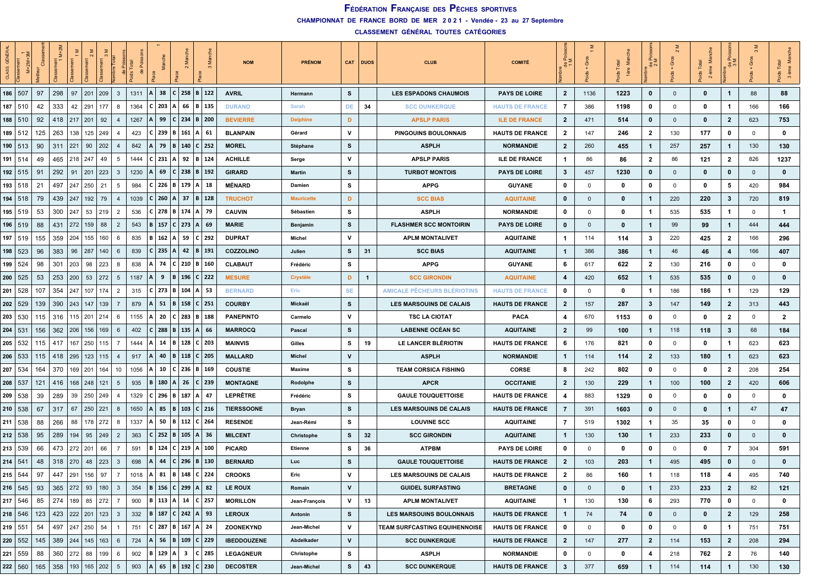**CHAMPIONNAT DE FRANCE BORD DE MER 2 0 2 1 - Vendée - 23 au 27 Septembre**

| <b>GÉNÉR</b><br>CLASS |             |           | $M+2M$                                  |             |                 |                       |    |      |                    |              |                              |              |           | <b>NOM</b>         | <b>PRÉNOM</b>     |              | CAT DUOS | <b>CLUB</b>                     | <b>COMITÉ</b>          | 좋은             | উ                       | $\frac{1}{2}$ | ĔΣ<br>용      |                | ž<br>Total<br>ème<br>$\frac{8}{2}$<br>$\overline{N}$ | ∝ັ<br>$rac{e}{\sigma}$ | Ō            | Σ            |
|-----------------------|-------------|-----------|-----------------------------------------|-------------|-----------------|-----------------------|----|------|--------------------|--------------|------------------------------|--------------|-----------|--------------------|-------------------|--------------|----------|---------------------------------|------------------------|----------------|-------------------------|---------------|--------------|----------------|------------------------------------------------------|------------------------|--------------|--------------|
| 186   507             |             | 97        | 298                                     | 97          | 201             | 209<br>$\mathbf{3}$   |    | 1311 | 38<br>$\mathsf{A}$ |              | $C$ 258 B 122                |              |           | <b>AVRIL</b>       | Hermann           | s            |          | <b>LES ESPADONS CHAUMOIS</b>    | <b>PAYS DE LOIRE</b>   | $\mathbf{2}$   | 1136                    | 1223          | $\bf{0}$     | $\mathbf 0$    | 0                                                    | $\mathbf{1}$           | 88           | 88           |
|                       | $187$   510 | 42        | 333                                     | 42          | 291             | 177<br>8              |    | 1364 | $C$ 203            |              | 66                           |              | B   135   | <b>DURAND</b>      | Sarah             | DE           | 34       | <b>SCC DUNKERQUE</b>            | <b>HAUTS DE FRANCE</b> | 7              | 386                     | 1198          | 0            | 0              | 0                                                    | -1                     | 166          | 166          |
|                       | $188$   510 | 92        | 418                                     | 217         | $\vert$ 201     | 92<br>$\overline{4}$  |    | 1267 | 99                 | C            | 234                          | $B \mid 200$ |           | <b>BEVIERRE</b>    | <b>Delphine</b>   | D            |          | <b>APSLP PARIS</b>              | <b>ILE DE FRANCE</b>   | $\mathbf{2}$   | 471                     | 514           | 0            | $\mathbf{0}$   | 0                                                    | $\mathbf{2}$           | 623          | 753          |
|                       | 189   512   | 125       | 263                                     | 138         | $125 \mid 249$  | -4                    |    | 423  | C 239              | B            | 161                          |              | - 61      | <b>BLANPAIN</b>    | Gérard            | v            |          | <b>PINGOUINS BOULONNAIS</b>     | <b>HAUTS DE FRANCE</b> | $\mathbf{2}$   | 147                     | 246           | $\mathbf{2}$ | 130            | 177                                                  | $\mathbf 0$            | $\mathbf 0$  | 0            |
|                       | 190   513   | 90        | 311                                     | 221         | 90              | 202<br>$\overline{4}$ |    | 842  | 79                 |              | B   140   C   252            |              |           | <b>MOREL</b>       | Stéphane          | s            |          | <b>ASPLH</b>                    | <b>NORMANDIE</b>       | $\mathbf{2}$   | 260                     | 455           | $\mathbf{1}$ | 257            | 257                                                  | $\mathbf{1}$           | 130          | 130          |
| 191   514             |             | 49        | 465                                     | 218         | 247             | 49<br>5               |    | 1444 | $C$ 231            | Α            | 92   $B$   124               |              |           | <b>ACHILLE</b>     | Serge             | v            |          | <b>APSLP PARIS</b>              | <b>ILE DE FRANCE</b>   | -1             | 86                      | 86            | $\mathbf{2}$ | 86             | 121                                                  | $\mathbf{2}$           | 826          | 1237         |
|                       | $192$ 515   | 91        | 292                                     | 91          | 201             | 223<br>$\mathbf{3}$   |    | 1230 | 69                 | C            | $238$   B   192              |              |           | <b>GIRARD</b>      | <b>Martin</b>     | s            |          | <b>TURBOT MONTOIS</b>           | PAYS DE LOIRE          | $\mathbf{3}$   | 457                     | 1230          | 0            | $\mathbf 0$    | 0                                                    | $\mathbf 0$            | $\mathbf{0}$ | 0            |
|                       | 193   518   | 21        | 497                                     |             | 247   250       | 21<br>5               |    | 984  | C 226              | B            | 179                          | А            | 18        | <b>MÉNARD</b>      | Damien            | s            |          | <b>APPG</b>                     | <b>GUYANE</b>          | $\mathbf 0$    | $\mathbf 0$             | 0             | 0            | 0              | 0                                                    | 5                      | 420          | 984          |
|                       | 194   518   | 79        | 439                                     | 247         | $192$ 79        | $\overline{4}$        |    | 1039 | $C$ 260            |              | $A \mid 37$                  |              | B 128     | <b>TRUCHOT</b>     | <b>Mauricette</b> | D            |          | <b>SCC BIAS</b>                 | <b>AQUITAINE</b>       | $\bf{0}$       | $\mathbf 0$             | 0             | $\mathbf{1}$ | 220            | 220                                                  | $\boldsymbol{\cdot}$   | 720          | 819          |
|                       | 195   519   | 53        | 300                                     | 247         | 53 219          | $\overline{2}$        |    | 536  | C 278              | B            | 174                          |              | - 79      | <b>CAUVIN</b>      | Sébastien         | s            |          | <b>ASPLH</b>                    | <b>NORMANDIE</b>       | 0              | 0                       | 0             | -1           | 535            | 535                                                  | $\mathbf{1}$           | $\mathbf 0$  | $\mathbf{1}$ |
|                       | 196   519   | 88        | 431                                     | 272         | 159             | 88<br>$\overline{2}$  |    | 543  | B 157              |              | $C$ 273 A                    |              | - 69      | <b>MARIE</b>       | Benjamin          | s            |          | <b>FLASHMER SCC MONTOIRIN</b>   | <b>PAYS DE LOIRE</b>   | $\bf{0}$       | $\mathbf 0$             | 0             | $\mathbf{1}$ | 99             | 99                                                   | $\mathbf{1}$           | 444          | 444          |
|                       | 197   519   | 155       | 359                                     | 204         | 155             | 160<br>6              |    | 835  | 162                | A            | 59                           | $C$   292    |           | <b>DUPRAT</b>      | Michel            | v            |          | <b>APLM MONTALIVET</b>          | <b>AQUITAINE</b>       | $\mathbf{1}$   | 114                     | 114           | 3            | 220            | 425                                                  | $\mathbf{2}$           | 166          | 296          |
|                       | 198   523   | 96        | 383                                     | 96          | 287             | 140<br>6              |    | 839  | C   235            | A            | 42   $B$   191               |              |           | COZZOLINO          | Julien            | s            | 31       | <b>SCC BIAS</b>                 | <b>AQUITAINE</b>       | $\overline{1}$ | 386                     | 386           | -1           | 46             | 46                                                   | 4                      | 166          | 407          |
|                       | 199 524     | 98        | 301                                     | 203         | 98              | 223<br>8              |    | 838  | 74                 |              | $C$   210   B   160          |              |           | <b>CLABAUT</b>     | Frédéric          | s            |          | <b>APPG</b>                     | <b>GUYANE</b>          | 6              | 617                     | 622           | $\mathbf{2}$ | 130            | 216                                                  | $\mathbf 0$            | $\Omega$     | 0            |
|                       | 200   525   | 53        | 253                                     | 200         | 53              | 272<br>5              |    | 1187 | 9                  | B            | 196                          | $C$   222    |           | <b>MESURE</b>      | <b>Crystèle</b>   | D            | -1       | <b>SCC GIRONDIN</b>             | <b>AQUITAINE</b>       | 4              | 420                     | 652           | $\mathbf{1}$ | 535            | 535                                                  | $\bf{0}$               | $\Omega$     | $\bf{0}$     |
| 201                   | 528         | 107       | 354                                     | 247         | 107             | 174<br>2              |    | 315  | C 273              | B            | 104                          | $A$ 53       |           | <b>BERNARD</b>     | Eric              | <b>SE</b>    |          | AMICALE PECHEURS BLERIOTINS     | <b>HAUTS DE FRANCE</b> | 0              | $\mathbf 0$             | 0             | $\mathbf{1}$ | 186            | 186                                                  | Ί.                     | 129          | 129          |
|                       | 202   529   | 139       | 390                                     | 243         | 147             | 139<br>-7             |    | 879  | 51                 | B            | 158                          | $C$   251    |           | <b>COURBY</b>      | Mickaël           | s            |          | <b>LES MARSOUINS DE CALAIS</b>  | <b>HAUTS DE FRANCE</b> | $\mathbf{2}$   | 157                     | 287           | $\mathbf{3}$ | 147            | 149                                                  | $\mathbf{2}$           | 313          | 443          |
|                       | 203 530     | 115       | 316                                     | 115         | 201             | 214<br>6              |    | 1155 | 20<br>А            |              | $C$ 283 B 188                |              |           | <b>PANEPINTO</b>   | Carmelo           | v            |          | <b>TSC LA CIOTAT</b>            | <b>PACA</b>            | 4              | 670                     | 1153          | 0            | 0              | 0                                                    | $\mathbf{2}$           | 0            | $\mathbf{2}$ |
| 204   531             |             | 156       | 362                                     | 206         | 156             | 169<br>6              |    | 402  | C 288              | B            | 135                          |              | - 66      | <b>MARROCQ</b>     | Pascal            | s            |          | <b>LABENNE OCÉAN SC</b>         | <b>AQUITAINE</b>       | $\mathbf{2}$   | 99                      | 100           | $\mathbf{1}$ | 118            | 118                                                  | $\mathbf{3}$           | 68           | 184          |
|                       | 205 532     | 115       | 417                                     | 167         | 250             | 115<br>$\overline{7}$ |    | 1444 | 14                 | B            | 128                          |              | $C$ 203   | <b>MAINVIS</b>     | Gilles            | s            | 19       | LE LANCER BLÉRIOTIN             | <b>HAUTS DE FRANCE</b> | 6              | 176                     | 821           | 0            | 0              | 0                                                    | $\mathbf{1}$           | 623          | 623          |
|                       | 206   533   | 115       | 418                                     | 295         | 123             | 115<br>4              |    | 917  | 40                 | <b>B</b>     | 118                          | $C$   205    |           | <b>MALLARD</b>     | <b>Michel</b>     | $\mathsf{v}$ |          | <b>ASPLH</b>                    | <b>NORMANDIE</b>       | $\mathbf 1$    | 114                     | 114           | $\mathbf{2}$ | 133            | 180                                                  | $\mathbf{1}$           | 623          | 623          |
|                       | 207 534     | 164       | 370                                     | 169         | 201             | 164                   | 10 | 1056 | 10<br>А            |              | $C$ 236 B 169                |              |           | <b>COUSTIE</b>     | Maxime            | s            |          | <b>TEAM CORSICA FISHING</b>     | <b>CORSE</b>           | 8              | 242                     | 802           | 0            | 0              | 0                                                    | $\mathbf{2}$           | 208          | 254          |
| 208   537             |             | 121       | 416                                     | 168         | 248             | 121<br>5              |    | 935  | B   180            | A            | 26                           | $C$   239    |           | <b>MONTAGNE</b>    | Rodolphe          | s            |          | <b>APCR</b>                     | <b>OCCITANIE</b>       | $\overline{2}$ | 130                     | 229           | $\mathbf{1}$ | 100            | 100                                                  | $\overline{2}$         | 420          | 606          |
| 209                   | 538         | 39        | 289                                     | 39          | 250             | 249<br>4              |    | 1329 | $C$ 296            | B            | 187   A                      |              | -47       | <b>LEPRÊTRE</b>    | Frédéric          | s            |          | <b>GAULE TOUQUETTOISE</b>       | <b>HAUTS DE FRANCE</b> | 4              | 883                     | 1329          | 0            | 0              | 0                                                    | 0                      | $\mathbf 0$  | 0            |
| 210   538             |             | 67        | 317                                     | 67          | 250             | 221<br>8              |    | 1650 | 85                 | B            | 103                          |              | $C$   216 | <b>TIERSSOONE</b>  | Bryan             | s            |          | <b>LES MARSOUINS DE CALAIS</b>  | <b>HAUTS DE FRANCE</b> | 7              | 391                     | 1603          | $\mathbf 0$  | $\mathbf 0$    | 0                                                    | 1                      | 47           | 47           |
|                       | 211   538   | 88        | 266                                     | 88          | 178   272       | 8                     |    | 1337 | 50                 | B            | 112   C   264                |              |           | <b>RESENDE</b>     | Jean-Rémi         | s            |          | <b>LOUVINE SCC</b>              | <b>AQUITAINE</b>       | $\overline{7}$ | 519                     | 1302          | $\mathbf{1}$ | 35             | 35                                                   | 0                      | 0            | 0            |
|                       | 212   538   | 95        | 289                                     | 194         | 95              | 249<br>$\overline{2}$ |    | 363  | C 252              | B            | $105 \mid A$                 |              | 36        | <b>MILCENT</b>     | Christophe        | s            | 32       | <b>SCC GIRONDIN</b>             | <b>AQUITAINE</b>       | $\mathbf{1}$   | 130                     | 130           | $\mathbf{1}$ | 233            | 233                                                  | $\bf{0}$               | $\mathbf{0}$ | $\bf{0}$     |
|                       | 213   539   | 66        | 473                                     | $272$   201 |                 | 66<br>7               |    | 591  | 124<br>в.          | C            | 219                          |              | 100       | <b>PICARD</b>      | Etienne           | s            | 36       | <b>ATPBM</b>                    | <b>PAYS DE LOIRE</b>   | 0              | $\overline{\mathbf{0}}$ | 0             | 0            | 0              | 0                                                    | 7                      | 304          | 591          |
| 214   541             |             | 48        | 318                                     | 270         | 48              | 223<br>$\mathbf{3}$   |    | 698  | 44                 | $\mathbf{c}$ | 296                          | $B \mid 130$ |           | <b>BERNARD</b>     | Luc               | s            |          | <b>GAULE TOUQUETTOISE</b>       | <b>HAUTS DE FRANCE</b> | $\mathbf{2}$   | 103                     | 203           | $\mathbf{1}$ | 495            | 495                                                  | 0                      | $\mathbf{0}$ | $\bf{0}$     |
|                       | $215$ 544   | 97        | 447                                     | 291         | 156             | 97<br>7               |    | 1018 | 81<br>A            | B            | 148                          | $C$   224    |           | <b>CROOKS</b>      | Eric              | v            |          | <b>LES MARSOUINS DE CALAIS</b>  | <b>HAUTS DE FRANCE</b> | $\mathbf{2}$   | 86                      | 160           | $\mathbf{1}$ | 118            | 118                                                  | 4                      | 495          | 740          |
|                       | $216$ 545   | 93        |                                         |             |                 | $365$ $272$ 93 180 3  |    | 354  |                    |              | B   156   C   299   A   82   |              |           | LE ROUX            | Romain            | V            |          | <b>GUIDEL SURFASTING</b>        | <b>BRETAGNE</b>        | $\bf{0}$       | $\overline{0}$          | 0             | $\mathbf{1}$ | 233            | 233                                                  | $\mathbf{2}$           | 82           | 121          |
|                       | $217$ 546   | 85        | 274                                     |             | 189 85 272      | $\overline{7}$        |    | 900  |                    |              | B   113   A   14   C   257   |              |           | <b>MORILLON</b>    | Jean-François     | v            | 13       | <b>APLM MONTALIVET</b>          | <b>AQUITAINE</b>       | $\mathbf{1}$   | 130                     | 130           | 6            | 293            | 770                                                  | $\mathbf 0$            | $\Omega$     | 0            |
|                       | $218$ 546   | 123       |                                         |             |                 | 423 222 201 123 3     |    | 332  |                    |              | B   187   C   242   A   93   |              |           | <b>LEROUX</b>      | Antonin           | s            |          | <b>LES MARSOUINS BOULONNAIS</b> | <b>HAUTS DE FRANCE</b> | $\mathbf{1}$   | 74                      | 74            | $\mathbf 0$  | $\overline{0}$ | 0                                                    | $\overline{2}$         | 129          | 258          |
|                       | $219$ 551   | 54        | 497 247 250 54                          |             |                 | $\overline{1}$        |    | 751  |                    |              | $C$   287   B   167   A   24 |              |           | <b>ZOONEKYND</b>   | Jean-Michel       | v            |          | TEAM SURFCASTING EQUIHENNOISE   | <b>HAUTS DE FRANCE</b> | $\mathbf 0$    | $\mathbf 0$             | 0             | $\mathbf 0$  | $\mathbf 0$    | 0                                                    | $\mathbf{1}$           | 751          | 751          |
|                       |             |           | 220   552   145   389   244   145   163 |             |                 | 6                     |    | 724  |                    |              | $A$ 56   B   109   C   229   |              |           | <b>IBEDDOUZENE</b> | Abdelkader        | $\mathsf{v}$ |          | <b>SCC DUNKERQUE</b>            | <b>HAUTS DE FRANCE</b> | $\overline{2}$ | 147                     | 277           | $\mathbf{2}$ | 114            | 153                                                  | $\overline{2}$         | 208          | 294          |
|                       | 221   559   | 88        | 360   272   88   199                    |             |                 | 6                     |    | 902  |                    |              | B   129   A   3   C   285    |              |           | <b>LEGAGNEUR</b>   | Christophe        | s            |          | <b>ASPLH</b>                    | <b>NORMANDIE</b>       | $\mathbf 0$    | $\overline{0}$          | 0             | 4            | 218            | 762                                                  | $\overline{2}$         | 76           | 140          |
|                       | 222   560   | $165$ 358 |                                         |             | 193   165   202 | $5\overline{5}$       |    | 903  | $\vert A \vert$    |              | 65   B   192   C   230       |              |           | <b>DECOSTER</b>    | Jean-Michel       | S.           | 43       | <b>SCC DUNKERQUE</b>            | <b>HAUTS DE FRANCE</b> | $\mathbf{3}$   | 377                     | 659           | $\mathbf{1}$ | 114            | 114                                                  | $\mathbf{1}$           | 130          | 130          |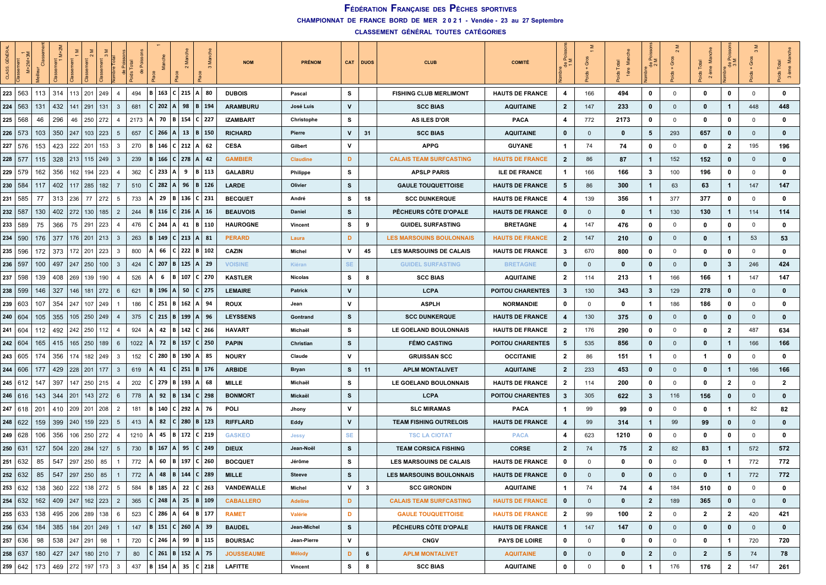**CHAMPIONNAT DE FRANCE BORD DE MER 2 0 2 1 - Vendée - 23 au 27 Septembre**

| CLASS                 | $M+2M$         |     | $M+2I$ |                           |             |                         |      |                                  |          |                              |              | <b>NOM</b>        | <b>PRÉNOM</b>   |           | CAT DUOS     | <b>CLUB</b>                     | <b>COMITÉ</b>           | $\tilde{\sigma}$ $\geq$<br>$\frac{e}{\sigma}$ | Ğ              | −.          | $\frac{e}{\sigma}$ | Ō              | Σ<br>ème<br>$\sim$ |              | Gros           | $\sim$                  |
|-----------------------|----------------|-----|--------|---------------------------|-------------|-------------------------|------|----------------------------------|----------|------------------------------|--------------|-------------------|-----------------|-----------|--------------|---------------------------------|-------------------------|-----------------------------------------------|----------------|-------------|--------------------|----------------|--------------------|--------------|----------------|-------------------------|
|                       | 223   563      | 113 | 314    | 201<br>113                | 249         | $\overline{4}$          | 494  | B                                |          | 163   C   215   A   80       |              | <b>DUBOIS</b>     | Pascal          | s         |              | <b>FISHING CLUB MERLIMONT</b>   | <b>HAUTS DE FRANCE</b>  | 4                                             | 166            | 494         | 0                  | $\mathbf 0$    | $\mathbf 0$        | 0            | $\mathbf 0$    | $\mathbf 0$             |
| 224                   | 563            | 131 | 432    | 291<br>141                | 131         | $\mathbf{3}$            | 681  | 202<br>$\mathsf{C}$              | <b>A</b> | 98                           | $B \mid 194$ | <b>ARAMBURU</b>   | José Luis       | v         |              | <b>SCC BIAS</b>                 | <b>AQUITAINE</b>        | $\mathbf{2}$                                  | 147            | 233         | $\mathbf 0$        | $\mathbf{0}$   | 0                  | $\mathbf{1}$ | 448            | 448                     |
| 225                   | 568            | 46  | 296    | 250<br>46                 | 272         | -4                      | 2173 | 70                               | l B      | 154                          | $C$   227    | <b>IZAMBART</b>   | Christophe      | s         |              | <b>AS ILES D'OR</b>             | <b>PACA</b>             | 4                                             | 772            | 2173        | 0                  | 0              | 0                  | $\mathbf 0$  | $\mathbf 0$    | $\mathbf 0$             |
|                       | 226   573      | 103 | 350    | 247                       | $103$   223 | 5                       | 657  | C.                               | $266$ A  | 13                           | B   150      | <b>RICHARD</b>    | Pierre          | v         | 31           | <b>SCC BIAS</b>                 | <b>AQUITAINE</b>        | $\mathbf 0$                                   | $\mathbf 0$    | $\mathbf 0$ | 5                  | 293            | 657                | $\mathbf 0$  | $\mathbf{0}$   | $\mathbf 0$             |
|                       | 227 576        | 153 | 423    | 222<br>201                | 153         | 3                       | 270  | B                                |          | 146   C   212   A   62       |              | <b>CESA</b>       | Gilbert         | v         |              | <b>APPG</b>                     | <b>GUYANE</b>           | -1                                            | 74             | 74          | 0                  | $\mathbf 0$    | 0                  | $\mathbf{2}$ | 195            | 196                     |
|                       | $228$ 577      | 115 | 328    | 213<br> 115               | 249         | $\overline{3}$          | 239  | IBI                              |          | 166 C 278 A 42               |              | <b>GAMBIER</b>    | <b>Claudine</b> | D         |              | <b>CALAIS TEAM SURFCASTING</b>  | <b>HAUTS DE FRANCE</b>  | $\mathbf{2}$                                  | 86             | 87          | $\mathbf{1}$       | 152            | 152                | $\mathbf 0$  | $\mathbf{0}$   | $\bullet$               |
| 229                   | 579            | 162 | 356    | 162<br>194                | 223         | $\overline{4}$          | 362  | 233<br>C                         | l A      | 9                            | B 113        | GALABRU           | Philippe        | s         |              | <b>APSLP PARIS</b>              | <b>ILE DE FRANCE</b>    | $\mathbf{1}$                                  | 166            | 166         | 3                  | 100            | 196                | 0            | $\mathbf 0$    | $\mathbf 0$             |
|                       | 230   584      | 117 | 402    | 117   285   182           |             | $\overline{7}$          | 510  | C I                              | 282  A   | 96                           | $B \mid 126$ | LARDE             | Olivier         | s         |              | <b>GAULE TOUQUETTOISE</b>       | <b>HAUTS DE FRANCE</b>  | 5                                             | 86             | 300         | $\mathbf{1}$       | 63             | 63                 | $\mathbf{1}$ | 147            | 147                     |
|                       | 231   585      | 77  | 313    | 236<br>77                 | 272         | - 5                     | 733  | 29<br>А                          | l B      | 136   C   231                |              | <b>BECQUET</b>    | André           | s         | 18           | <b>SCC DUNKERQUE</b>            | <b>HAUTS DE FRANCE</b>  | 4                                             | 139            | 356         | $\mathbf{1}$       | 377            | 377                | 0            | $\mathbf 0$    | $\mathbf 0$             |
| 232   587             |                | 130 | 402    | 272<br>130                | 185         | $\overline{2}$          | 244  | IBI                              |          | 116   C   216   A   16       |              | <b>BEAUVOIS</b>   | Daniel          | s         |              | PÊCHEURS CÔTE D'OPALE           | <b>HAUTS DE FRANCE</b>  | $\mathbf 0$                                   | $\mathbf 0$    | 0           | $\mathbf{1}$       | 130            | 130                | $\mathbf{1}$ | 114            | 114                     |
| 233                   | 589            | 75  | 366    | 75<br>291                 | 223         | 4                       | 476  | 244<br>c                         | l A      | 41                           | B 110        | <b>HAUROGNE</b>   | <b>Vincent</b>  | s         | 9            | <b>GUIDEL SURFASTING</b>        | <b>BRETAGNE</b>         | 4                                             | 147            | 476         | 0                  | $\mathbf 0$    | 0                  | 0            | $\mathbf 0$    | $\mathbf 0$             |
|                       | 234   590      | 176 | 377    | $176$   201   213         |             | $\overline{\mathbf{3}}$ | 263  | В.                               |          | 149   C   213   A   81       |              | <b>PERARD</b>     | Laura           | D         |              | <b>LES MARSOUINS BOULONNAIS</b> | <b>HAUTS DE FRANCE</b>  | $\mathbf{2}$                                  | 147            | 210         | $\mathbf 0$        | $\mathbf{0}$   | $\mathbf 0$        | $\mathbf{1}$ | 53             | 53                      |
|                       | 235   596      | 172 | 373    | 172<br>  201              | 223         | 3                       | 800  | 66                               |          | $ C $ 222   B   102          |              | CAZIN             | Michel          | v         | 45           | <b>LES MARSOUINS DE CALAIS</b>  | <b>HAUTS DE FRANCE</b>  | 3                                             | 670            | 800         | 0                  | 0              | 0                  | 0            | $\mathbf 0$    | $\mathbf 0$             |
| 236   597             |                | 100 | 497    | 247<br>250                | 100         | $\mathbf{3}$            | 424  | 207<br>C I                       | l B      | 125  A  29                   |              | <b>VOISINE</b>    | Kiéran          | <b>SE</b> |              | <b>GUIDEL SURFASTING</b>        | <b>BRETAGNE</b>         | 0                                             | $\mathbf 0$    | 0           | $\mathbf 0$        | $\mathbf{0}$   | 0                  | 3            | 246            | 424                     |
| 237                   | 598            | 139 | 408    | 269<br>139                | 190         | $\overline{4}$          | 526  | 6                                | l B      | 107                          | $C$   270    | <b>KASTLER</b>    | <b>Nicolas</b>  | s         | 8            | <b>SCC BIAS</b>                 | <b>AQUITAINE</b>        | $\mathbf{2}$                                  | 114            | 213         | 1                  | 166            | 166                | 1            | 147            | 147                     |
|                       | 238   599      | 146 | 327    | 146<br>181                | 272         | - 6                     | 621  | $\cdot$ B.                       | $196$ A  | 50                           | $C$   275    | <b>LEMAIRE</b>    | Patrick         | V         |              | <b>LCPA</b>                     | <b>POITOU CHARENTES</b> | $\mathbf{3}$                                  | 130            | 343         | 3                  | 129            | 278                | $\bf{0}$     | $\mathbf{0}$   | $\bf{0}$                |
|                       | 239 603        | 107 | 354    | 247                       | 107 249     |                         | 186  |                                  |          | $C$   251   B   162   A   94 |              | <b>ROUX</b>       | Jean            | v         |              | <b>ASPLH</b>                    | <b>NORMANDIE</b>        | 0                                             | $\mathbf 0$    | 0           | $\mathbf{1}$       | 186            | 186                | 0            | $\mathbf 0$    | $\mathbf 0$             |
|                       | 240   604      | 105 | 355    | 105<br> 250               | 249         | -4                      | 375  | 215<br>C.                        | l B      | 199                          | $A \mid 96$  | <b>LEYSSENS</b>   | Gontrand        | s         |              | <b>SCC DUNKERQUE</b>            | <b>HAUTS DE FRANCE</b>  | 4                                             | 130            | 375         | $\mathbf{0}$       | $\mathbf{0}$   | $\bf{0}$           | $\bf{0}$     | $\mathbf{0}$   | $\mathbf 0$             |
|                       | 241   604      | 112 | 492    | 242<br>250                | 112         | $\overline{4}$          | 924  | 42<br>A                          | l R      | 142                          | $C$   266    | <b>HAVART</b>     | Michaël         | s         |              | LE GOELAND BOULONNAIS           | <b>HAUTS DE FRANCE</b>  | $\mathbf{2}$                                  | 176            | 290         | 0                  | 0              | $\mathbf 0$        | 2            | 487            | 634                     |
|                       | 242   604      | 165 | 415    | 165<br>$\vert$ 250        | 189         | 6                       | 1022 | 72                               | B        | 157                          | $C$   250    | <b>PAPIN</b>      | Christian       | s         |              | <b>FÉMO CASTING</b>             | <b>POITOU CHARENTES</b> | 5                                             | 535            | 856         | $\mathbf 0$        | $\mathbf{0}$   | $\mathbf{0}$       | $\mathbf{1}$ | 166            | 166                     |
|                       | 243   605      | 174 | 356    | 174                       | 182<br>249  | $\mathbf{3}$            | 152  | C.                               |          | 280   B   190   A   85       |              | <b>NOURY</b>      | Claude          | v         |              | <b>GRUISSAN SCC</b>             | <b>OCCITANIE</b>        | $\mathbf{2}$                                  | 86             | 151         | $\mathbf{1}$       | $\mathbf 0$    | -1                 | 0            | $\mathbf 0$    | $\mathbf 0$             |
|                       | 244   606      | 177 | 429    | 228<br>  201              | 177         | $\mathbf{3}$            | 619  | 41                               |          | $C$   251   B   176          |              | <b>ARBIDE</b>     | Bryan           | s         | 11           | <b>APLM MONTALIVET</b>          | <b>AQUITAINE</b>        | $\mathbf{2}$                                  | 233            | 453         | $\bf{0}$           | $\mathbf{0}$   | 0                  | $\mathbf{1}$ | 166            | 166                     |
|                       | $245 \mid 612$ | 147 | 397    | 147<br>250                | 215         | $\overline{4}$          | 202  | 279<br>C I                       | l B      | 193                          | 68           | <b>MILLE</b>      | Michaël         | s         |              | LE GOELAND BOULONNAIS           | <b>HAUTS DE FRANCE</b>  | $\mathbf{2}$                                  | 114            | 200         | 0                  | 0              | 0                  | 2            | $\mathbf 0$    | $\overline{\mathbf{2}}$ |
| 246                   | -616           | 143 | 344    | 201<br>143                | 272         | 6                       | 778  | 92                               | B        | 134                          | $C$   298    | <b>BONMORT</b>    | Mickaël         | s         |              | <b>LCPA</b>                     | <b>POITOU CHARENTES</b> | 3                                             | 305            | 622         | $\mathbf{3}$       | 116            | 156                | $\bf{0}$     | $\mathbf{0}$   | $\mathbf{0}$            |
|                       | 247   618      | 201 | 410    | 209                       | 201   208   | $\overline{2}$          | 181  | B   140   C   292   A   76       |          |                              |              | POLI              | Jhony           | v         |              | <b>SLC MIRAMAS</b>              | <b>PACA</b>             | $\mathbf{1}$                                  | 99             | 99          | 0                  | $\mathbf 0$    | 0                  | -1           | 82             | 82                      |
|                       | 248   622      | 159 | 399    | 240                       | 159   223   | - 5                     | 413  | 82<br>$\mathbf{A}$               |          | C 280 B 123                  |              | <b>RIFFLARD</b>   | Eddy            | v         |              | <b>TEAM FISHING OUTRELOIS</b>   | <b>HAUTS DE FRANCE</b>  | 4                                             | 99             | 314         | $\mathbf{1}$       | 99             | 99                 | $\mathbf 0$  | $\mathbf{0}$   | $\bf{0}$                |
|                       | 249   628      | 106 | 356    | 106<br>250                | 272         | $\overline{4}$          | 1210 | 45                               | B        | 172                          | $C$   219    | <b>GASKEO</b>     | Jessy           | <b>SE</b> |              | <b>TSC LA CIOTAT</b>            | <b>PACA</b>             | 4                                             | 623            | 1210        | 0                  | 0              | 0                  | 0            | $\mathbf 0$    | $\mathbf 0$             |
| 250   63 <sup>-</sup> |                | 127 | 504    | 220<br>284                | 127         | 5                       | 730  | 167<br>B                         | l A      | 95                           | $C$   249    | <b>DIEUX</b>      | Jean-Noël       | s         |              | <b>TEAM CORSICA FISHING</b>     | <b>CORSE</b>            | $\mathbf{2}$                                  | 74             | 75          | $\overline{2}$     | 82             | 83                 | $\mathbf{1}$ | 572            | 572                     |
|                       | 251   632      | 85  | 547    | 297<br>250                | 85          | 1                       | 772  | 60                               | l B      | 197                          | $C$   260    | <b>BOCQUET</b>    | Jérôme          | s         |              | LES MARSOUINS DE CALAIS         | <b>HAUTS DE FRANCE</b>  | $\bf{0}$                                      | 0              | 0           | 0                  | $\mathbf 0$    | 0                  | -1           | 772            | 772                     |
|                       | 252 632        | 85  | 547    | 297<br>250                | 85          |                         | 772  | 48<br>ΙA                         |          | B   144   C   289            |              | <b>MILLE</b>      | <b>Steeve</b>   | s         |              | <b>LES MARSOUINS BOULONNAIS</b> | <b>HAUTS DE FRANCE</b>  | $\mathbf 0$                                   | $\Omega$       | 0           | $\bf{0}$           | $\Omega$       | 0                  | $\mathbf 1$  | 772            | 772                     |
|                       | 253 632        | 138 |        | 360 222 138 272           |             | 5                       | 584  | B   185   A   22   C   263       |          |                              |              | VANDEWALLE        | Michel          | v         | $\mathbf{3}$ | <b>SCC GIRONDIN</b>             | <b>AQUITAINE</b>        | $\mathbf{1}$                                  | 74             | 74          | 4                  | 184            | 510                | 0            | $\mathbf 0$    | $\mathbf 0$             |
|                       | 254   632      | 162 |        | 409 247 162 223 2         |             |                         | 365  | $ C $ 248   A   25   B   109     |          |                              |              | <b>CABALLERO</b>  | <b>Adeline</b>  | D         |              | <b>CALAIS TEAM SURFCASTING</b>  | <b>HAUTS DE FRANCE</b>  | $\mathbf{0}$                                  | $\overline{0}$ | $\bf{0}$    | $\mathbf{2}$       | 189            | 365                | $\bf{0}$     | $\overline{0}$ | $\bf{0}$                |
|                       | 255 633        | 138 |        | 495   206   289   138   6 |             |                         | 523  |                                  |          | $C$ 286 A 64 B 177           |              | <b>RAMET</b>      | Valérie         | D         |              | <b>GAULE TOUQUETTOISE</b>       | <b>HAUTS DE FRANCE</b>  | $\mathbf{2}$                                  | 99             | 100         | $\mathbf{2}$       | $\mathbf 0$    | $\mathbf{2}$       | $\mathbf{2}$ | 420            | 421                     |
|                       | 256   634      | 184 |        | 385   184   201   249   1 |             |                         |      | 147   B   151   C   260   A   39 |          |                              |              | <b>BAUDEL</b>     | Jean-Michel     | s         |              | PÊCHEURS CÔTE D'OPALE           | <b>HAUTS DE FRANCE</b>  | $\mathbf{1}$                                  | 147            | 147         | $\bf{0}$           | $\mathbf 0$    | 0                  | $\bf{0}$     | $\overline{0}$ | $\bf{0}$                |
|                       | 257 636        | 98  |        | 538 247 291 98            |             | $\mathbf{1}$            |      | 720   C   246   A   99   B   115 |          |                              |              | <b>BOURSAC</b>    | Jean-Pierre     | v         |              | <b>CNGV</b>                     | PAYS DE LOIRE           | $\mathbf 0$                                   | $\mathbf 0$    | 0           | 0                  | $\mathbf 0$    | 0                  | $\mathbf{1}$ | 720            | 720                     |
|                       | 258   637      | 180 | 427    | 247 180 210 7             |             |                         | 80   | $ C $ 261   B   152   A   75     |          |                              |              | <b>JOUSSEAUME</b> | <b>Mélody</b>   | D         | 6            | <b>APLM MONTALIVET</b>          | <b>AQUITAINE</b>        | $\mathbf{0}$                                  | $\mathbf 0$    | 0           | $\mathbf{2}$       | $\overline{0}$ | $\mathbf{2}$       | 5            | 74             | 78                      |
|                       | 259   642      | 173 |        | 469   272   197   173   3 |             |                         | 437  | B 154 A 35                       |          |                              | $C$ 218      | <b>LAFITTE</b>    | Vincent         | s         | 8            | <b>SCC BIAS</b>                 | <b>AQUITAINE</b>        | $\mathbf 0$                                   | $\mathbf 0$    | 0           | $\mathbf{1}$       | 176            | 176                | $\mathbf{2}$ | 147            | 261                     |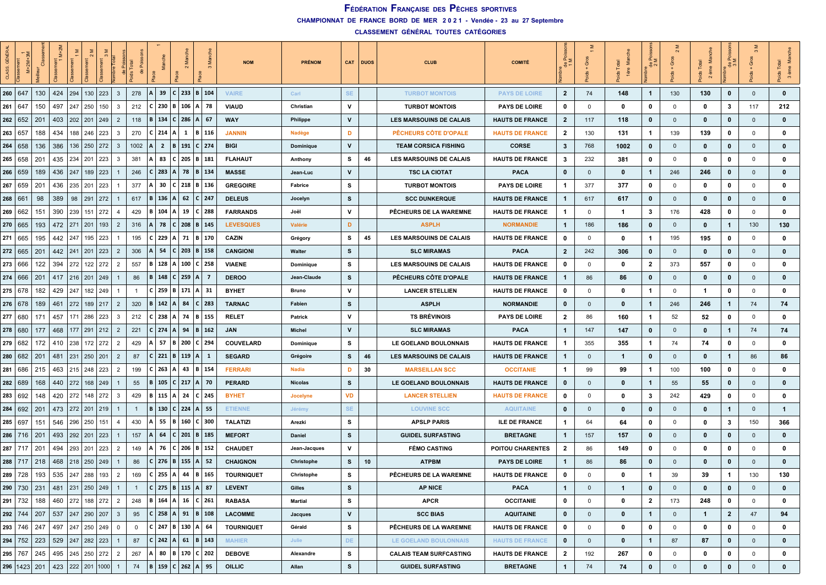| <b>GÉNÉR</b><br>CLASS. |             |     | ż                                           |         |                       |     |                | 용            |   | Ξ                               |                     |                   |                              | <b>NOM</b>        | <b>PRÉNOM</b>    |           | CAT DUOS | <b>CLUB</b>                    | <b>COMITÉ</b>           | $rac{p}{1}$    | ত            | å<br>ds Tota<br>lère    | ∝ ≥            | Ö            | 台            | ≙≙           | $\infty$<br>Ō | š<br>ids Total<br>3 ème |
|------------------------|-------------|-----|---------------------------------------------|---------|-----------------------|-----|----------------|--------------|---|---------------------------------|---------------------|-------------------|------------------------------|-------------------|------------------|-----------|----------|--------------------------------|-------------------------|----------------|--------------|-------------------------|----------------|--------------|--------------|--------------|---------------|-------------------------|
| 260   647              |             | 130 | 424                                         | 294     | 130   223             |     | $\mathbf{3}$   | 278          |   | 39                              | $\mathbf{C}$        |                   | 233 B 104                    | <b>VAIRE</b>      | Carl             | <b>SE</b> |          | <b>TURBOT MONTOIS</b>          | <b>PAYS DE LOIRE</b>    | $\overline{2}$ | 74           | 148                     | $\mathbf{1}$   | 130          | 130          | 0            | $\mathbf 0$   | $\mathbf{0}$            |
| 261                    | 647         | 150 | 497                                         |         | 247 250               | 150 | $\mathbf{3}$   | 212          |   | 230                             | B                   |                   | $106$   A   78               | <b>VIAUD</b>      | Christian        | v         |          | <b>TURBOT MONTOIS</b>          | <b>PAYS DE LOIRE</b>    | 0              | $\mathbf 0$  | $\mathbf 0$             | $\mathbf{0}$   | $\mathbf 0$  | 0            | 3            | 117           | 212                     |
| 262   652              |             | 201 | 403                                         |         | 202 201 249           |     | $\overline{2}$ | 118          |   | 134                             | 286<br>$\mathbf{C}$ |                   | $ A $ 67                     | <b>WAY</b>        | <b>Philippe</b>  | v         |          | LES MARSOUINS DE CALAIS        | <b>HAUTS DE FRANCE</b>  | $\mathbf{2}$   | 117          | 118                     | 0              | $\mathbf 0$  | $\bf{0}$     | 0            | $\mathbf{0}$  | $\mathbf 0$             |
| 263   657              |             | 188 | 434                                         |         | 188   246   223       |     | 3              | 270          |   | $C$ 214                         | 1<br>A              |                   | B   116                      | <b>JANNIN</b>     | Nadège           | D         |          | PÊCHEURS CÔTE D'OPALE          | <b>HAUTS DE FRANCE</b>  | $\mathbf{2}$   | 130          | 131                     | $\mathbf{1}$   | 139          | 139          | 0            | $\mathbf 0$   | 0                       |
| 264   658              |             | 136 | 386                                         |         | 136   250   272       |     | $\mathbf{3}$   | 1002         |   | $\overline{2}$                  | B                   |                   | 191   C   274                | <b>BIGI</b>       | <b>Dominique</b> | V         |          | <b>TEAM CORSICA FISHING</b>    | <b>CORSE</b>            | 3              | 768          | 1002                    | $\mathbf{0}$   | $\mathbf{0}$ | 0            | 0            | $\Omega$      | $\mathbf 0$             |
|                        | 265   658   | 201 | 435                                         |         | 234   201             | 223 | $\mathbf{3}$   | 381          |   | 83                              |                     |                   | $205$ B $181$                | <b>FLAHAUT</b>    | Anthony          | s         | 46       | LES MARSOUINS DE CALAIS        | <b>HAUTS DE FRANCE</b>  | 3              | 232          | 381                     | 0              | 0            | 0            | 0            | 0             | 0                       |
|                        | 266   659   | 189 | 436                                         |         | 247   189   223       |     |                | 246          |   | 283                             | 78                  |                   | B   134                      | <b>MASSE</b>      | Jean-Luc         | V         |          | <b>TSC LA CIOTAT</b>           | <b>PACA</b>             | $\bf{0}$       | $\mathbf{0}$ | $\bf{0}$                | 1              | 246          | 246          | 0            | $\mathbf{0}$  | $\mathbf 0$             |
|                        | 267   659   | 201 | 436                                         |         | 235   201   223       |     |                | 377          |   | 30                              |                     |                   | $C$   218   B   136          | <b>GREGOIRE</b>   | Fabrice          | s         |          | <b>TURBOT MONTOIS</b>          | <b>PAYS DE LOIRE</b>    | 1              | 377          | 377                     | 0              | 0            | 0            | 0            | $\mathbf 0$   | 0                       |
| 268   661              |             | 98  | 389                                         |         | 98 291 272            |     |                | 617          |   | 136                             | 62                  |                   | C 247                        | <b>DELEUS</b>     | Jocelyn          | s         |          | <b>SCC DUNKERQUE</b>           | <b>HAUTS DE FRANCE</b>  | 1              | 617          | 617                     | $\mathbf 0$    | $\mathbf{0}$ | 0            | 0            | $\Omega$      | $\mathbf 0$             |
|                        | 269   662   | 151 | 390                                         | 239     | 151   272             |     | $\overline{4}$ | 429          |   | 104                             |                     | 19                | $C$   288                    | <b>FARRANDS</b>   | Joël             | V         |          | PÊCHEURS DE LA WAREMNE         | <b>HAUTS DE FRANCE</b>  | -1             | $\mathbf 0$  | $\overline{\mathbf{1}}$ | 3              | 176          | 428          | 0            | $\Omega$      | 0                       |
|                        | 270 665     | 193 | 472                                         | 271 201 |                       | 193 | $\overline{2}$ | 316          |   | 78                              | 208<br>$\mathbf{C}$ |                   | B 145                        | <b>LEVESQUES</b>  | Valérie          | D         |          | <b>ASPLH</b>                   | <b>NORMANDIE</b>        | $\mathbf{1}$   | 186          | 186                     | 0              | $\mathbf{0}$ | $\bf{0}$     | $\mathbf{1}$ | 130           | 130                     |
| 271 665                |             | 195 | 442                                         |         | 247   195   223       |     |                | 195          |   | 229                             | 71                  |                   | B   170                      | CAZIN             | Grégory          | s         | 45       | <b>LES MARSOUINS DE CALAIS</b> | <b>HAUTS DE FRANCE</b>  | 0              | 0            | $\mathbf 0$             | $\mathbf 1$    | 195          | 195          | 0            | $\mathbf 0$   | $\mathbf 0$             |
|                        | 272   665   | 201 | 442                                         |         | 241 201 223           |     | $\overline{2}$ | 306          |   | 54                              | $C$ 203             |                   | B   158                      | <b>CANGIONI</b>   | Walter           | s         |          | <b>SLC MIRAMAS</b>             | <b>PACA</b>             | $\mathbf{2}$   | 242          | 306                     | 0              | $\mathbf 0$  | $\bf{0}$     | $\bf{0}$     | $\mathbf{0}$  | $\mathbf 0$             |
|                        | 273 666     | 122 | 394                                         | 272     | 122 272               |     | $\overline{2}$ | 557          | в | 128                             |                     | 100               | C 258                        | <b>VIAENE</b>     | Dominique        | s         |          | LES MARSOUINS DE CALAIS        | <b>HAUTS DE FRANCE</b>  | 0              | 0            | 0                       | $\mathbf{2}$   | 373          | 557          | 0            | $\Omega$      | 0                       |
|                        | 274   666   | 201 | 417                                         |         | $216$ 201 249         |     |                | 86           |   | <b>B</b>   148                  | $C$ 259             |                   | 1 A 1 7                      | <b>DEROO</b>      | Jean-Claude      | s         |          | PÊCHEURS CÔTE D'OPALE          | <b>HAUTS DE FRANCE</b>  | -1             | 86           | 86                      | 0              | $\mathbf 0$  | $\mathbf{0}$ | 0            | $\mathbf{0}$  | $\mathbf 0$             |
|                        | 275   678   | 182 | 429                                         |         | 247 182 249           |     |                | -1           |   | 259                             | 171<br>B            |                   | A 31                         | <b>BYHET</b>      | Bruno            | v         |          | <b>LANCER STELLIEN</b>         | <b>HAUTS DE FRANCE</b>  | 0              | 0            | $\mathbf 0$             | -1             | 0            | -1           | 0            | $\mathbf 0$   | $\mathbf 0$             |
|                        | 276   678   | 189 | 461                                         |         | 272 189 217           |     | $\overline{2}$ | 320          |   | <b>B</b> 142                    | A                   | 84                | $C$ 283                      | TARNAC            | Fabien           | s         |          | <b>ASPLH</b>                   | <b>NORMANDIE</b>        | $\bf{0}$       | $\mathbf{0}$ | $\mathbf 0$             | $\overline{1}$ | 246          | 246          | 1            | 74            | 74                      |
|                        | 277 680     | 171 | 457                                         |         | 171   286   223       |     | 3              | 212          |   | 238                             | 74<br>Α             |                   | B   155                      | <b>RELET</b>      | <b>Patrick</b>   | v         |          | <b>TS BRÉVINOIS</b>            | <b>PAYS DE LOIRE</b>    | $\mathbf{2}$   | 86           | 160                     | $\mathbf{1}$   | 52           | 52           | 0            | $\Omega$      | $\mathbf 0$             |
| 278 680                |             | 177 | 468                                         |         | 177   291   212       |     | $\overline{2}$ | 221          |   | $C$ 274                         | 94                  |                   | B   162                      | <b>JAN</b>        | <b>Michel</b>    | v         |          | <b>SLC MIRAMAS</b>             | <b>PACA</b>             | $\mathbf{1}$   | 147          | 147                     | $\mathbf 0$    | $\mathbf 0$  | $\mathbf{0}$ | 1            | 74            | 74                      |
| 279 682                |             | 172 | 410                                         |         | 238 172 272           |     | $\overline{2}$ | 429          |   | 57                              | 200                 |                   | $C$   294                    | COUVELARD         | Dominique        | s         |          | LE GOELAND BOULONNAIS          | <b>HAUTS DE FRANCE</b>  | 1              | 355          | 355                     | $\mathbf{1}$   | 74           | 74           | 0            | $\Omega$      | $\mathbf 0$             |
|                        | 280   682   | 201 | 481                                         |         | 231 250 201           |     | $\overline{2}$ | 87           |   | C 221                           | B                   | $119 \mid A \mid$ | -1                           | <b>SEGARD</b>     | Grégoire         | s         | 46       | LES MARSOUINS DE CALAIS        | <b>HAUTS DE FRANCE</b>  | $\mathbf{1}$   | $\mathbf{0}$ | $\overline{1}$          | 0              | $\mathbf 0$  | $\bf{0}$     | 1            | 86            | 86                      |
|                        | 281 686     | 215 | 463                                         |         | 215   248   223       |     | $\overline{2}$ | 199          |   | 263                             | 43                  |                   | B   154                      | <b>FERRARI</b>    | <b>Nadia</b>     | D         | 30       | <b>MARSEILLAN SCC</b>          | <b>OCCITANIE</b>        | 1              | 99           | 99                      | $\mathbf{1}$   | 100          | 100          | 0            | $\Omega$      | 0                       |
|                        | 282   689   | 168 | 440                                         |         | 272   168   249       |     |                | 55           |   | 105                             | 217<br><b>C</b>     |                   | A   70                       | <b>PERARD</b>     | <b>Nicolas</b>   | s         |          | LE GOELAND BOULONNAIS          | <b>HAUTS DE FRANCE</b>  | 0              | $\mathbf{0}$ | 0                       | -1             | 55           | 55           | 0            | $\Omega$      | $\mathbf 0$             |
| 283                    | 692         | 148 | 420                                         | 272     | 148 272               |     | $\mathbf{3}$   | 429          |   | 115                             | 24                  |                   | $C$ 245                      | <b>BYHET</b>      | <b>Jocelyne</b>  | VD        |          | <b>LANCER STELLIEN</b>         | <b>HAUTS DE FRANCE</b>  | 0              | 0            | $\mathbf 0$             | 3              | 242          | 429          | 0            | $\Omega$      | 0                       |
|                        | 284 692     | 201 | 473                                         |         | 272 201 219           |     |                |              |   | 130                             | $C$ 224 A 55        |                   |                              | <b>ETIENNE</b>    | Jérémy           | <b>SE</b> |          | <b>LOUVINE SCC</b>             | <b>AQUITAINE</b>        | $\bf{0}$       | $\mathbf{0}$ | $\mathbf 0$             | $\mathbf{0}$   | $\mathbf 0$  | $\bf{0}$     | 1            | $\Omega$      | $\mathbf{1}$            |
| 285 697                |             | 151 |                                             |         | 546   296   250   151 |     | -4             | 430          |   | 55                              | <b>B</b>            |                   | 160 $C$ 300                  | <b>TALATIZI</b>   | Arezki           | s         |          | <b>APSLP PARIS</b>             | <b>ILE DE FRANCE</b>    | 1              | 64           | 64                      | 0              | $\mathbf 0$  | 0            | 3            | 150           | 366                     |
|                        | $286$   716 | 201 | 493                                         |         | 292   201   223       |     |                | 157          |   | 64                              | 201<br>C            |                   | B   185                      | <b>MEFORT</b>     | <b>Daniel</b>    | s         |          | <b>GUIDEL SURFASTING</b>       | <b>BRETAGNE</b>         | $\mathbf{1}$   | 157          | 157                     | 0              | $\mathbf{0}$ | $\bf{0}$     | 0            | $\mathbf{0}$  | $\mathbf 0$             |
|                        | 287 717     | 201 | 494                                         | 293     | 201                   | 223 | $\overline{2}$ | 149          |   | 76                              | 206<br>$\epsilon$   |                   | B   152                      | <b>CHAUDET</b>    | Jean-Jacques     | v         |          | <b>FÉMO CASTING</b>            | <b>POITOU CHARENTES</b> | 2              | 86           | 149                     | $\mathbf{0}$   | 0            | 0            | 0            | $\mathbf 0$   | 0                       |
|                        | 288 717     | 218 | 468                                         |         | 218 250 249           |     |                | 86           |   | 276                             | B                   | 155               | A   52                       | <b>CHAIGNON</b>   | Christophe       | s         | 10       | <b>ATPBM</b>                   | <b>PAYS DE LOIRE</b>    | $\mathbf{1}$   | 86           | 86                      | 0              | $\mathbf 0$  | $\bf{0}$     | 0            | $\mathbf{0}$  | $\mathbf 0$             |
|                        | 289 728     | 193 |                                             |         | 535 247 288 193       |     | $\overline{2}$ | 169          |   | 255 A                           |                     | 44                | B   165                      | <b>TOURNIQUET</b> | Christophe       | s         |          | PÊCHEURS DE LA WAREMNE         | <b>HAUTS DE FRANCE</b>  | 0              | $\Omega$     | $\mathbf{0}$            | $\mathbf 1$    | 39           | 39           | 1            | 130           | 130                     |
|                        |             |     | 290   730   231   481   231   250   249     |         |                       |     |                | $\mathbf{1}$ |   | C   275   B   115   A   87      |                     |                   |                              | <b>LEVENT</b>     | Gilles           | s         |          | <b>AP NICE</b>                 | <b>PACA</b>             | $\mathbf{1}$   | $\mathbf{0}$ | $\mathbf{1}$            | $\mathbf 0$    | $\mathbf{0}$ | $\mathbf{0}$ | 0            | $\mathbf{0}$  | $\mathbf 0$             |
|                        | 291 732     | 188 | 460   272   188   272   2                   |         |                       |     |                | 248          |   |                                 |                     |                   | B   164   A   16   C   261   | <b>RABASA</b>     | <b>Martial</b>   | s         |          | <b>APCR</b>                    | <b>OCCITANIE</b>        | 0              | $\mathbf 0$  | 0                       | $\mathbf{2}$   | 173          | 248          | 0            | $\mathbf 0$   | 0                       |
|                        | 292 744     |     | 207 537 247 290 207 3                       |         |                       |     |                | 95           |   |                                 |                     |                   | $ C $ 258   A   91   B   108 | <b>LACOMME</b>    | Jacques          | V         |          | <b>SCC BIAS</b>                | <b>AQUITAINE</b>        | $\mathbf 0$    | $\mathbf 0$  | $\mathbf{0}$            | $\mathbf{1}$   | $\mathbf{0}$ | 1            | $\mathbf{2}$ | 47            | 94                      |
|                        |             |     | 293   746   247   497   247   250   249   0 |         |                       |     |                | $\mathbf 0$  |   | $C$ 247   B   130   A   64      |                     |                   |                              | <b>TOURNIQUET</b> | Gérald           | s         |          | PÊCHEURS DE LA WAREMNE         | <b>HAUTS DE FRANCE</b>  | 0              | 0            | $\mathbf 0$             | $\mathbf 0$    | $\mathbf{0}$ | 0            | 0            | $\mathbf 0$   | $\mathbf 0$             |
|                        |             |     | 294   752   223   529   247   282   223   1 |         |                       |     |                | 87           |   |                                 |                     |                   | $ C $ 242   A   61   B   143 | <b>MAHIER</b>     | Julie            | DE        |          | LE GOELAND BOULONNAIS          | <b>HAUTS DE FRANCE</b>  | $\bf{0}$       | $\mathbf 0$  | $\mathbf 0$             | $\mathbf{1}$   | 87           | 87           | $\bf{0}$     | $\mathbf{0}$  | $\mathbf 0$             |
|                        | 295 767     |     | 245 495 245 250 272 2                       |         |                       |     |                | 267          | A |                                 |                     |                   | 80   B   170   C   202       | <b>DEBOVE</b>     | Alexandre        | s         |          | <b>CALAIS TEAM SURFCASTING</b> | <b>HAUTS DE FRANCE</b>  | $\mathbf{2}$   | 192          | 267                     | 0              | 0            | 0            | 0            | 0             | 0                       |
|                        |             |     | 296   1423   201   423   222   201   1000   |         |                       |     |                |              |   | 74   B   159   C   262   A   95 |                     |                   |                              | <b>OILLIC</b>     | Allan            | s         |          | <b>GUIDEL SURFASTING</b>       | <b>BRETAGNE</b>         | $\mathbf{1}$   | 74           | 74                      | $\mathbf 0$    | $\mathbf 0$  | $\mathbf{0}$ | $\mathbf{0}$ | $\mathbf 0$   | $\mathbf{0}$            |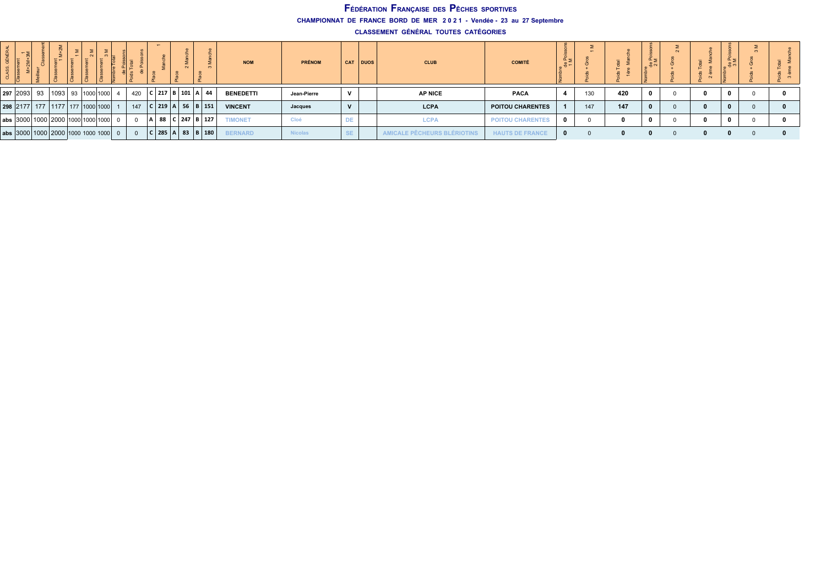**CHAMPIONNAT DE FRANCE BORD DE MER 2 0 2 1 - Vendée - 23 au 27 Septembre**

| – 3 |                                                                                   |  |          |     |  |                          |  | <b>NOM</b>       | <b>PRÉNOM</b>  |              | CAT DUOS | <b>CLUB</b>             | <b>COMITÉ</b>           | $rac{p}{p+q}$ | -   |     |  |  |  |
|-----|-----------------------------------------------------------------------------------|--|----------|-----|--|--------------------------|--|------------------|----------------|--------------|----------|-------------------------|-------------------------|---------------|-----|-----|--|--|--|
|     | 297   2093   93   1093   93   1000   1000                                         |  |          | 420 |  | $217$ B 101 A 44         |  | <b>BENEDETTI</b> | Jean-Pierre    | $\mathbf{v}$ |          | <b>AP NICE</b>          | <b>PACA</b>             |               | 130 | 420 |  |  |  |
|     | 298 2177 177 1177 177 1000 1000                                                   |  |          | 147 |  | 219 A 56 B 151           |  | <b>VINCENT</b>   | Jacques        | $\mathbf{v}$ |          | <b>LCPA</b>             | POITOU CHARENTES        |               | 147 | 147 |  |  |  |
|     | abs $ 3000 1000 2000 1000 1000 1000 $                                             |  | $\Omega$ |     |  | 88 C 247 B 127           |  | <b>TIMONET</b>   | Cloé           | <b>DE</b>    |          | <b>LCPA</b>             | <b>POITOU CHARENTES</b> |               |     |     |  |  |  |
|     | $\vert$ abs $\vert$ 3000 $\vert$ 1000 $\vert$ 2000 $\vert$ 1000 1000 1000 $\vert$ |  |          |     |  | 2 285   A   83   B   180 |  | <b>BERNARD</b>   | <b>Nicolas</b> | <b>SE</b>    |          | ALE PÊCHEURS BLÉRIOTINS | <b>HAUTS DE FRANCE</b>  | $\bf{0}$      |     |     |  |  |  |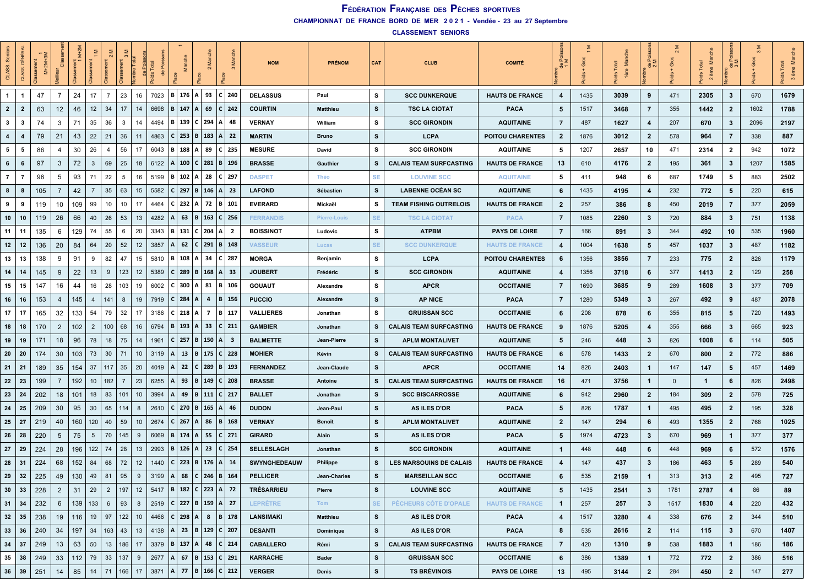| Sen<br>CLASS.           | ĜÊ<br>ASS.              | sement<br>$M+2M+$ |                | š<br>某는               |     |                       |    |      |           | Š              |                 |        |                                   | <b>NOM</b>          | <b>PRÉNOM</b>    | CAT       | <b>CLUB</b>                    | <b>COMITÉ</b>           | မီ                      | Gro  | Ξ<br>1ère | . 풍 여          |             | <b>SP</b><br>Tota<br>ème<br>$\sim$ | α,<br>8                 |      | ึ≊<br>F<br>$\boldsymbol{\infty}$ |
|-------------------------|-------------------------|-------------------|----------------|-----------------------|-----|-----------------------|----|------|-----------|----------------|-----------------|--------|-----------------------------------|---------------------|------------------|-----------|--------------------------------|-------------------------|-------------------------|------|-----------|----------------|-------------|------------------------------------|-------------------------|------|----------------------------------|
| $\overline{1}$          |                         | 47                | $\overline{7}$ | 17<br>24              |     | 23<br>$\overline{7}$  | 16 |      | 7023      | <b>B</b> 176   | A               | 93     | $C$ 240                           | <b>DELASSUS</b>     | Paul             | s         | <b>SCC DUNKERQUE</b>           | <b>HAUTS DE FRANCE</b>  | $\overline{4}$          | 1435 | 3039      | 9              | 471         | 2305                               | 3                       | 670  | 1679                             |
| $\overline{2}$          | $\overline{2}$          | 63                | 12             | 46<br>12              | 34  | 17                    | 14 |      | 6698      | $B \mid 147$   | $\mathsf{A}$    | 69     | C   242                           | <b>COURTIN</b>      | <b>Matthieu</b>  | s         | <b>TSC LA CIOTAT</b>           | <b>PACA</b>             | 5                       | 1517 | 3468      | $\overline{7}$ | 355         | 1442                               | $\mathbf{2}$            | 1602 | 1788                             |
| $\mathbf{3}$            | - 3                     | 74                | 3              | 35<br>71              | 36  | 3                     | 14 |      | 4494      | <b>B</b> 139   | C.              | 294    | ΙA<br>-48                         | <b>VERNAY</b>       | William          | s         | <b>SCC GIRONDIN</b>            | <b>AQUITAINE</b>        | 7                       | 487  | 1627      | 4              | 207         | 670                                | 3                       | 2096 | 2197                             |
| $\overline{\mathbf{4}}$ | $\overline{\mathbf{A}}$ | 79                | 21             | 22<br>43              | 21  | 36                    | 11 | 4863 |           | $C$ 253        | в               | 183    | l A<br>22                         | <b>MARTIN</b>       | <b>Bruno</b>     | s         | <b>LCPA</b>                    | <b>POITOU CHARENTES</b> | $\overline{2}$          | 1876 | 3012      | $\overline{2}$ | 578         | 964                                | 7                       | 338  | 887                              |
| 5                       | - 5                     | 86                | 4              | 30<br>26              |     | 56<br>4               | 17 |      | 6043      | B 188          |                 | A   89 | C   235                           | <b>MESURE</b>       | David            | s         | <b>SCC GIRONDIN</b>            | <b>AQUITAINE</b>        | 5                       | 1207 | 2657      | 10             | 471         | 2314                               | $\mathbf{2}$            | 942  | 1072                             |
| 6                       | -6                      | 97                | 3              | 72<br>$\mathbf{3}$    | 69  | 25                    | 18 |      | 6122      | 100            | C I             | 281    | B   196                           | <b>BRASSE</b>       | Gauthier         | s         | <b>CALAIS TEAM SURFCASTING</b> | <b>HAUTS DE FRANCE</b>  | 13                      | 610  | 4176      | $\overline{2}$ | 195         | 361                                | 3                       | 1207 | 1585                             |
| $\overline{7}$          | -7                      | 98                | -5             | 93<br>71              |     | 22<br>5               | 16 |      | 5199      | <b>B</b> 102   |                 | 28     | C   297                           | <b>DASPET</b>       | Théo             | <b>SE</b> | <b>LOUVINE SCC</b>             | <b>AQUITAINE</b>        | 5                       | 411  | 948       | 6              | 687         | 1749                               | 5                       | 883  | 2502                             |
| 8                       | - 8                     | 105               | 7              | 42<br>7               | 35  | 63                    | 15 |      | 5582      | 297 B          |                 |        | 146   A   23                      | <b>LAFOND</b>       | Sébastien        | s         | <b>LABENNE OCÉAN SC</b>        | <b>AQUITAINE</b>        | 6                       | 1435 | 4195      | 4              | 232         | 772                                | 5                       | 220  | 615                              |
| 9                       | 9                       | 119               | 10             | 109<br>99             |     | 10<br>10              | 17 |      | 4464      | 232            | А               | 72     | B   101                           | <b>EVERARD</b>      | Mickaël          | s         | <b>TEAM FISHING OUTRELOIS</b>  | <b>HAUTS DE FRANCE</b>  | $\overline{2}$          | 257  | 386       | 8              | 450         | 2019                               | $\overline{7}$          | 377  | 2059                             |
| 10                      | 10                      | 119               | 26             | 66<br>40              | 26  | 53                    | 13 |      | 4282      | 63             | B               |        | 163   C   256                     | <b>FERRANDIS</b>    | Pierre-Louis     | <b>SE</b> | <b>TSC LA CIOTAT</b>           | <b>PACA</b>             | $\overline{7}$          | 1085 | 2260      | $\mathbf{3}$   | 720         | 884                                | 3                       | 751  | 1138                             |
| 11                      | 11                      | 135               | 6              | 129<br>74             |     | 55<br>6               | 20 | 3343 |           | 131            | C.              | 204    | ۰A<br>-2                          | <b>BOISSINOT</b>    | Ludovic          | s         | <b>ATPBM</b>                   | <b>PAYS DE LOIRE</b>    | $\overline{7}$          | 166  | 891       | 3              | 344         | 492                                | 10                      | 535  | 1960                             |
| 12                      | 12                      | 136               | 20             | 84<br>64              | 20  | 52                    | 12 | 3857 |           | 62             |                 |        | $C$   291   B   148               | <b>VASSEUR</b>      | Lucas            | <b>SE</b> | <b>SCC DUNKERQUE</b>           | <b>HAUTS DE FRANCE</b>  | 4                       | 1004 | 1638      | 5              | 457         | 1037                               | 3                       | 487  | 1182                             |
| 13                      | 13                      | 138               | -9             | 91<br>9               |     | 82<br>47              | 15 |      | 5810      | <b>B</b> 108   |                 | -34    | ∣C ∣ 287                          | <b>MORGA</b>        | Benjamin         | s         | <b>LCPA</b>                    | <b>POITOU CHARENTES</b> | 6                       | 1356 | 3856      | $\overline{7}$ | 233         | 775                                | $\overline{2}$          | 826  | 1179                             |
| 14                      | 14                      | 145               | 9              | 22<br>13              |     | 123<br>9              | 12 |      | 5389      | 289            | в               | 168    | A   33                            | <b>JOUBERT</b>      | Frédéric         | s         | <b>SCC GIRONDIN</b>            | <b>AQUITAINE</b>        | $\overline{\mathbf{4}}$ | 1356 | 3718      | 6              | 377         | 1413                               | $\mathbf{2}$            | 129  | 258                              |
| 15                      | 15                      | 147               | 16             | 16<br>44              | 28  | 103                   | 19 |      | 6002      | 300            |                 | 81     | B 106                             | <b>GOUAUT</b>       | <b>Alexandre</b> | s         | <b>APCR</b>                    | <b>OCCITANIE</b>        | $\overline{7}$          | 1690 | 3685      | 9              | 289         | 1608                               | 3                       | 377  | 709                              |
| 16                      | 16                      | 153               | 4              | 145<br>4              | 141 | 8                     | 19 |      | 7919      | 284            |                 | 4      | B   156                           | <b>PUCCIO</b>       | Alexandre        | s         | <b>AP NICE</b>                 | <b>PACA</b>             | $\overline{7}$          | 1280 | 5349      | $\mathbf{3}$   | 267         | 492                                | 9                       | 487  | 2078                             |
| 17                      | 17                      | 165               | 32             | 133<br>54             |     | 79<br>32              | 17 | 3186 |           | $C$ 218        |                 | 7      | B   117                           | <b>VALLIERES</b>    | Jonathan         | s         | <b>GRUISSAN SCC</b>            | <b>OCCITANIE</b>        | 6                       | 208  | 878       | 6              | 355         | 815                                | 5                       | 720  | 1493                             |
| 18                      | 18                      | 170               | $\overline{2}$ | 102<br>$\overline{2}$ |     | 100<br>68             | 16 | 6794 |           | B   193        | A               | - 33   | C   211                           | <b>GAMBIER</b>      | Jonathan         | s         | <b>CALAIS TEAM SURFCASTING</b> | <b>HAUTS DE FRANCE</b>  | 9                       | 1876 | 5205      | 4              | 355         | 666                                | 3                       | 665  | 923                              |
| 19                      | 19                      | 171               | 18             | 96<br>78              |     | 75<br>18              | 14 | 1961 |           | 257            | в               | 150    | ΙA<br>- 3                         | <b>BALMETTE</b>     | Jean-Pierre      | s         | <b>APLM MONTALIVET</b>         | <b>AQUITAINE</b>        | 5                       | 246  | 448       | $\mathbf{3}$   | 826         | 1008                               | 6                       | 114  | 505                              |
| 20                      | 20                      | 174               | 30             | 103<br>73             | 30  | 71                    | 10 | 3119 |           | 13             | B               |        | 175   C   228                     | <b>MOHIER</b>       | Kévin            | s         | <b>CALAIS TEAM SURFCASTING</b> | <b>HAUTS DE FRANCE</b>  | 6                       | 578  | 1433      | $\overline{2}$ | 670         | 800                                | $\overline{2}$          | 772  | 886                              |
| 21                      | 21                      | 189               | 35             | 154<br>37             |     | 35<br>117             | 20 |      | 4019      | 22             | c               |        | $289 \mid B \mid 193$             | <b>FERNANDEZ</b>    | Jean-Claude      | s         | <b>APCR</b>                    | <b>OCCITANIE</b>        | 14                      | 826  | 2403      | $\mathbf{1}$   | 147         | 147                                | 5                       | 457  | 1469                             |
| 22                      | 23                      | 199               | 7              | 192<br>10             |     | 182<br>7              | 23 |      | 6255      | 93             | B               |        | 149   C   208                     | <b>BRASSE</b>       | Antoine          | s         | <b>CALAIS TEAM SURFCASTING</b> | <b>HAUTS DE FRANCE</b>  | 16                      | 471  | 3756      | $\mathbf{1}$   | $\mathbf 0$ | -1                                 | 6                       | 826  | 2498                             |
| 23                      | 24                      | 202               | 18             | 101<br>18             |     | 83<br>101             | 10 | 3994 |           | 49             | B               |        | 111   C   217                     | <b>BALLET</b>       | Jonathan         | s         | <b>SCC BISCARROSSE</b>         | <b>AQUITAINE</b>        | 6                       | 942  | 2960      | $\overline{2}$ | 184         | 309                                | $\mathbf{2}$            | 578  | 725                              |
| 24                      | 25                      | 209               | 30             | 95<br>30              |     | 65<br>114             | 8  |      | 2610      | 270 B          |                 |        | 165  A  46                        | <b>DUDON</b>        | Jean-Paul        | s         | <b>AS ILES D'OR</b>            | <b>PACA</b>             | 5                       | 826  | 1787      | $\mathbf{1}$   | 495         | 495                                | $\overline{2}$          | 195  | 328                              |
| 25                      | - 27                    | 219               | 40             | 160<br>120            |     | 59<br>40              | 10 | 2674 |           | $C$ 267        | A               | 86     | B   168                           | <b>VERNAY</b>       | Benoît           | s         | <b>APLM MONTALIVET</b>         | <b>AQUITAINE</b>        | $\overline{2}$          | 147  | 294       | 6              | 493         | 1355                               | $\overline{2}$          | 768  | 1025                             |
| 26                      | 28                      | 220               | 5              | 75<br>5               | 70  | 145                   | 9  |      | 6069      | <b>B</b>   174 |                 | 55     | C   271                           | <b>GIRARD</b>       | Alain            | s         | <b>AS ILES D'OR</b>            | <b>PACA</b>             | 5                       | 1974 | 4723      | $\mathbf{3}$   | 670         | 969                                | -1                      | 377  | 377                              |
| 27                      | 29                      | 224               | 28             | 122<br>196            | 74  | 28                    | 13 |      | 2993      | 126            | A               | 23     | C   254                           | <b>SELLESLAGH</b>   | Jonathan         | s         | <b>SCC GIRONDIN</b>            | <b>AQUITAINE</b>        | $\mathbf{1}$            | 448  | 448       | 6              | 448         | 969                                | 6                       | 572  | 1576                             |
| 28                      | -31                     | 224               | 68             | 152<br>84             |     | 68<br>72              | 12 |      | 1440      |                |                 |        | $C$   223   B   176   A   14      | <b>SWYNGHEDEAUW</b> | <b>Philippe</b>  | s         | <b>LES MARSOUINS DE CALAIS</b> | <b>HAUTS DE FRANCE</b>  | $\overline{4}$          | 147  | 437       | 3              | 186         | 463                                | 5                       | 289  | 540                              |
| 29                      | 32                      | 225               | 49             | 130<br>49             | 81  | 95                    | 9  |      | 3199<br>Α | 68             | c               |        | $246$   B   164                   | <b>PELLICER</b>     | Jean-Charles     | s         | <b>MARSEILLAN SCC</b>          | <b>OCCITANIE</b>        | 6                       | 535  | 2159      | $\mathbf{1}$   | 313         | 313                                | $\overline{2}$          | 495  | 727                              |
| 30                      | 33                      | 228               | $\overline{2}$ | 29<br>31              |     | 197<br>$\overline{2}$ | 12 |      | 5417      |                |                 |        | B   182   C   223   A   72        | <b>TRÉSARRIEU</b>   | Pierre           | s         | <b>LOUVINE SCC</b>             | <b>AQUITAINE</b>        | 5                       | 1435 | 2541      | $\mathbf{3}$   | 1781        | 2787                               | $\overline{4}$          | 86   | 89                               |
| 31                      | 34                      | 232               | 6              | 139<br> 133           |     | 6<br>93               | 8  |      | 2519      |                |                 |        | $C$ 227   B   159   A   27        | <b>LEPRÊTRE</b>     | Tom              | SE.       | PÊCHEURS CÔTE D'OPALE          | <b>HAUTS DE FRANCE</b>  | $\mathbf{1}$            | 257  | 257       | $\mathbf{3}$   | 1517        | 1830                               | $\overline{\mathbf{4}}$ | 220  | 432                              |
| 32                      | - 35                    | 238               | 19             | 19<br>116             | 97  | 122                   | 10 |      | 4466      |                | $ C $ 298 $ A $ | 8      | B 178                             | <b>LANSIMAKI</b>    | <b>Matthieu</b>  | s         | <b>AS ILES D'OR</b>            | <b>PACA</b>             | $\overline{4}$          | 1517 | 3280      | 4              | 338         | 676                                | $\overline{2}$          | 344  | 510                              |
| 33                      | 36                      | 240               | 34             | 197<br>34             |     | 163<br>43             | 13 | 4138 |           |                |                 |        | $ A $ 23   B   129   C   207      | <b>DESANTI</b>      | Dominique        | s         | <b>AS ILES D'OR</b>            | <b>PACA</b>             | 8                       | 535  | 2616      | $\overline{2}$ | 114         | 115                                | $\mathbf{3}$            | 670  | 1407                             |
| 34                      | 37                      | 249               | 13             | 50<br>63              |     | 13<br>186             | 17 |      | 3379      |                |                 |        | B   137   A   48   C   214        | <b>CABALLERO</b>    | Rémi             | s         | <b>CALAIS TEAM SURFCASTING</b> | <b>HAUTS DE FRANCE</b>  | $\overline{7}$          | 420  | 1310      | 9              | 538         | 1883                               | $\mathbf{1}$            | 186  | 186                              |
| 35                      | 38                      | 249               | 33             | 112<br>79             | 33  | 137                   | 9  |      |           |                |                 |        | 2677   A   67   B   153   C   291 | <b>KARRACHE</b>     | <b>Bader</b>     | s         | <b>GRUISSAN SCC</b>            | <b>OCCITANIE</b>        | 6                       | 386  | 1389      | $\mathbf{1}$   | 772         | 772                                | $\overline{2}$          | 386  | 516                              |
| 36                      | 39                      | 251               | 14             | 85<br>14              |     | 71<br>166             | 17 | 3871 | A         |                |                 |        | 77   B   166   C   212            | <b>VERGER</b>       | Denis            | s         | <b>TS BRÉVINOIS</b>            | <b>PAYS DE LOIRE</b>    | 13                      | 495  | 3144      | $\overline{2}$ | 284         | 450                                | $\overline{2}$          | 147  | 277                              |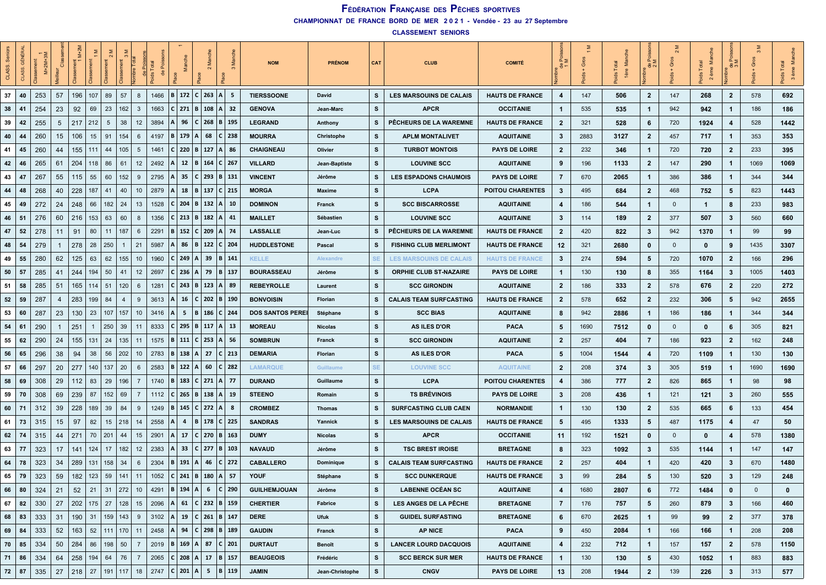| Sen<br>CLASS. | <b>GÉNÉRA</b><br>ASS. | $M+2M+3M$<br>sement |     | 듦                |     | $\frac{5}{2}$         | ibre Total     |                 |                                   |               | S         |                              |       |               | <b>NOM</b>              | <b>PRÉNOM</b>   | <b>CAT</b> | <b>CLUB</b>                    | <b>COMITÉ</b>           | $\frac{R}{1}$           | Gros | Ž<br>1ère | ∝∠<br>ಕೆ ಎ              | ō            | ₹.<br>Total<br>ème<br>မိ<br>$\sim$ | چ¤             | $\infty$     | es<br>Na<br>P<br>3 ème |
|---------------|-----------------------|---------------------|-----|------------------|-----|-----------------------|----------------|-----------------|-----------------------------------|---------------|-----------|------------------------------|-------|---------------|-------------------------|-----------------|------------|--------------------------------|-------------------------|-------------------------|------|-----------|-------------------------|--------------|------------------------------------|----------------|--------------|------------------------|
| 37            | 40                    | 253                 | 57  | 196              | 107 | 57<br>89              |                | 8               | 1466                              |               |           | B 172 C 263                  | ∣A ∣  | - 5           | <b>TIERSSOONE</b>       | David           | s          | <b>LES MARSOUINS DE CALAIS</b> | <b>HAUTS DE FRANCE</b>  | $\overline{\mathbf{4}}$ | 147  | 506       | $\overline{2}$          | 147          | 268                                | $\overline{2}$ | 578          | 692                    |
| 38            | 41                    | 254                 | 23  | 92               | 69  | 162<br>23             |                | $\mathbf{3}$    | 1663                              |               |           | $C$   271   B   108   A   32 |       |               | <b>GENOVA</b>           | Jean-Marc       | s          | <b>APCR</b>                    | <b>OCCITANIE</b>        |                         | 535  | 535       | $\overline{1}$          | 942          | 942                                | $\mathbf{1}$   | 186          | 186                    |
| 39            | 42                    | 255                 | -5  | 217              | 212 | 38<br>5               |                | 12              | 3894                              |               | 96        | 268<br>C                     |       | B   195       | <b>LEGRAND</b>          | Anthony         | s          | PÊCHEURS DE LA WAREMNE         | <b>HAUTS DE FRANCE</b>  | $\overline{2}$          | 321  | 528       | 6                       | 720          | 1924                               | 4              | 528          | 1442                   |
| 40            | 44                    | 260                 | 15  | 106              | 15  | 91<br>154             |                | 6               | 4197                              | 179<br>R      |           | 68<br>A                      |       | $C$ 238       | <b>MOURRA</b>           | Christophe      | s          | <b>APLM MONTALIVET</b>         | <b>AQUITAINE</b>        | 3                       | 2883 | 3127      | $\overline{2}$          | 457          | 717                                | $\mathbf{1}$   | 353          | 353                    |
| 41            | 45                    | 260                 | 44  | 155              | 111 | 44                    | 105            | 5               | 1461                              |               | 220   B   | 127                          |       | A   86        | <b>CHAIGNEAU</b>        | Olivier         | s          | <b>TURBOT MONTOIS</b>          | <b>PAYS DE LOIRE</b>    | $\overline{2}$          | 232  | 346       | $\overline{1}$          | 720          | 720                                | $\overline{2}$ | 233          | 395                    |
| 42            | 46                    | 265                 | -61 | 204              | 118 | 86<br>61              |                | 12              | 2492                              |               | 12<br>B   | 164                          |       | C   267       | <b>VILLARD</b>          | Jean-Baptiste   | s          | <b>LOUVINE SCC</b>             | <b>AQUITAINE</b>        | 9                       | 196  | 1133      | $\mathbf{2}$            | 147          | 290                                | $\mathbf{1}$   | 1069         | 1069                   |
| 43            | 47                    | 267                 | 55  | 115              | 55  | 152<br>60             |                | 9               | 2795                              |               | 35        | 293<br>C                     |       | B   131       | <b>VINCENT</b>          | Jérôme          | s          | <b>LES ESPADONS CHAUMOIS</b>   | <b>PAYS DE LOIRE</b>    | $\overline{7}$          | 670  | 2065      | $\mathbf{1}$            | 386          | 386                                | $\mathbf{1}$   | 344          | 344                    |
| 44            | 48                    | 268                 | 40  | 228              | 187 | 41<br>40              |                | 10              | 2879                              |               | 18<br>  B |                              |       | 137   C   215 | <b>MORGA</b>            | Maxime          | s          | <b>LCPA</b>                    | <b>POITOU CHARENTES</b> | 3                       | 495  | 684       | $\mathbf{2}$            | 468          | 752                                | 5              | 823          | 1443                   |
| 45            | 49                    | 272                 | 24  | 248              | 66  | 182<br>24             |                | 13              | 1528                              | 204           |           | B                            |       | 132  A  10    | <b>DOMINON</b>          | Franck          | s          | <b>SCC BISCARROSSE</b>         | <b>AQUITAINE</b>        | 4                       | 186  | 544       | $\overline{1}$          | $\mathbf{0}$ | $\mathbf{1}$                       | 8              | 233          | 983                    |
| 46            | -51                   | 276                 | 60  | 216              | 153 | 63<br>60              |                | 8               | 1356                              | $C$   213   B |           | 182                          |       | A   41        | <b>MAILLET</b>          | Sébastien       | s          | <b>LOUVINE SCC</b>             | <b>AQUITAINE</b>        | 3                       | 114  | 189       | $\overline{2}$          | 377          | 507                                | 3              | 560          | 660                    |
| 47            | 52                    | 278                 | 11  | 91               | 80  | 187<br>11             |                | 6               | 2291                              | $ 152\rangle$ |           | 209<br>C I                   |       | A   74        | LASSALLE                | Jean-Luc        | s          | PÊCHEURS DE LA WAREMNE         | <b>HAUTS DE FRANCE</b>  | $\overline{2}$          | 420  | 822       | $\mathbf{3}$            | 942          | 1370                               | $\mathbf{1}$   | 99           | 99                     |
| 48            | 54                    | 279                 |     | 278              | 28  | 250<br>$\mathbf{1}$   |                | 21              | 5987                              |               | 86   B    |                              |       | 122   C   204 | <b>HUDDLESTONE</b>      | Pascal          | s          | <b>FISHING CLUB MERLIMONT</b>  | <b>HAUTS DE FRANCE</b>  | 12                      | 321  | 2680      | $\mathbf 0$             | $\mathbf{0}$ | $\mathbf 0$                        | 9              | 1435         | 3307                   |
| 49            | 55                    | 280                 | 62  | 125              | 63  | 62<br>155             |                | 10              | 1960                              |               | 249       | 39                           |       | B   141       | <b>KELLE</b>            | Alexandre       | SE         | <b>LES MARSOUINS DE CALAIS</b> | <b>HAUTS DE FRANCE</b>  | 3                       | 274  | 594       | 5                       | 720          | 1070                               | $\overline{2}$ | 166          | 296                    |
| 50            | 57                    | 285                 | 41  | 244              | 194 | 50<br>41              |                | 12              | 2697                              |               | 236<br>A  | 79                           |       | B   137       | <b>BOURASSEAU</b>       | Jérôme          | s          | <b>ORPHIE CLUB ST-NAZAIRE</b>  | <b>PAYS DE LOIRE</b>    | $\mathbf 1$             | 130  | 130       | 8                       | 355          | 1164                               | 3              | 1005         | 1403                   |
| 51            | 58                    | 285                 | -51 | 165              | 114 | 51<br>120             |                | 6               | 1281                              | $C$ 243 B     |           |                              |       | 123  A  89    | <b>REBEYROLLE</b>       | Laurent         | s          | <b>SCC GIRONDIN</b>            | <b>AQUITAINE</b>        | $\overline{2}$          | 186  | 333       | $\overline{2}$          | 578          | 676                                | $\mathbf{2}$   | 220          | 272                    |
| 52            | 59                    | 287                 | 4   | 283              | 199 | -84<br>$\overline{4}$ |                | 9               | 3613                              |               | 16        | 202<br>C                     |       | B   190       | <b>BONVOISIN</b>        | Florian         | s          | <b>CALAIS TEAM SURFCASTING</b> | <b>HAUTS DE FRANCE</b>  | $\overline{2}$          | 578  | 652       | $\mathbf{2}$            | 232          | 306                                | 5              | 942          | 2655                   |
| 53            | 60                    | 287                 | 23  | 130              | 23  | 157<br>107            |                | 10              | 3416                              |               | 5.<br>IB. |                              |       | 186   C   244 | <b>DOS SANTOS PEREI</b> | Stéphane        | s          | <b>SCC BIAS</b>                | <b>AQUITAINE</b>        | 8                       | 942  | 2886      | $\mathbf{1}$            | 186          | 186                                | $\mathbf{1}$   | 344          | 344                    |
| 54            | 61                    | 290                 |     | 251              | -1  | 250<br>39             |                | 11              | 8333                              |               |           | 295 B 117 A 13               |       |               | <b>MOREAU</b>           | <b>Nicolas</b>  | s          | <b>AS ILES D'OR</b>            | <b>PACA</b>             | 5                       | 1690 | 7512      | 0                       | $\mathbf 0$  | $\mathbf 0$                        | 6              | 305          | 821                    |
| 55            | 62                    | 290                 | 24  | 155              | 131 | 24<br>135             |                | 11              | 1575                              | $B$ 111       |           | 253<br>C I                   | ۱A۱   | - 56          | <b>SOMBRUN</b>          | Franck          | s          | <b>SCC GIRONDIN</b>            | <b>AQUITAINE</b>        | $\overline{2}$          | 257  | 404       | $\overline{7}$          | 186          | 923                                | $\overline{2}$ | 162          | 248                    |
| 56            | 65                    | 296                 | 38  | 94               | 38  | 56<br>202             |                | 10              | 2783                              | $B \mid 138$  |           | 27<br>А                      |       | $C$ 213       | <b>DEMARIA</b>          | Florian         | s          | <b>AS ILES D'OR</b>            | <b>PACA</b>             | 5                       | 1004 | 1544      | $\overline{\mathbf{4}}$ | 720          | 1109                               | $\mathbf{1}$   | 130          | 130                    |
| 57            | 66                    | 297                 | 20  | 277              | 140 | 20<br>137             |                | 6               | 2583                              | $B$ 122 A     |           | 60                           |       | $C$ 282       | <b>LAMARQUE</b>         | Guillaume       | <b>SE</b>  | <b>LOUVINE SCC</b>             | <b>AQUITAINE</b>        | $\overline{2}$          | 208  | 374       | $\mathbf{3}$            | 305          | 519                                | $\mathbf 1$    | 1690         | 1690                   |
| 58            | 69                    | 308                 | 29  | 112              | 83  | 29<br>196             |                | 7               | 1740                              | 183           |           | 271<br> c                    |       | A   77        | <b>DURAND</b>           | Guillaume       | s          | <b>LCPA</b>                    | <b>POITOU CHARENTES</b> | 4                       | 386  | 777       | $\mathbf{2}$            | 826          | 865                                | $\mathbf{1}$   | 98           | 98                     |
| 59            | 70                    | 308                 | 69  | 239              | 87  | 152<br>69             | $\overline{7}$ |                 | 1112                              | $C$ 265 B     |           | 138                          | I A I | - 19          | <b>STEENO</b>           | Romain          | s          | <b>TS BRÉVINOIS</b>            | <b>PAYS DE LOIRE</b>    | 3                       | 208  | 436       | $\overline{1}$          | 121          | 121                                | 3              | 260          | 555                    |
| 60            | -71                   | 312                 | 39  | 228              | 189 | 39<br>84              |                | 9               | 1249                              |               | 145       | 272  A <br>C I               |       | -8            | <b>CROMBEZ</b>          | Thomas          | s          | <b>SURFCASTING CLUB CAEN</b>   | <b>NORMANDIE</b>        | $\mathbf{1}$            | 130  | 130       | $\overline{2}$          | 535          | 665                                | 6              | 133          | 454                    |
| 61            | 73                    | 315                 | 15  | 97               | 82  | 15<br>218             |                | 14              | 2558                              |               |           | 4   B   178                  |       | C 225         | <b>SANDRAS</b>          | Yannick         | s          | <b>LES MARSOUINS DE CALAIS</b> | <b>HAUTS DE FRANCE</b>  | 5                       | 495  | 1333      | $\sqrt{5}$              | 487          | 1175                               | 4              | 47           | 50                     |
| 62            | 74                    | 315                 | 44  | 271              | 70  | 201<br>44             |                | 15              | 2901                              |               | 17        | C<br>270                     |       | B   163       | <b>DUMY</b>             | <b>Nicolas</b>  | s          | <b>APCR</b>                    | <b>OCCITANIE</b>        | 11                      | 192  | 1521      | 0                       | $\mathbf{0}$ | 0                                  | 4              | 578          | 1380                   |
| 63            | 77                    | 323                 | 17  | 141              | 124 | 17<br>182             |                | 12              | 2383                              |               | 33        | 277<br>C                     |       | B   103       | <b>NAVAUD</b>           | Jérôme          | s          | <b>TSC BREST IROISE</b>        | <b>BRETAGNE</b>         | 8                       | 323  | 1092      | 3                       | 535          | 1144                               | $\mathbf{1}$   | 147          | 147                    |
| 64            | 78                    | 323                 | 34  | 289              | 131 | 158<br>34             |                | 6               | 2304                              |               | 191 A     | 46                           |       | C   272       | <b>CABALLERO</b>        | Dominique       | s          | <b>CALAIS TEAM SURFCASTING</b> | <b>HAUTS DE FRANCE</b>  | $\overline{2}$          | 257  | 404       | $\overline{1}$          | 420          | 420                                | 3              | 670          | 1480                   |
| 65            | 79                    | 323                 | 59  | 182              | 123 | 59<br>141             |                | 11              | 1052                              | $C$   241   B |           | 180                          |       | A   57        | <b>YOUF</b>             | Stéphane        | s          | <b>SCC DUNKERQUE</b>           | <b>HAUTS DE FRANCE</b>  | 3                       | 99   | 284       | 5                       | 130          | 520                                | 3              | 129          | 248                    |
| 66            | 80                    | 324                 | 21  | 52               | 21  | 272 <br>31            |                | 10 <sup>°</sup> | 4291                              | B 194         |           | 6<br>$A \mid$                |       | C 290         | <b>GUILHEMJOUAN</b>     | Jérôme          | s          | <b>LABENNE OCÉAN SC</b>        | <b>AQUITAINE</b>        | 4                       | 1680 | 2807      | 6                       | 772          | 1484                               | 0              | $\mathbf{0}$ | 0                      |
| 67            | 82                    | 330                 | 27  | $202$   175   27 |     |                       | $128$   15     |                 | 2096                              |               |           | 61   C   232   B   159       |       |               | <b>CHERTIER</b>         | Fabrice         | s          | LES ANGES DE LA PÊCHE          | <b>BRETAGNE</b>         | $\overline{7}$          | 176  | 757       | $5\phantom{.0}$         | 260          | 879                                | 3              | 166          | 460                    |
| 68            | 83                    | 333                 | 31  | 190              | 31  | 159 143               |                | 9               | 3102   A   19   C   261   B   147 |               |           |                              |       |               | <b>DERE</b>             | Ufuk            | s          | <b>GUIDEL SURFASTING</b>       | <b>BRETAGNE</b>         | 6                       | 670  | 2625      | $\overline{1}$          | 99           | 99                                 | $\mathbf{2}$   | 377          | 378                    |
| 69            | 84                    | 333                 | 52  | 163              | 52  | 111 170 11            |                |                 | 2458                              |               |           | 94   C   298   B   189       |       |               | <b>GAUDIN</b>           | Franck          | s          | <b>AP NICE</b>                 | <b>PACA</b>             | 9                       | 450  | 2084      | $\overline{1}$          | 166          | 166                                | $\mathbf{1}$   | 208          | 208                    |
| 70            | 85                    | 334                 | 50  | 284              | 86  | 50<br>198             |                | $\overline{7}$  | 2019                              |               |           | B   169   A   87   C   201   |       |               | <b>DURTAUT</b>          | Benoît          | s          | <b>LANCER LOURD DACQUOIS</b>   | <b>AQUITAINE</b>        | 4                       | 232  | 712       | $\mathbf{1}$            | 157          | 157                                | $\overline{2}$ | 578          | 1150                   |
| $71 \mid 86$  |                       | 334                 | 64  | 258   194   64   |     |                       | 76             | $\overline{7}$  | 2065   C   208   A   17   B   157 |               |           |                              |       |               | <b>BEAUGEOIS</b>        | Frédéric        | s          | <b>SCC BERCK SUR MER</b>       | <b>HAUTS DE FRANCE</b>  | $\mathbf{1}$            | 130  | 130       | 5                       | 430          | 1052                               | $\mathbf{1}$   | 883          | 883                    |
| 72            | 87                    | 335                 | 27  | 218              | 27  | 191<br> 117           |                | 18              | 2747   C   201   A                |               |           | 5                            |       | $B$   119     | <b>JAMIN</b>            | Jean-Christophe | s          | <b>CNGV</b>                    | <b>PAYS DE LOIRE</b>    | 13                      | 208  | 1944      | $\overline{2}$          | 139          | 226                                | $\mathbf{3}$   | 313          | 577                    |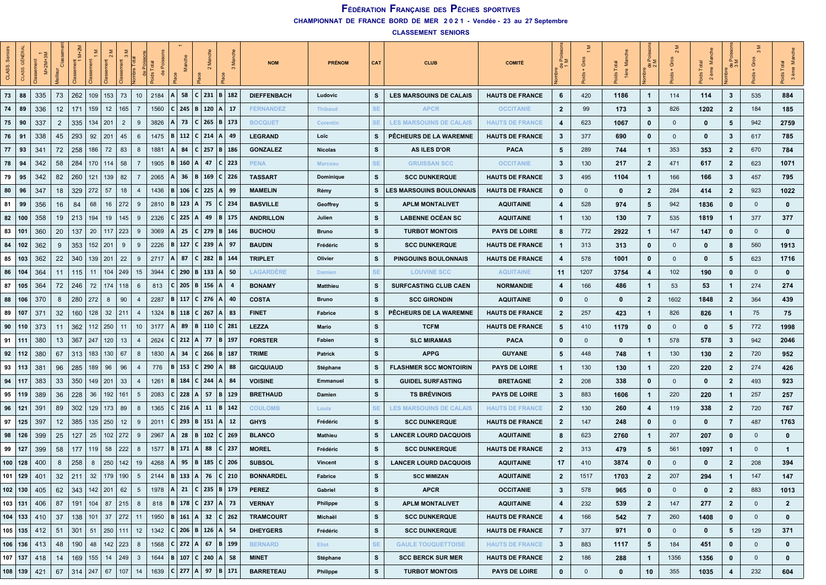| န္တ<br>CLASS. | <b>GÉNÉRAL</b><br>ASS. | $M+2M+3M$<br>ssement |                | ż<br>ă۳     |             |                        |                 |      |                                                 | <b>SM</b>             |         |     |                                                        | <b>NOM</b>         | <b>PRÉNOM</b>    | CAT       | <b>CLUB</b>                     | <b>COMITÉ</b>          | ≞≥                      | Gros        | Ž<br>1ère   | å,<br>$\frac{a}{c}$     | $\sim$<br>Gros | ž<br>ème<br>$\overline{\mathbf{c}}$ | $\frac{5}{5}$<br>용,     | $\mathfrak{m}$ | ž<br>P <sub>o</sub><br>3 ème<br>පී |
|---------------|------------------------|----------------------|----------------|-------------|-------------|------------------------|-----------------|------|-------------------------------------------------|-----------------------|---------|-----|--------------------------------------------------------|--------------------|------------------|-----------|---------------------------------|------------------------|-------------------------|-------------|-------------|-------------------------|----------------|-------------------------------------|-------------------------|----------------|------------------------------------|
| 73            | 88                     | 335                  | 73             | 262         | 109         | 153<br>73              | 10              | 2184 | l A                                             | 58                    | $C$ 231 |     | B   182                                                | <b>DIEFFENBACH</b> | Ludovic          | s         | <b>LES MARSOUINS DE CALAIS</b>  | <b>HAUTS DE FRANCE</b> | 6                       | 420         | 1186        | $\mathbf{1}$            | 114            | 114                                 | 3                       | 535            | 884                                |
| 74            | 89                     | 336                  | 12             | 171         | 159         | 12<br>165              | $\overline{7}$  |      | 1560                                            |                       |         |     | $ C $ 245   B   120   A   17                           | <b>FERNANDEZ</b>   | <b>Thibaud</b>   | <b>SE</b> | <b>APCR</b>                     | <b>OCCITANIE</b>       | $\mathbf{2}$            | 99          | 173         | 3                       | 826            | 1202                                | $\mathbf{2}$            | 184            | 185                                |
| 75            | 90                     | 337                  | $\overline{2}$ | 335         | 134         | 201<br>$\overline{2}$  | 9               | 3826 |                                                 | 73                    | C I     | 265 | B   173                                                | <b>BOCQUET</b>     | Corentin         | SE        | <b>LES MARSOUINS DE CALAIS</b>  | <b>HAUTS DE FRANCE</b> | 4                       | 623         | 1067        | $\mathbf 0$             | $\mathbf{0}$   | 0                                   | -5                      | 942            | 2759                               |
| 76            | 91                     | 338                  | 45             | 293         | 92          | 45<br>201              | 6               |      | 1475                                            | $B$ 112               | $C$ 214 |     | ∣A ∣ 49                                                | <b>LEGRAND</b>     | Loïc             | s         | PÊCHEURS DE LA WAREMNE          | <b>HAUTS DE FRANCE</b> | 3                       | 377         | 690         | 0                       | $\mathbf 0$    | 0                                   | -3                      | 617            | 785                                |
| 77            | 93                     | 341                  | 72             | 258         | 186         | 72<br>83               | 8               | 1881 |                                                 | 84                    | C I     |     | 257 B 186                                              | <b>GONZALEZ</b>    | <b>Nicolas</b>   | s         | <b>AS ILES D'OR</b>             | <b>PACA</b>            | 5                       | 289         | 744         | $\mathbf{1}$            | 353            | 353                                 | $\overline{2}$          | 670            | 784                                |
| 78            | 94                     | 342                  | 58             | 284         | 170         | 114<br>58              | $\overline{7}$  |      | 1905                                            | 160                   |         | 47  | $C$ 223                                                | <b>PENA</b>        | <b>Marceau</b>   | <b>SE</b> | <b>GRUISSAN SCC</b>             | <b>OCCITANIE</b>       | 3                       | 130         | 217         | $\overline{2}$          | 471            | 617                                 | $\mathbf{2}$            | 623            | 1071                               |
| 79            | 95                     | 342                  | 82             | 260         | 121         | 139<br>82              | - 7             | 2065 |                                                 | 36                    | B       | 169 | C 226                                                  | <b>TASSART</b>     | <b>Dominique</b> | s         | <b>SCC DUNKERQUE</b>            | <b>HAUTS DE FRANCE</b> | 3                       | 495         | 1104        | $\mathbf{1}$            | 166            | 166                                 | -3                      | 457            | 795                                |
| 80            | 96                     | 347                  | 18             | 329         | 272         | 57<br>18               | -4              | 1436 |                                                 | 106                   | C       | 225 | A  99                                                  | <b>MAMELIN</b>     | Rémy             | s         | <b>LES MARSOUINS BOULONNAIS</b> | <b>HAUTS DE FRANCE</b> | 0                       | $\mathbf 0$ | 0           | $\overline{2}$          | 284            | 414                                 | $\overline{2}$          | 923            | 1022                               |
| 81            | 99                     | 356                  | 16             | 84          | 68          | 272<br>16              | 9               | 2810 |                                                 | $B \mid 123$          | A       | 75  | C   234                                                | <b>BASVILLE</b>    | Geoffrey         | s         | <b>APLM MONTALIVET</b>          | <b>AQUITAINE</b>       | 4                       | 528         | 974         | 5                       | 942            | 1836                                | 0                       | $\mathbf{0}$   | $\mathbf 0$                        |
| 82            | 100                    | 358                  | 19             | 213         | 194         | 19<br>145              | 9               | 2326 |                                                 | $C$   225             | A       | 49  | B 175                                                  | <b>ANDRILLON</b>   | Julien           | s         | LABENNE OCÉAN SC                | <b>AQUITAINE</b>       | 1                       | 130         | 130         | $\overline{7}$          | 535            | 1819                                | -1                      | 377            | 377                                |
| 83            | 101                    | 360                  | 20             | 137         | 20          | $117$   223            | 9               | 3069 |                                                 | 25                    | C I     | 279 | B   146                                                | <b>BUCHOU</b>      | <b>Bruno</b>     | s         | <b>TURBOT MONTOIS</b>           | <b>PAYS DE LOIRE</b>   | 8                       | 772         | 2922        | $\overline{1}$          | 147            | 147                                 | $\mathbf 0$             | $\mathbf{0}$   | $\mathbf{0}$                       |
| 84   102      |                        | 362                  | 9              | 353         | $152$   201 | 9                      | 9               | 2226 |                                                 | $B$   127             |         |     | $C$ 239   A   97                                       | <b>BAUDIN</b>      | Frédéric         | s         | <b>SCC DUNKERQUE</b>            | <b>HAUTS DE FRANCE</b> | $\mathbf{1}$            | 313         | 313         | $\mathbf 0$             | $\mathbf{0}$   | $\mathbf 0$                         | -8                      | 560            | 1913                               |
| 85 103        |                        | 362                  | 22             | 340         | 139         | 201<br>22              | -9              | 2717 |                                                 | 87                    | c       | 282 | B   144                                                | <b>TRIPLET</b>     | Olivier          | s         | <b>PINGOUINS BOULONNAIS</b>     | <b>HAUTS DE FRANCE</b> | 4                       | 578         | 1001        | 0                       | $\mathbf{0}$   | 0                                   | 5                       | 623            | 1716                               |
| 86            | 104                    | 364                  | 11             | 115         | 11          | 104<br>249             | 15              | 3944 |                                                 | 290                   | B       | 133 | ∣A ∣ 50                                                | <b>LAGARDERE</b>   | <b>Damien</b>    | <b>SE</b> | <b>LOUVINE SCC</b>              | <b>AQUITAINE</b>       | 11                      | 1207        | 3754        | $\overline{\mathbf{4}}$ | 102            | 190                                 | 0                       | $\mathbf{0}$   | $\mathbf 0$                        |
| $87$   105    |                        | 364                  | 72             | 246         | 72          | 174<br>118             | - 6             | 813  |                                                 | C   205   B   156   A |         |     |                                                        | <b>BONAMY</b>      | <b>Matthieu</b>  | s         | <b>SURFCASTING CLUB CAEN</b>    | <b>NORMANDIE</b>       | 4                       | 166         | 486         | $\overline{1}$          | 53             | 53                                  | -1                      | 274            | 274                                |
| 88            | 106                    | 370                  | 8              | 280         | 272         | 8<br>90                | -4              | 2287 |                                                 | $B$ 117               | C I     | 276 | l A l<br>-40                                           | <b>COSTA</b>       | Bruno            | s         | <b>SCC GIRONDIN</b>             | <b>AQUITAINE</b>       | $\mathbf 0$             | $\mathbf 0$ | $\bf{0}$    | $\overline{2}$          | 1602           | 1848                                | $\overline{2}$          | 364            | 439                                |
| 89            | 107                    | 371                  | 32             | 160         | 128         | 32<br>211              | $\overline{4}$  | 1324 |                                                 | $B \mid 118$          | $C$ 267 |     | A   83                                                 | <b>FINET</b>       | Fabrice          | s         | PÊCHEURS DE LA WAREMNE          | <b>HAUTS DE FRANCE</b> | $\overline{2}$          | 257         | 423         | $\mathbf{1}$            | 826            | 826                                 | -1                      | 75             | 75                                 |
| 90            | 110                    | 373                  | 11             | 362         | 112   250   | 11                     | 10              | 3177 |                                                 | 89                    |         |     | B   110   C   281                                      | <b>LEZZA</b>       | Mario            | s         | <b>TCFM</b>                     | <b>HAUTS DE FRANCE</b> | 5                       | 410         | 1179        | $\mathbf 0$             | $\mathbf{0}$   | $\mathbf 0$                         | 5                       | 772            | 1998                               |
| 91   111      |                        | 380                  | 13             | 367         | 247         | 120<br>13              | 4               | 2624 |                                                 | $C$ 212               | A       | -77 | B   197                                                | <b>FORSTER</b>     | Fabien           | s         | <b>SLC MIRAMAS</b>              | <b>PACA</b>            | $\mathbf 0$             | $\mathbf 0$ | $\bf{0}$    | $\mathbf{1}$            | 578            | 578                                 | $\mathbf{3}$            | 942            | 2046                               |
| 92            | 112                    | 380                  | 67             | 313         | 183         | 130<br>67              | 8               | 1830 |                                                 | 34                    | C       | 266 | $B$   187                                              | <b>TRIME</b>       | Patrick          | s         | <b>APPG</b>                     | <b>GUYANE</b>          | 5                       | 448         | 748         | $\mathbf{1}$            | 130            | 130                                 | $\overline{\mathbf{2}}$ | 720            | 952                                |
| 93 113        |                        | 381                  | 96             | 285         | 189         | 96<br>96               | $\overline{4}$  | 776  |                                                 | $ 153\rangle$         | C       | 290 | A   88                                                 | <b>GICQUIAUD</b>   | Stéphane         | s         | <b>FLASHMER SCC MONTOIRIN</b>   | <b>PAYS DE LOIRE</b>   | 1                       | 130         | 130         | $\overline{1}$          | 220            | 220                                 | $\overline{\mathbf{2}}$ | 274            | 426                                |
| 94   117      |                        | 383                  | 33             | 350         | $149$   201 | 33                     | $\overline{4}$  | 1261 |                                                 | 184                   | C       | 244 | l A I<br>- 84                                          | <b>VOISINE</b>     | Emmanuel         | s         | <b>GUIDEL SURFASTING</b>        | <b>BRETAGNE</b>        | $\mathbf{2}$            | 208         | 338         | $\mathbf 0$             | $\mathbf 0$    | 0                                   | $\overline{\mathbf{2}}$ | 493            | 923                                |
| 95            | 119                    | 389                  | 36             | 228         | 36          | 192<br>161             | 5               | 2083 |                                                 | $C$ 228               | A       | -57 | B   129                                                | <b>BRETHAUD</b>    | Damien           | s         | <b>TS BRÉVINOIS</b>             | <b>PAYS DE LOIRE</b>   | 3                       | 883         | 1606        | $\mathbf{1}$            | 220            | 220                                 | -1                      | 257            | 257                                |
| 96            | 121                    | 391                  | 89             | 302         | 129         | 173<br>89              | 8               | 1365 |                                                 | $C$ 216               | A       | 11  | B   142                                                | <b>COULOMB</b>     | Louis            | SE.       | <b>LES MARSOUINS DE CALAIS</b>  | <b>HAUTS DE FRANCE</b> | $\mathbf{2}$            | 130         | 260         | $\overline{4}$          | 119            | 338                                 | $\overline{2}$          | 720            | 767                                |
| $97$   125    |                        | 397                  | 12             | 385         | 135         | 250<br>12              | 9               | 2011 |                                                 | $C$   293             | B       | 151 | A   12                                                 | <b>GHYS</b>        | Frédéric         | s         | <b>SCC DUNKERQUE</b>            | <b>HAUTS DE FRANCE</b> | $\overline{2}$          | 147         | 248         | $\mathbf 0$             | $\mathbf{0}$   | 0                                   | $\overline{7}$          | 487            | 1763                               |
| 98   126      |                        | 399                  | 25             | 127         | 25          | 102<br>272             | 9               | 2967 |                                                 | 28                    | в       | 102 | C 269                                                  | <b>BLANCO</b>      | <b>Mathieu</b>   | s         | <b>LANCER LOURD DACQUOIS</b>    | <b>AQUITAINE</b>       | 8                       | 623         | 2760        | $\mathbf{1}$            | 207            | 207                                 | 0                       | $\mathbf{0}$   | 0                                  |
| 99 127        |                        | 399                  | 58             | 177         | 119         | 222<br>58              | 8               | 1577 |                                                 | 171                   | A       | 88  | $C$   237                                              | <b>MOREL</b>       | Frédéric         | s         | <b>SCC DUNKERQUE</b>            | <b>HAUTS DE FRANCE</b> | $\mathbf{2}$            | 313         | 479         | 5                       | 561            | 1097                                | -1                      | $\mathbf{0}$   | $\mathbf{1}$                       |
| 100   128     |                        | 400                  | 8              | 258         | 8           | 250<br>142             | 19              | 4268 |                                                 |                       |         |     | 95   B   185   C   206                                 | <b>SUBSOL</b>      | <b>Vincent</b>   | s         | <b>LANCER LOURD DACQUOIS</b>    | <b>AQUITAINE</b>       | 17                      | 410         | 3874        | $\mathbf 0$             | $\mathbf{0}$   | $\mathbf 0$                         | -2                      | 208            | 394                                |
| $101$ 129     |                        | 401                  | 32             | 211         | 32          | 179<br>190             | $5\phantom{.0}$ | 2144 |                                                 | $B \mid 133$          | A       | 76  | C   210                                                | <b>BONNARDEL</b>   | Fabrice          | s         | <b>SCC MIMIZAN</b>              | <b>AQUITAINE</b>       | $\overline{2}$          | 1517        | 1703        | $\overline{2}$          | 207            | 294                                 | 1                       | 147            | 147                                |
| 102 130       |                        | 405                  | 62             | 343         | $142$   201 | 62                     | $5\overline{5}$ |      | 1978                                            |                       |         |     | A   21   C   235   B   179                             | <b>PEREZ</b>       | Gabriel          | s         | <b>APCR</b>                     | <b>OCCITANIE</b>       | $\mathbf{3}$            | 578         | 965         | $\mathbf 0$             | $\mathbf{0}$   | $\mathbf 0$                         | $\overline{2}$          | 883            | 1013                               |
| $103$ 131     |                        | 406                  | 87             |             |             | $191$   104   87   215 | 8               |      | 818   B   178   C   237   A   73                |                       |         |     |                                                        | <b>VERNAY</b>      | <b>Philippe</b>  | s         | <b>APLM MONTALIVET</b>          | <b>AQUITAINE</b>       | 4                       | 232         | 539         | $\overline{2}$          | 147            | 277                                 | $\overline{2}$          | $\mathbf{0}$   | $\overline{2}$                     |
| 104   133     |                        | 410                  | 37             | 138         |             | 101 37 272             | 11              |      |                                                 |                       |         |     | 1950   <b>B</b>   161   <b>A</b>   32   <b>C</b>   262 | <b>TRAMCOURT</b>   | Michaël          | s         | <b>SCC DUNKERQUE</b>            | <b>HAUTS DE FRANCE</b> | $\overline{\mathbf{4}}$ | 166         | 542         | $\overline{7}$          | 260            | 1408                                | $\mathbf 0$             | $\mathbf{0}$   | $\mathbf 0$                        |
| $105$ 135     |                        | 412                  | 51             | 301         | 51          | $250$   111            | 12              |      | 1342   C   206   B   126   A   54               |                       |         |     |                                                        | <b>DHEYGERS</b>    | Frédéric         | s         | <b>SCC DUNKERQUE</b>            | <b>HAUTS DE FRANCE</b> | $\overline{7}$          | 377         | 971         | $\mathbf 0$             | $\mathbf 0$    | $\mathbf{0}$                        | 5                       | 129            | 371                                |
| $106$   136   |                        | 413                  | 48             | 190         | 48          | $142$   223            | 8               |      | 1568                                            | $C$   272   A   67    |         |     | $ B $ 199                                              | <b>BERNARD</b>     | Eliot            | <b>SE</b> | <b>GAULE TOUQUETTOISE</b>       | <b>HAUTS DE FRANCE</b> | $\mathbf{3}$            | 883         | 1117        | $5\phantom{.0}$         | 184            | 451                                 | $\mathbf 0$             | $\mathbf{0}$   | $\mathbf 0$                        |
| 107 137       |                        | 418                  | 14             | $169$   155 |             | 14   249               | $\mathbf{3}$    |      | 1644   <b>B</b>   107   <b>C</b>   240   A   58 |                       |         |     |                                                        | <b>MINET</b>       | Stéphane         | s         | <b>SCC BERCK SUR MER</b>        | <b>HAUTS DE FRANCE</b> | $\overline{2}$          | 186         | 288         | $\mathbf{1}$            | 1356           | 1356                                | $\mathbf{0}$            | $\mathbf{0}$   | $\mathbf{0}$                       |
| 108   139     |                        | 421                  | 67             | 314         | 247         | 67<br>107              | 14              |      | 1639                                            |                       |         |     | $ C $ 277   A   97   B   171                           | <b>BARRETEAU</b>   | Philippe         | s         | <b>TURBOT MONTOIS</b>           | <b>PAYS DE LOIRE</b>   | $\mathbf 0$             | $\mathbf 0$ | $\mathbf 0$ | 10                      | 355            | 1035                                | $\overline{4}$          | 232            | 604                                |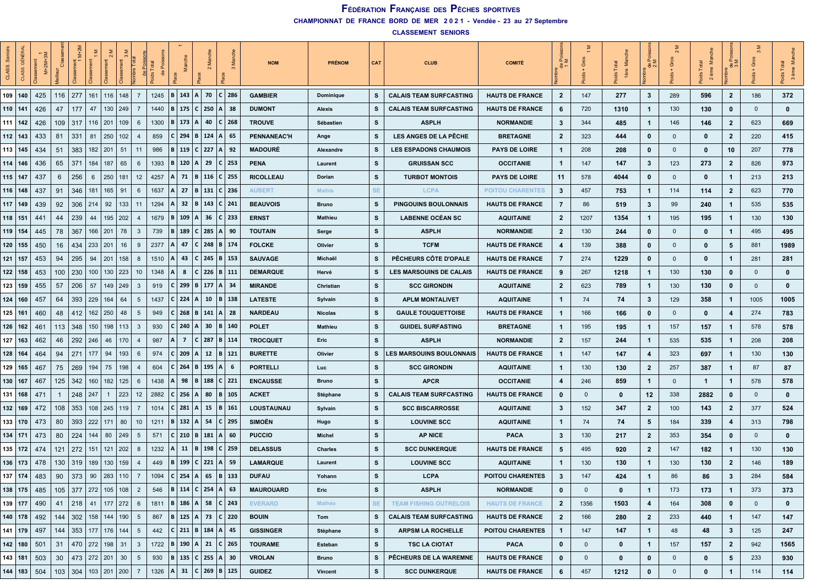| န္တ<br>CLASS. | <b>GÉNÉRAL</b> | $\frac{1}{\sqrt{1}}$ M+2M+3M |     |          |                       |             | <b>bre</b> Tota |      |                              |                   | $\sim$                       |                                   | <b>NOM</b>         | <b>PRÉNOM</b>  | CAT       | <b>CLUB</b>                     | <b>COMITÉ</b>           | ≚ুঁ<br>$\theta$ | Gros         | š<br>Total<br>1ère | ಕೆ ಎ                    | $\sim$<br>Gros<br>$\frac{1}{2}$ | Total<br>ème | ∑ َ¤<br>出.     | $\infty$       | 3 ème        |
|---------------|----------------|------------------------------|-----|----------|-----------------------|-------------|-----------------|------|------------------------------|-------------------|------------------------------|-----------------------------------|--------------------|----------------|-----------|---------------------------------|-------------------------|-----------------|--------------|--------------------|-------------------------|---------------------------------|--------------|----------------|----------------|--------------|
|               | 109 140        | 425                          | 116 | 277      | 161<br>116            | 148         | $\overline{7}$  | 1245 | $B$ 143                      |                   | A 70                         | C 286                             | <b>GAMBIER</b>     | Dominique      | s         | <b>CALAIS TEAM SURFCASTING</b>  | <b>HAUTS DE FRANCE</b>  | $\overline{2}$  | 147          | 277                | $\mathbf{3}$            | 289                             | 596          | $\overline{2}$ | 186            | 372          |
| $110$   141   |                | 426                          | 47  | 177      | 47<br>130             | 249         | 7               | 1440 |                              |                   | B   175   C   250   A   38   |                                   | <b>DUMONT</b>      | Alexis         | s         | <b>CALAIS TEAM SURFCASTING</b>  | <b>HAUTS DE FRANCE</b>  | 6               | 720          | 1310               | $\mathbf{1}$            | 130                             | 130          | $\mathbf{0}$   | $\mathbf{0}$   | $\mathbf 0$  |
| $111$   142   |                | 426                          | 109 | 317      | 116<br>201            | 109         | 6               | 1300 | 173<br>IBI                   | IA.               | 40                           | $C$   268                         | <b>TROUVE</b>      | Sébastien      | s         | <b>ASPLH</b>                    | <b>NORMANDIE</b>        | 3               | 344          | 485                | $\mathbf{1}$            | 146                             | 146          | $\overline{2}$ | 623            | 669          |
| $112$ 143     |                | 433                          | 81  | 331      | 250<br>81             | 102         | $\overline{4}$  | 859  | $C$ 294                      |                   | B   124                      | A<br>-65                          | <b>PENNANEAC'H</b> | Ange           | s         | <b>LES ANGES DE LA PÊCHE</b>    | <b>BRETAGNE</b>         | $\mathbf{2}$    | 323          | 444                | 0                       | $\mathbf 0$                     | 0            | $\overline{2}$ | 220            | 415          |
| 113 145       |                | 434                          | 51  | 383      | $182$   201           | 51          | 11              | 986  | l B                          |                   | 119 C 227 A 92               |                                   | <b>MADOURÉ</b>     | Alexandre      | s         | <b>LES ESPADONS CHAUMOIS</b>    | <b>PAYS DE LOIRE</b>    | $\mathbf{1}$    | 208          | 208                | 0                       | $\mathbf 0$                     | 0            | 10             | 207            | 778          |
| $114$   146   |                | 436                          | 65  | 371      | 184<br>187            | 65          | 6               | 1393 | $ 120\rangle$<br>l B         | ۱A۱               | 29                           | C 253                             | <b>PENA</b>        | Laurent        | s         | <b>GRUISSAN SCC</b>             | <b>OCCITANIE</b>        | $\mathbf{1}$    | 147          | 147                | 3                       | 123                             | 273          | $\overline{2}$ | 826            | 973          |
| $115$ 147     |                | 437                          | 6   | 256      | 250<br>6              | 181         | 12              | 4257 | 71<br>ΙA                     |                   | B   116                      | C 255                             | <b>RICOLLEAU</b>   | Dorian         | s         | <b>TURBOT MONTOIS</b>           | <b>PAYS DE LOIRE</b>    | 11              | 578          | 4044               | 0                       | $\mathbf 0$                     | 0            | $\mathbf{1}$   | 213            | 213          |
| 116   148     |                | 437                          | 91  | 346      | 181<br>165            | 91          | 6               | 1637 | 27                           |                   | B   131                      | C   236                           | <b>AUBERT</b>      | <b>Mathis</b>  | <b>SE</b> | <b>LCPA</b>                     | <b>POITOU CHARENTES</b> | 3               | 457          | 753                | $\mathbf{1}$            | 114                             | 114          | $\overline{2}$ | 623            | 770          |
| $117$   149   |                | 439                          | 92  | 306      | 214<br>92             | 133         | 11              | 1294 | 32<br>ΙA                     |                   | B   143                      | C   241                           | <b>BEAUVOIS</b>    | Bruno          | s         | <b>PINGOUINS BOULONNAIS</b>     | <b>HAUTS DE FRANCE</b>  | $\overline{7}$  | 86           | 519                | 3                       | 99                              | 240          | $\mathbf{1}$   | 535            | 535          |
| $118$   151   |                | 441                          | 44  | 239      | 44<br>195             | 202         | $\overline{4}$  | 1679 | 109<br>l B                   | $\mathsf{A}$      | 36                           | C   233                           | <b>ERNST</b>       | Mathieu        | s         | <b>LABENNE OCÉAN SC</b>         | <b>AQUITAINE</b>        | $\mathbf{2}$    | 1207         | 1354               | $\mathbf{1}$            | 195                             | 195          | $\mathbf 1$    | 130            | 130          |
| 119   154     |                | 445                          | 78  | 367      | 166<br>201            | 78          | 3               | 739  | 189<br>ΙB                    |                   | $C$   285                    | A <br>90                          | <b>TOUTAIN</b>     | Serge          | s         | <b>ASPLH</b>                    | <b>NORMANDIE</b>        | $\mathbf{2}$    | 130          | 244                | 0                       | $\mathbf{0}$                    | $\mathbf 0$  | $\mathbf{1}$   | 495            | 495          |
|               | 120   155      | 450                          | 16  | 434      | 233 201               | 16          | 9               | 2377 | 47<br>ΙA                     |                   |                              | C   248   B   174                 | <b>FOLCKE</b>      | Olivier        | s         | <b>TCFM</b>                     | <b>HAUTS DE FRANCE</b>  | 4               | 139          | 388                | 0                       | $\mathbf 0$                     | 0            | 5              | 881            | 1989         |
| $121$   157   |                | 453                          | 94  | 295      | 94<br>201             | 158         | -8              | 1510 | 43<br>ΙA                     |                   | $C$ 245                      | B   153                           | <b>SAUVAGE</b>     | Michaël        | s         | PÊCHEURS CÔTE D'OPALE           | <b>HAUTS DE FRANCE</b>  | 7               | 274          | 1229               | 0                       | $\mathbf{0}$                    | 0            | -1             | 281            | 281          |
| $122$ 158     |                | 453                          | 100 | 230      | 130<br>100            | 223         | 10              | 1348 | 8                            |                   | $C$   226   B   111          |                                   | <b>DEMARQUE</b>    | Hervé          | s         | <b>LES MARSOUINS DE CALAIS</b>  | <b>HAUTS DE FRANCE</b>  | 9               | 267          | 1218               | $\mathbf{1}$            | 130                             | 130          | $\mathbf{0}$   | $\mathbf{0}$   | $\mathbf 0$  |
|               | $123$ 159      | 455                          | 57  | 206      | 57                    | 149   249   | 3               | 919  | I C I                        |                   | $299$   B   177   A   34     |                                   | <b>MIRANDE</b>     | Christian      | s         | <b>SCC GIRONDIN</b>             | <b>AQUITAINE</b>        | $\mathbf{2}$    | 623          | 789                | $\mathbf{1}$            | 130                             | 130          | 0              | $\mathbf{0}$   | $\mathbf 0$  |
| $124$ 160     |                | 457                          | 64  | 393      | 229<br>164            | 64          | 5               | 1437 | 224                          | A                 | 10                           | B   138                           | <b>LATESTE</b>     | Sylvain        | s         | <b>APLM MONTALIVET</b>          | <b>AQUITAINE</b>        | 1               | 74           | 74                 | 3                       | 129                             | 358          | $\mathbf{1}$   | 1005           | 1005         |
| $125$ 16      |                | 460                          | 48  | 412      | 162<br>250            | 48          | 5               | 949  | 268                          |                   | B   141                      | A   28                            | <b>NARDEAU</b>     | <b>Nicolas</b> | s         | <b>GAULE TOUQUETTOISE</b>       | <b>HAUTS DE FRANCE</b>  | 1               | 166          | 166                | 0                       | $\mathbf 0$                     | 0            | 4              | 274            | 783          |
|               | 126   162      | 461                          | 113 | 348      | 150<br>198            | 113         | $\mathbf{3}$    | 930  | 240                          | i A I             | 30                           | B   140                           | <b>POLET</b>       | <b>Mathieu</b> | s         | <b>GUIDEL SURFASTING</b>        | <b>BRETAGNE</b>         | $\mathbf{1}$    | 195          | 195                | $\mathbf{1}$            | 157                             | 157          | -1             | 578            | 578          |
| $127$ 163     |                | 462                          | 46  | 292      | 246<br>46             | 170         | -4              | 987  | $\overline{ }$<br>ΙA         |                   | $C$ 287                      | B   114                           | <b>TROCQUET</b>    | Eric           | s         | <b>ASPLH</b>                    | <b>NORMANDIE</b>        | $\mathbf{2}$    | 157          | 244                | $\mathbf{1}$            | 535                             | 535          | -1             | 208            | 208          |
| 128 164       |                | 464                          | 94  | 271      | 177<br>94             | 193         | 6               | 974  | 209<br>$\epsilon$            | $\Delta$          | 12                           | B   121                           | <b>BURETTE</b>     | Olivier        | s         | <b>LES MARSOUINS BOULONNAIS</b> | <b>HAUTS DE FRANCE</b>  | 1               | 147          | 147                | 4                       | 323                             | 697          | $\mathbf{1}$   | 130            | 130          |
|               | 129 165        | 467                          | 75  | 269      | 194<br>75             | 198         | -4              | 604  | 264                          | B                 | 195                          | ∣A.<br>- 6                        | <b>PORTELLI</b>    | Luc            | s         | <b>SCC GIRONDIN</b>             | <b>AQUITAINE</b>        | $\mathbf{1}$    | 130          | 130                | $\mathbf{2}$            | 257                             | 387          | -1             | 87             | 87           |
| 130   167     |                | 467                          | 125 | 342      | 160<br>182            | 125         | 6               | 1438 | 98                           |                   | $B \mid 188$                 | C   221                           | <b>ENCAUSSE</b>    | Bruno          | s         | <b>APCR</b>                     | <b>OCCITANIE</b>        | 4               | 246          | 859                | $\mathbf{1}$            | $\mathbf 0$                     | $\mathbf{1}$ | $\mathbf{1}$   | 578            | 578          |
| 131 168       |                | 471                          | -1  | 248      | 247<br>$\mathbf{1}$   | 223         | 12              | 2882 | 256<br>∣ C I                 | A                 | 80                           | B   105                           | <b>ACKET</b>       | Stéphane       | s         | <b>CALAIS TEAM SURFCASTING</b>  | <b>HAUTS DE FRANCE</b>  | 0               | $\mathbf{0}$ | 0                  | 12                      | 338                             | 2882         | 0              | $\mathbf{0}$   | $\mathbf{0}$ |
| 132 169       |                | 472                          | 108 | 353      | $108$   245   119     |             | 7               | 1014 | 281                          | IA.               | 15                           | B   161                           | LOUSTAUNAU         | Sylvain        | s         | <b>SCC BISCARROSSE</b>          | <b>AQUITAINE</b>        | 3               | 152          | 347                | $\mathbf{2}$            | 100                             | 143          | $\overline{2}$ | 377            | 524          |
| 133 170       |                | 473                          | 80  | 393      | 222<br>171            | 80          | 10              | 1211 | <b>B</b> 132                 | A                 | 54                           | C 295                             | <b>SIMOËN</b>      | Hugo           | s         | <b>LOUVINE SCC</b>              | <b>AQUITAINE</b>        | $\overline{1}$  | 74           | 74                 | 5                       | 184                             | 339          | 4              | 313            | 798          |
| 134 171       |                | 473                          | 80  | 224      | 144<br>80             | 249         | 5               | 571  |                              | $210 \mid B \mid$ | 181                          | A<br>-60                          | <b>PUCCIO</b>      | <b>Michel</b>  | s         | <b>AP NICE</b>                  | <b>PACA</b>             | 3               | 130          | 217                | $\overline{2}$          | 353                             | 354          | 0              | $\mathbf{0}$   | $\mathbf{0}$ |
| 135 172       |                | 474                          | 121 | 272      | 151<br>121            | 202         | -8              | 1232 | ΙA                           |                   | $11 \mid B \mid 198$         | C   259                           | <b>DELASSUS</b>    | Charles        | s         | <b>SCC DUNKERQUE</b>            | <b>HAUTS DE FRANCE</b>  | 5               | 495          | 920                | $\mathbf{2}$            | 147                             | 182          | $\mathbf{1}$   | 130            | 130          |
|               | 136   173      | 478                          | 130 | 319      | 189<br>130            | 159         | $\overline{4}$  | 449  | ΙB                           |                   | 199   C   221   A   59       |                                   | <b>LAMARQUE</b>    | Laurent        | s         | <b>LOUVINE SCC</b>              | <b>AQUITAINE</b>        | 1               | 130          | 130                | $\mathbf{1}$            | 130                             | 130          | $\overline{2}$ | 146            | 189          |
|               | 137   174      | 483                          | 90  | 373      | 90<br>283             | 110         | $\overline{7}$  | 1094 | C 254                        | A                 | 65                           | B<br>  133                        | <b>DUFAU</b>       | Yohann         | s         | <b>LCPA</b>                     | <b>POITOU CHARENTES</b> | 3               | 147          | 424                | -1                      | 86                              | 86           | 3              | 284            | 584          |
|               | 138 175        | 485                          | 105 |          | 377 272 105 108       |             | $\overline{2}$  | 546  |                              |                   | B   114   C   254   A   63   |                                   | <b>MAUROUARD</b>   | Eric           | <b>S</b>  | <b>ASPLH</b>                    | <b>NORMANDIE</b>        | 0               | $\mathbf 0$  | $\mathbf 0$        | $\mathbf{1}$            | 173                             | 173          | $\mathbf{1}$   | 373            | 373          |
|               | 139 177        | 490                          | 41  | $218$ 41 |                       | $177$   272 | 6               |      |                              |                   |                              | 1811   B   186   A   58   C   243 | <b>EVERARD</b>     | Mathéo         | <b>SE</b> | <b>TEAM FISHING OUTRELOIS</b>   | <b>HAUTS DE FRANCE</b>  | $\mathbf{2}$    | 1356         | 1503               | $\overline{\mathbf{4}}$ | 164                             | 308          | $\mathbf 0$    | $\overline{0}$ | $\mathbf 0$  |
|               | 140   178      | 492                          | 144 |          | 302   158   144   190 |             | 5               | 867  |                              |                   |                              | B   125   A   73   C   220        | <b>BOUIN</b>       | Tom            | s         | <b>CALAIS TEAM SURFCASTING</b>  | <b>HAUTS DE FRANCE</b>  | $\overline{2}$  | 166          | 280                | $\mathbf{2}$            | 233                             | 440          | $\mathbf{1}$   | 147            | 147          |
|               | $141$ 179      | 497                          | 144 |          | 353   177   176   144 |             | $5\overline{)}$ | 442  |                              |                   | $ C $ 211   B   184   A   45 |                                   | <b>GISSINGER</b>   | Stéphane       | s         | <b>ARPSM LA ROCHELLE</b>        | <b>POITOU CHARENTES</b> | $\overline{1}$  | 147          | 147                | $\mathbf{1}$            | 48                              | 48           | 3              | 125            | 247          |
|               | $142$ 180      | 501                          | 31  |          | 470   272   198   31  |             | $\mathbf{3}$    | 1722 |                              |                   |                              | $ B $ 190   A   21   C   265      | <b>TOURAME</b>     | Esteban        | <b>S</b>  | <b>TSC LA CIOTAT</b>            | <b>PACA</b>             | 0               | $\mathbf 0$  | 0                  | $\mathbf{1}$            | 157                             | 157          | $\overline{2}$ | 942            | 1565         |
|               | 143 181        | 503                          | 30  |          | 473   272   201   30  |             | $5\overline{)}$ | 930  | $ B $ 135   C   255   A   30 |                   |                              |                                   | <b>VROLAN</b>      | <b>Bruno</b>   | s         | PÊCHEURS DE LA WAREMNE          | <b>HAUTS DE FRANCE</b>  | 0               | $\mathbf 0$  | 0                  | 0                       | $\mathbf 0$                     | 0            | 5              | 233            | 930          |
|               | $144$   183    | 504                          | 103 | 304      | 103 201 200           |             | $\overline{7}$  |      |                              |                   |                              | 1326   A   31   C   269   B   125 | <b>GUIDEZ</b>      | <b>Vincent</b> | S         | <b>SCC DUNKERQUE</b>            | <b>HAUTS DE FRANCE</b>  | 6               | 457          | 1212               | $\mathbf 0$             | $\mathbf 0$                     | 0            | $\mathbf 1$    | 114            | 114          |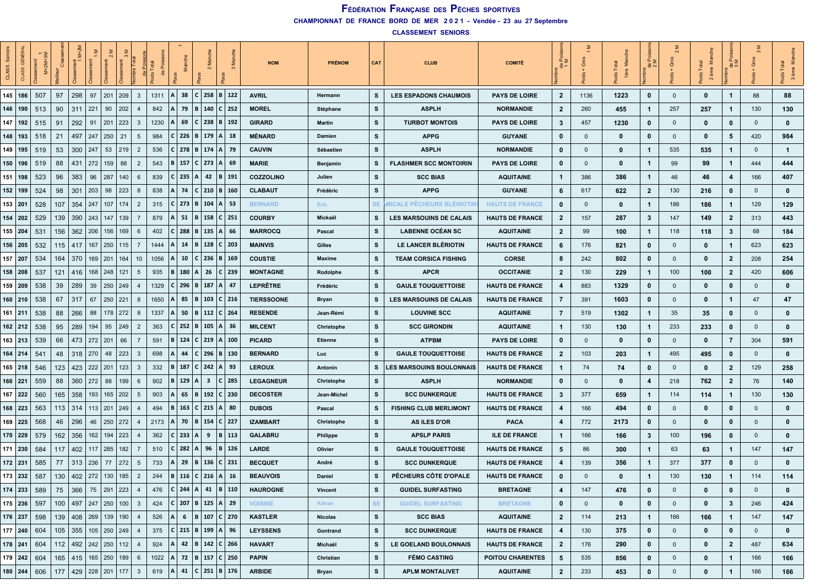| 8<br>CLASS. |     | $M+2M+$ | Clas                          |             |                       | hre Tota |                |      |                     |              | Σ<br>$\sim$             |                                   | <b>NOM</b>        | <b>PRÉNOM</b>     | CAT       | <b>CLUB</b>                      | <b>COMITÉ</b>           | ≞ ≊            | Gros         | Σ<br>1ère | ಕಿನ                     | $\sim$<br>Gros<br>ಕೆ | Σ<br>$\overline{\mathbf{c}}$ | $\alpha$ $\geq$         | $\mathfrak{S}$ | ž<br>ids<br>3 e <sub>r</sub> |
|-------------|-----|---------|-------------------------------|-------------|-----------------------|----------|----------------|------|---------------------|--------------|-------------------------|-----------------------------------|-------------------|-------------------|-----------|----------------------------------|-------------------------|----------------|--------------|-----------|-------------------------|----------------------|------------------------------|-------------------------|----------------|------------------------------|
| 145 186     | 507 | 97      | 298                           | 97          | 201                   | 209      | $\mathbf{3}$   | 1311 | A  <br>38           |              | C 258                   | B 122                             | <b>AVRIL</b>      | Hermann           | s         | <b>LES ESPADONS CHAUMOIS</b>     | <b>PAYS DE LOIRE</b>    | $\mathbf{2}$   | 1136         | 1223      | $\mathbf 0$             | $\mathbf{0}$         | 0                            | $\mathbf 1$             | 88             | 88                           |
| 146   190   | 513 | 90      | 311                           | 221         | 90                    | 202      | 4              | 842  | 79<br>ΙA            |              |                         | B   140   C   252                 | <b>MOREL</b>      | Stéphane          | s         | <b>ASPLH</b>                     | <b>NORMANDIE</b>        | 2              | 260          | 455       | $\mathbf{1}$            | 257                  | 257                          | -1                      | 130            | 130                          |
| 147   192   | 515 | 91      | 292                           | 91          | 201                   | 223      | 3              | 1230 | 69                  | $C \mid$     | 238                     | B   192                           | <b>GIRARD</b>     | Martin            | s         | <b>TURBOT MONTOIS</b>            | <b>PAYS DE LOIRE</b>    | 3              | 457          | 1230      | $\mathbf 0$             | 0                    | 0                            | 0                       | $\mathbf{0}$   | $\mathbf 0$                  |
| 148   193   | 518 | 21      | 497                           | 247         | 250                   | 21       | 5              | 984  | $C$   226   B   179 |              |                         | A   18                            | <b>MÉNARD</b>     | Damien            | s         | <b>APPG</b>                      | <b>GUYANE</b>           | 0              | $\mathbf{0}$ | 0         | $\mathbf 0$             | $\mathbf{0}$         | $\mathbf 0$                  | 5                       | 420            | 984                          |
| 149   195   | 519 | 53      | 300                           | 247         | 53                    | 219      | $\overline{2}$ | 536  | $C$   278   B   174 |              |                         | A  79                             | <b>CAUVIN</b>     | Sébastien         | s         | <b>ASPLH</b>                     | <b>NORMANDIE</b>        | 0              | $\mathbf{0}$ | 0         | $\mathbf{1}$            | 535                  | 535                          | $\mathbf 1$             | $\mathbf{0}$   | $\mathbf{1}$                 |
| 150   196   | 519 | 88      | 431                           | 272         | 159                   | 88       | $\overline{2}$ | 543  | 157<br>B            | C   273      |                         | A   69                            | <b>MARIE</b>      | Benjamin          | s         | <b>FLASHMER SCC MONTOIRIN</b>    | <b>PAYS DE LOIRE</b>    | 0              | $\mathbf{0}$ | 0         | $\mathbf{1}$            | 99                   | 99                           | $\mathbf{1}$            | 444            | 444                          |
| 151<br>198  | 523 | 96      | 383                           | 96          | 287                   | 140      | 6              | 839  | $C$ 235             | A            | 42                      | B   191                           | COZZOLINO         | Julien            | s         | <b>SCC BIAS</b>                  | <b>AQUITAINE</b>        | 1              | 386          | 386       | $\mathbf{1}$            | 46                   | 46                           | $\overline{\mathbf{4}}$ | 166            | 407                          |
| 152   199   | 524 | 98      | 301                           | 203         | 98                    | 223      | 8              | 838  | 74                  | $\mathsf{C}$ | 210                     | B   160                           | <b>CLABAUT</b>    | Frédéric          | s         | <b>APPG</b>                      | <b>GUYANE</b>           | 6              | 617          | 622       | $\overline{2}$          | 130                  | 216                          | $\mathbf 0$             | $\mathbf{0}$   | $\mathbf 0$                  |
| 153   201   | 528 | 107     | 354                           | 247         | 107                   | 174      | $\overline{2}$ | 315  | $C$ 273             | B 104        |                         | A   53                            | <b>BERNARD</b>    | Eric              | SE.       | <b>MICALE PECHEURS BLERIOTII</b> | <b>HAUTS DE FRANCE</b>  | 0              | $\mathbf{0}$ | 0         | $\mathbf{1}$            | 186                  | 186                          | $\mathbf{1}$            | 129            | 129                          |
| 154   202   | 529 | 139     | 390                           | 243         | 147                   | 139      | 7              | 879  | 51<br>ΙA            | B            | 158                     | C   251                           | <b>COURBY</b>     | Mickaël           | s         | <b>LES MARSOUINS DE CALAIS</b>   | <b>HAUTS DE FRANCE</b>  | 2              | 157          | 287       | $\mathbf{3}$            | 147                  | 149                          | $\overline{\mathbf{2}}$ | 313            | 443                          |
| 155 204     | 531 | 156     | 362                           | 206         | 156                   | 169      | 6              | 402  | 288                 | B            | 135                     | l A l<br>-66                      | <b>MARROCQ</b>    | Pascal            | s         | <b>LABENNE OCÉAN SC</b>          | <b>AQUITAINE</b>        | $\mathbf{2}$   | 99           | 100       | $\mathbf{1}$            | 118                  | 118                          | -3                      | 68             | 184                          |
| 156 205     | 532 | 115     | 417                           |             | $167$ 250             | 115      | 7              | 1444 | 14<br>ΙA            |              |                         | B   128   C   203                 | <b>MAINVIS</b>    | Gilles            | s         | LE LANCER BLÉRIOTIN              | <b>HAUTS DE FRANCE</b>  | 6              | 176          | 821       | $\mathbf 0$             | $\mathbf{0}$         | $\mathbf 0$                  | -1                      | 623            | 623                          |
| 157 207     | 534 | 164     | 370                           |             | 169   201             | 164      | 10             | 1056 | 10                  | C I          | 236                     | B   169                           | <b>COUSTIE</b>    | Maxime            | s         | <b>TEAM CORSICA FISHING</b>      | <b>CORSE</b>            | 8              | 242          | 802       | $\mathbf 0$             | $\mathbf{0}$         | $\mathbf 0$                  | $\overline{2}$          | 208            | 254                          |
| 158 208     | 537 | 121     | 416                           |             | 168 248               | 121      | 5              | 935  | 180<br>B            | $\Delta$     | 26                      | C 239                             | <b>MONTAGNE</b>   | Rodolphe          | s         | <b>APCR</b>                      | <b>OCCITANIE</b>        | $\mathbf{2}$   | 130          | 229       | $\mathbf{1}$            | 100                  | 100                          | $\overline{2}$          | 420            | 606                          |
| 159 209     | 538 | 39      | 289                           | 39          | 250   249             |          | 4              | 1329 | 296                 |              | B   187                 | A  <br>-47                        | <b>LEPRÊTRE</b>   | Frédéric          | s         | <b>GAULE TOUQUETTOISE</b>        | <b>HAUTS DE FRANCE</b>  | 4              | 883          | 1329      | $\mathbf 0$             | $\mathbf 0$          | $\mathbf 0$                  | $\mathbf 0$             | $\mathbf{0}$   | $\mathbf 0$                  |
| 160   210   | 538 | 67      | 317                           | 67          | 250                   | 221      | 8              | 1650 | 85                  | в            | 103                     | $C$   216                         | <b>TIERSSOONE</b> | Bryan             | s         | <b>LES MARSOUINS DE CALAIS</b>   | <b>HAUTS DE FRANCE</b>  | 7              | 391          | 1603      | $\mathbf 0$             | 0                    | $\mathbf 0$                  | $\mathbf{1}$            | 47             | 47                           |
| $161$ 211   | 538 | 88      | 266                           | 88          | 178                   | 272      | 8              | 1337 | 50<br>ΙA            | B            | 112                     | C   264                           | <b>RESENDE</b>    | Jean-Rémi         | s         | <b>LOUVINE SCC</b>               | <b>AQUITAINE</b>        | 7              | 519          | 1302      | $\mathbf{1}$            | 35                   | 35                           | 0                       | $\mathbf{0}$   | $\mathbf 0$                  |
| $162$   212 | 538 | 95      | 289                           | 194         | 95                    | 249      | $\overline{2}$ | 363  | 252                 | B   105      |                         | A   36                            | <b>MILCENT</b>    | Christophe        | s         | <b>SCC GIRONDIN</b>              | <b>AQUITAINE</b>        | $\mathbf{1}$   | 130          | 130       | $\mathbf{1}$            | 233                  | 233                          | $\mathbf 0$             | $\mathbf{0}$   | $\mathbf 0$                  |
| 163 213     | 539 | 66      | 473                           |             | $272$ 201             | 66       | 7              | 591  | 124<br>B            |              | $C$ 219                 | A   100                           | <b>PICARD</b>     | Etienne           | s         | <b>ATPBM</b>                     | <b>PAYS DE LOIRE</b>    | 0              | $\mathbf{0}$ | 0         | $\mathbf 0$             | $\mathbf{0}$         | 0                            | 7                       | 304            | 591                          |
| 164 214     | 541 | 48      | 318                           | 270         | 48                    | 223      | 3              | 698  | 44<br>ΙA            | C I          | 296                     | B   130                           | <b>BERNARD</b>    | Luc               | s         | <b>GAULE TOUQUETTOISE</b>        | <b>HAUTS DE FRANCE</b>  | $\mathbf{2}$   | 103          | 203       | $\mathbf{1}$            | 495                  | 495                          | 0                       | $\mathbf{0}$   | $\mathbf 0$                  |
| $165$ 218   | 546 | 123     | 423                           |             | 222 201               | 123      | 3              | 332  | 187<br>ΙB           |              | $C$ 242                 | A   93                            | <b>LEROUX</b>     | Antonin           | s         | <b>LES MARSOUINS BOULONNAIS</b>  | <b>HAUTS DE FRANCE</b>  | $\mathbf{1}$   | 74           | 74        | $\mathbf 0$             | $\mathbf{0}$         | $\mathbf 0$                  | $\overline{2}$          | 129            | 258                          |
| 166   221   | 559 | 88      | 360                           | 272         | 88                    | 199      | 6              | 902  | 129<br>  B          | A            | $\overline{\mathbf{3}}$ | C 285                             | <b>LEGAGNEUR</b>  | <b>Christophe</b> | s         | <b>ASPLH</b>                     | <b>NORMANDIE</b>        | 0              | $\mathbf{0}$ | 0         | $\overline{\mathbf{4}}$ | 218                  | 762                          | $\overline{2}$          | 76             | 140                          |
| $167$ 222   | 560 | 165     | 358                           | 193         | 165                   | 202      | 5              | 903  | 65<br>ΙA            | B            | 192                     | C   230                           | <b>DECOSTER</b>   | Jean-Michel       | s         | <b>SCC DUNKERQUE</b>             | <b>HAUTS DE FRANCE</b>  | 3              | 377          | 659       | $\mathbf{1}$            | 114                  | 114                          | -1                      | 130            | 130                          |
| 168   223   | 563 | 113     | 314                           |             | 113   201             | 249      |                | 494  | 163<br>ΙB           |              | $C$ 215                 | A 80                              | <b>DUBOIS</b>     | Pascal            | s         | <b>FISHING CLUB MERLIMONT</b>    | <b>HAUTS DE FRANCE</b>  | 4              | 166          | 494       | $\mathbf 0$             | $\mathbf 0$          | 0                            | 0                       | $\mathbf{0}$   | 0                            |
| 169 225     | 568 | 46      | 296                           | 46          | 250 272               |          | 4              | 2173 | ΙA                  | 70   B   154 |                         | C   227                           | <b>IZAMBART</b>   | Christophe        | s         | AS ILES D'OR                     | <b>PACA</b>             | 4              | 772          | 2173      | $\mathbf 0$             | $\mathbf{0}$         | $\mathbf 0$                  | 0                       | $\mathbf{0}$   | $\mathbf{0}$                 |
| 170 229     | 579 | 162     | 356                           | 162         | 194                   | 223      | 4              | 362  | $C$ 233             | A            | 9                       | B<br>  113                        | <b>GALABRU</b>    | Philippe          | s         | <b>APSLP PARIS</b>               | <b>ILE DE FRANCE</b>    | 1              | 166          | 166       | $\mathbf{3}$            | 100                  | 196                          | $\mathbf 0$             | $\mathbf{0}$   | $\mathbf 0$                  |
| 171<br>230  | 584 | 117     | 402                           | 117         | 285                   | 182      | 7              | 510  | 282                 | A            | 96                      | B   126                           | <b>LARDE</b>      | Olivier           | s         | <b>GAULE TOUQUETTOISE</b>        | <b>HAUTS DE FRANCE</b>  | 5              | 86           | 300       | $\mathbf{1}$            | 63                   | 63                           | $\mathbf 1$             | 147            | 147                          |
| 172 231     | 585 | 77      | 313                           | 236         | 77                    | 272      | 5              | 733  | 29<br>ΙA            | $\mathbf{B}$ |                         | 136   C   231                     | <b>BECQUET</b>    | André             | s         | <b>SCC DUNKERQUE</b>             | <b>HAUTS DE FRANCE</b>  | 4              | 139          | 356       | $\mathbf{1}$            | 377                  | 377                          | $\mathbf 0$             | $\mathbf{0}$   | $\mathbf 0$                  |
| $173$ 232   | 587 | 130     | 402                           | 272         | 130                   | 185      | $\overline{2}$ | 244  | B   116             | C   216      |                         | ∣A.<br>16                         | <b>BEAUVOIS</b>   | Daniel            | s         | <b>PÊCHEURS CÔTE D'OPALE</b>     | <b>HAUTS DE FRANCE</b>  | $\bf{0}$       | $\Omega$     | 0         | 1                       | 130                  | 130                          | -1                      | 114            | 114                          |
| $174$ 233   | 589 | 75      | 366                           |             | 75   291              | 223      | 4              | 476  | $ C $ 244           | i A I        | 41                      | B 110                             | <b>HAUROGNE</b>   | Vincent           | s         | <b>GUIDEL SURFASTING</b>         | <b>BRETAGNE</b>         | 4              | 147          | 476       | $\mathbf 0$             | $\mathbf 0$          | $\mathbf 0$                  | $\mathbf 0$             | $\mathbf{0}$   | $\mathbf 0$                  |
| 175 236     | 597 |         | $100$   497   247   250   100 |             |                       |          | $\mathbf{3}$   | 424  |                     |              |                         | $ C $ 207   B   125   A   29      | <b>VOISINE</b>    | Kiéran            | <b>SE</b> | <b>GUIDEL SURFASTING</b>         | <b>BRETAGNE</b>         | $\mathbf 0$    | $\mathbf 0$  | 0         | $\mathbf 0$             | $\mathbf 0$          | $\mathbf 0$                  | $\boldsymbol{3}$        | 246            | 424                          |
| 176 237     | 598 |         | 139   408   269   139   190   |             |                       |          | $\overline{4}$ | 526  | A                   |              |                         | 6   B   107   C   270             | <b>KASTLER</b>    | <b>Nicolas</b>    | s         | <b>SCC BIAS</b>                  | <b>AQUITAINE</b>        | $\mathbf{2}$   | 114          | 213       | $\mathbf{1}$            | 166                  | 166                          | $\overline{1}$          | 147            | 147                          |
| 177 240     | 604 | 105     |                               |             | 355   105   250   249 |          | $\overline{4}$ | 375  |                     |              |                         | $ C $ 215   B   199   A   96      | <b>LEYSSENS</b>   | Gontrand          | s         | <b>SCC DUNKERQUE</b>             | <b>HAUTS DE FRANCE</b>  | 4              | 130          | 375       | $\mathbf 0$             | $\mathbf 0$          | $\mathbf 0$                  | $\mathbf{0}$            | $\mathbf 0$    | $\mathbf{0}$                 |
| 178 241     | 604 |         | 112   492   242   250   112   |             |                       |          | $\overline{4}$ | 924  | ΙA                  |              |                         | 42   B   142   C   266            | <b>HAVART</b>     | Michaël           | s         | LE GOELAND BOULONNAIS            | <b>HAUTS DE FRANCE</b>  | $\overline{2}$ | 176          | 290       | $\mathbf 0$             | $\mathbf 0$          | $\mathbf 0$                  | $\overline{2}$          | 487            | 634                          |
| $179$ 242   | 604 |         | 165 415 165 250 189           |             |                       |          | 6              |      |                     |              |                         | 1022   A   72   B   157   C   250 | <b>PAPIN</b>      | Christian         | s         | <b>FÉMO CASTING</b>              | <b>POITOU CHARENTES</b> | 5              | 535          | 856       | $\mathbf 0$             | $\mathbf 0$          | $\mathbf 0$                  | $\mathbf{1}$            | 166            | 166                          |
| 180   244   | 606 | 177     |                               | 429 228 201 |                       | 177      | $\mathbf{3}$   | 619  | A                   |              |                         | 41   C   251   B   176            | <b>ARBIDE</b>     | <b>Bryan</b>      | s         | <b>APLM MONTALIVET</b>           | <b>AQUITAINE</b>        | $\mathbf{2}$   | 233          | 453       | $\mathbf 0$             | $\mathbf 0$          | $\mathbf 0$                  | -1                      | 166            | 166                          |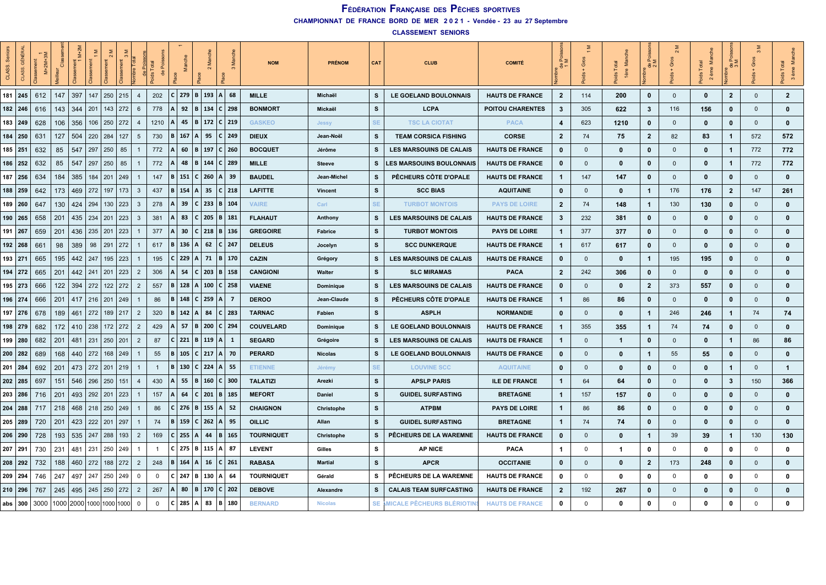| CLASS.    | GÉNÉ       | $M+2M+$ | $\vec{o}$ |     | $\sum_{i=1}^{n}$                 | $\frac{5}{3}$ | mbre Tota      |              |              |            | ž<br>$\sim$           |                          | <b>NOM</b>        | <b>PRÉNOM</b>  | CAT       | <b>CLUB</b>                     | <b>COMITÉ</b>           | $\frac{\alpha}{2}$<br>응. | Gros         | Ž            | ಕಿ ನ           | Gros<br>$\frac{8}{5}$ | ≝<br>ème<br>$\sim$ | ∑ ∆َ<br>ಕಿ ಸ<br>$\frac{5}{2}$ |              | e<br>Na<br>3 ème |
|-----------|------------|---------|-----------|-----|----------------------------------|---------------|----------------|--------------|--------------|------------|-----------------------|--------------------------|-------------------|----------------|-----------|---------------------------------|-------------------------|--------------------------|--------------|--------------|----------------|-----------------------|--------------------|-------------------------------|--------------|------------------|
| $181$ 245 |            | 612     | 147       | 397 | 147                              | $250$ 215     | $\overline{4}$ | 202          | l C          |            |                       | $279$   B   193   A   68 | <b>MILLE</b>      | Michaël        | s         | LE GOELAND BOULONNAIS           | <b>HAUTS DE FRANCE</b>  | $\overline{2}$           | 114          | 200          | $\mathbf 0$    | $\mathbf 0$           | $\mathbf{0}$       | $\overline{2}$                | $\mathbf{0}$ | $\overline{2}$   |
| 182 246   |            | 616     | 143       | 344 | 201<br>143                       | 272           | 6              | 778          | ΙA           | 92         |                       | B   134   C   298        | <b>BONMORT</b>    | Mickaël        | s         | <b>LCPA</b>                     | <b>POITOU CHARENTES</b> | $\mathbf{3}$             | 305          | 622          | 3              | 116                   | 156                | $\mathbf 0$                   | $\mathbf{0}$ | $\mathbf 0$      |
| 183 249   |            | 628     | 106       | 356 | $106$   250   272                |               | $\overline{4}$ | 1210         | ΙA           | 45         |                       | B   172   C   219        | <b>GASKEO</b>     | <b>Jessy</b>   | SE        | <b>TSC LA CIOTAT</b>            | <b>PACA</b>             | $\overline{4}$           | 623          | 1210         | $\mathbf 0$    | $\mathbf{0}$          | $\mathbf{0}$       | $\mathbf 0$                   | $\mathbf{0}$ | $\mathbf{0}$     |
| 184 250   |            | 631     | 127       | 504 | 220<br>284                       | 127           | 5              | 730          | ΙB           | 167        | $\mathsf{A}$<br>95    | C   249                  | <b>DIEUX</b>      | Jean-Noël      | s         | <b>TEAM CORSICA FISHING</b>     | <b>CORSE</b>            | $\mathbf{2}$             | 74           | 75           | $\overline{2}$ | 82                    | 83                 | $\overline{1}$                | 572          | 572              |
| 185 251   |            | 632     | 85        | 547 | 297<br>250                       | 85            | $\overline{1}$ | 772          |              | 60         | B 197                 | C 260                    | <b>BOCQUET</b>    | Jérôme         | s         | LES MARSOUINS DE CALAIS         | <b>HAUTS DE FRANCE</b>  | 0                        | $\Omega$     | 0            | $\mathbf 0$    | $\mathbf 0$           | $\mathbf 0$        | $\overline{1}$                | 772          | 772              |
| 186 252   |            | 632     | 85        | 547 | 297<br>250                       | 85            |                | 772          |              | 48         | $B \mid 144$          | C 289                    | <b>MILLE</b>      | <b>Steeve</b>  | s         | <b>LES MARSOUINS BOULONNAIS</b> | <b>HAUTS DE FRANCE</b>  | $\mathbf{0}$             | $\mathbf{0}$ | $\mathbf{0}$ | $\mathbf 0$    | $\mathbf 0$           | $\mathbf{0}$       | $\overline{1}$                | 772          | 772              |
| 187 256   |            | 634     | 184       | 385 | $184$   201                      | 249           |                | 147          | B            | 151        | $C \mid 260$          | A   39                   | <b>BAUDEL</b>     | Jean-Michel    | s         | PÊCHEURS CÔTE D'OPALE           | <b>HAUTS DE FRANCE</b>  | $\mathbf{1}$             | 147          | 147          | $\mathbf 0$    | $\mathbf{0}$          | $\mathbf{0}$       | $\mathbf 0$                   | $\mathbf{0}$ | 0                |
|           | 188 259    | 642     | 173       | 469 | 272<br>197                       | 173           | $\mathbf{3}$   | 437          | l B          | 154        | 35<br>l A l           | $C$ 218                  | <b>LAFITTE</b>    | Vincent        | s         | <b>SCC BIAS</b>                 | <b>AQUITAINE</b>        | 0                        | $\Omega$     | $\mathbf{0}$ | $\mathbf{1}$   | 176                   | 176                | $\overline{2}$                | 147          | 261              |
| 189 260   |            | 647     | 130       | 424 | 294<br>130                       | 223           | $\mathbf{3}$   | 278          | ΙA           | 39         |                       | $C$   233   B   104      | <b>VAIRE</b>      | Carl           | <b>SE</b> | <b>TURBOT MONTOIS</b>           | <b>PAYS DE LOIRE</b>    | $\mathbf{2}$             | 74           | 148          | $\mathbf{1}$   | 130                   | 130                | $\mathbf 0$                   | $\mathbf{0}$ | $\mathbf{0}$     |
| 190 265   |            | 658     | 201       | 435 | 234<br>201                       | 223           | $\mathbf{3}$   | 381          | IΑ           | 83         |                       | $C$   205   B   181      | <b>FLAHAUT</b>    | Anthony        | s         | <b>LES MARSOUINS DE CALAIS</b>  | <b>HAUTS DE FRANCE</b>  | 3                        | 232          | 381          | $\mathbf 0$    | $\mathbf{0}$          | $\mathbf 0$        | $\mathbf 0$                   | $\Omega$     | $\mathbf{0}$     |
| 191 267   |            | 659     | 201       | 436 | 235<br>201                       | 223           |                | 377          | ΙA           | 30         |                       | $ C $ 218   B   136      | <b>GREGOIRE</b>   | Fabrice        | s         | <b>TURBOT MONTOIS</b>           | <b>PAYS DE LOIRE</b>    | 1                        | 377          | 377          | $\mathbf 0$    | $\mathbf{0}$          | $\mathbf{0}$       | $\mathbf{0}$                  | $\Omega$     | $\mathbf{0}$     |
| 192 268   |            | 661     | 98        | 389 | 98<br>291                        | 272           |                | 617          | B            | 136        | 62<br>$\mathsf{A}$    | C   247                  | <b>DELEUS</b>     | Jocelyn        | s         | <b>SCC DUNKERQUE</b>            | <b>HAUTS DE FRANCE</b>  | $\mathbf 1$              | 617          | 617          | $\mathbf 0$    | $\mathbf 0$           | $\mathbf 0$        | $\mathbf 0$                   | $\mathbf 0$  | $\mathbf 0$      |
| 193 271   |            | 665     | 195       | 442 | 247                              | $195$   223   |                | 195          |              | 229        | A <br>71              | B   170                  | <b>CAZIN</b>      | Grégory        | s         | <b>LES MARSOUINS DE CALAIS</b>  | <b>HAUTS DE FRANCE</b>  | 0                        | $\mathbf{0}$ | $\mathbf{0}$ | $\mathbf{1}$   | 195                   | 195                | $\mathbf 0$                   | $\mathbf 0$  | $\mathbf{0}$     |
| 194 272   |            | 665     | 201       | 442 | 241<br>$ 201\rangle$             | 223           | $\overline{2}$ | 306          | ΙA           |            |                       | 54   C   203   B   158   | <b>CANGIONI</b>   | Walter         | s         | <b>SLC MIRAMAS</b>              | <b>PACA</b>             | $\overline{2}$           | 242          | 306          | $\mathbf 0$    | $\mathbf{0}$          | $\mathbf{0}$       | $\mathbf 0$                   | $\mathbf 0$  | $\mathbf{0}$     |
| 195 273   |            | 666     | 122       | 394 | 272<br>122                       | 272           | $\overline{2}$ | 557          | B            | 128        |                       | A   100   C   258        | <b>VIAENE</b>     | Dominique      | s         | <b>LES MARSOUINS DE CALAIS</b>  | <b>HAUTS DE FRANCE</b>  | $\mathbf 0$              | $\mathbf{0}$ | $\mathbf 0$  | $\mathbf{2}$   | 373                   | 557                | $\mathbf 0$                   | $\mathbf{0}$ | $\mathbf{0}$     |
| 196 274   |            | 666     | 201       | 417 | 216 <br>201                      | 249           |                | 86           | B            | 148        | $C \mid 259$          | ΙA<br>- 7                | <b>DEROO</b>      | Jean-Claude    | s         | PÊCHEURS CÔTE D'OPALE           | <b>HAUTS DE FRANCE</b>  | $\mathbf 1$              | 86           | 86           | $\mathbf 0$    | $\mathbf{0}$          | $\mathbf{0}$       | $\mathbf{0}$                  | $\mathbf 0$  | $\mathbf{0}$     |
| 197 276   |            | 678     | 189       | 461 | 272<br>189                       | 217           | $\overline{2}$ | 320          | ΙBΙ          | 142<br>∣A. | 84                    | C   283                  | <b>TARNAC</b>     | Fabien         | s         | <b>ASPLII</b>                   | <b>NORMANDIE</b>        | $\mathbf 0$              | $\Omega$     | $\mathbf{0}$ | $\mathbf{1}$   | 246                   | 246                | $\overline{1}$                | 74           | 74               |
| 198 279   |            | 682     | 172       | 410 | 238                              | $172$   272   | $\overline{2}$ | 429          | IΔ           | 57         | B 200                 | C   294                  | <b>COUVELARD</b>  | Dominique      | s         | LE GOELAND BOULONNAIS           | <b>HAUTS DE FRANCE</b>  | $\mathbf{1}$             | 355          | 355          | $\mathbf{1}$   | 74                    | 74                 | $\mathbf 0$                   | $\mathbf{0}$ | 0                |
| 199 280   |            | 682     | 201       | 481 | 231                              | 250   201     | $\overline{2}$ | 87           | $\mathsf{c}$ |            | $221 \mid B \mid 119$ | ΙA<br>- 1                | <b>SEGARD</b>     | Grégoire       | s         | <b>LES MARSOUINS DE CALAIS</b>  | <b>HAUTS DE FRANCE</b>  | $\mathbf{1}$             | $\mathbf{0}$ | $\mathbf{1}$ | $\mathbf 0$    | $\mathbf{0}$          | $\mathbf{0}$       | $\mathbf{1}$                  | 86           | 86               |
| 200 282   |            | 689     | 168       | 440 | 272                              | 168 249       |                | 55           | B            | 105        |                       | $ C $ 217   A   70       | <b>PERARD</b>     | <b>Nicolas</b> | s         | LE GOELAND BOULONNAIS           | <b>HAUTS DE FRANCE</b>  | $\mathbf 0$              | $\mathbf{0}$ | $\mathbf{0}$ | $\mathbf{1}$   | 55                    | 55                 | $\mathbf 0$                   | $\mathbf 0$  | $\mathbf{0}$     |
| $201$ 284 |            | 692     | 201       | 473 | 272 201                          | 219           | $\overline{1}$ | $\mathbf{1}$ | l B          | 130        | $C$ 224               | A   55                   | <b>ETIENNE</b>    | Jérémy         | SE        | <b>LOUVINE SCC</b>              | <b>AQUITAINE</b>        | 0                        | $\Omega$     | $\mathbf{0}$ | $\mathbf 0$    | $\mathbf{0}$          | $\mathbf{0}$       | $\mathbf{1}$                  | $\Omega$     | $\mathbf{1}$     |
| 202 285   |            | 697     | 151       | 546 | 296<br>250                       | 151           | $\overline{4}$ | 430          | IΑ           | 55         | B<br>160              | C   300                  | <b>TALATIZI</b>   | Arezki         | s         | <b>APSLP PARIS</b>              | <b>ILE DE FRANCE</b>    | $\mathbf 1$              | 64           | 64           | 0              | $\mathbf{0}$          | $\mathbf{0}$       | $\mathbf{3}$                  | 150          | 366              |
| 203 286   |            | 716     | 201       | 493 | 292<br>201                       | 223           |                | 157          | ΙA           | 64         | $C$ 201               | B 185                    | <b>MEFORT</b>     | Daniel         | s         | <b>GUIDEL SURFASTING</b>        | <b>BRETAGNE</b>         | $\mathbf{1}$             | 157          | 157          | $\mathbf 0$    | $\mathbf{0}$          | $\mathbf{0}$       | $\mathbf 0$                   | $\mathbf 0$  | $\mathbf{0}$     |
| $204$ 288 |            | 717     | 218       | 468 | 218 250 249                      |               |                | 86           |              | 276        | B  <br>155            | l A<br>- 52              | <b>CHAIGNON</b>   | Christophe     | s         | <b>ATPBM</b>                    | <b>PAYS DE LOIRE</b>    | $\mathbf{1}$             | 86           | 86           | $\mathbf{0}$   | $\mathbf{0}$          | $\mathbf{0}$       | $\mathbf{0}$                  | $\Omega$     | 0                |
| 205 289   |            | 720     | 201       | 423 | 222 201 297                      |               |                | 74           | B            | 159        | $C$ 262 A             | - 95                     | <b>OILLIC</b>     | Allan          | s         | <b>GUIDEL SURFASTING</b>        | <b>BRETAGNE</b>         | $\mathbf{1}$             | 74           | 74           | $\mathbf 0$    | $\mathbf{0}$          | $\mathbf{0}$       | $\mathbf 0$                   | $\mathbf{0}$ | 0                |
| 206 290   |            | 728     | 193       |     | 535 247 288                      | 193           | $\overline{2}$ | 169          | l C l        | 255 A      | 44                    | B   165                  | <b>TOURNIQUET</b> | Christophe     | s         | PÊCHEURS DE LA WAREMNE          | <b>HAUTS DE FRANCE</b>  | 0                        | $\mathbf 0$  | $\mathbf{0}$ | $\mathbf{1}$   | 39                    | 39                 | $\mathbf{1}$                  | 130          | 130              |
| 207 291   |            | 730     | 231       | 481 | 231                              | 250 249       |                | $\mathbf{1}$ | l c l        |            |                       | $275$   B   115   A   87 | <b>LEVENT</b>     | Gilles         | s         | <b>AP NICE</b>                  | <b>PACA</b>             | $\overline{1}$           | $\Omega$     | -1           | 0              | $\mathbf 0$           | $\Omega$           | $\mathbf 0$                   | $\mathbf{0}$ | $\mathbf{0}$     |
| 208 292   |            | 732     | 188       | 460 | 272<br>188                       | 272           | $\overline{2}$ | 248          | B            | 164        | 16<br>A               | C 261                    | <b>RABASA</b>     | <b>Martial</b> | s         | <b>APCR</b>                     | <b>OCCITANIE</b>        | 0                        | $\Omega$     | $\mathbf 0$  | $\overline{2}$ | 173                   | 248                | $\mathbf 0$                   | $\mathbf{0}$ | $\mathbf{0}$     |
| 209 294   |            | 746     | 247       | 497 | 247<br>250                       | 249           | $\mathbf{0}$   | 0            | $\mathsf{C}$ |            | $247 \mid B \mid 130$ | l A<br>64                | <b>TOURNIQUET</b> | Gérald         | s         | PÊCHEURS DE LA WAREMNE          | <b>HAUTS DE FRANCE</b>  | 0                        | $\mathbf 0$  | 0            | 0              | $\mathbf 0$           | 0                  | 0                             | $\mathbf 0$  | 0                |
| 210   296 |            | 767     | 245       | 495 | 245 250 272                      |               | $\overline{2}$ | 267          | ΙA           | 80         | B   170               | C   202                  | <b>DEBOVE</b>     | Alexandre      | s         | <b>CALAIS TEAM SURFCASTING</b>  | <b>HAUTS DE FRANCE</b>  | $\overline{2}$           | 192          | 267          | $\mathbf 0$    | $\mathbf{0}$          | $\mathbf{0}$       | $\mathbf{0}$                  | $\mathbf{0}$ | 0                |
|           | abs $ 300$ | 3000    |           |     | 1000   2000   1000   1000   1000 |               | $\mathbf 0$    | 0            | $\epsilon$   | 285        | l A I                 | 83   B   180             | <b>BERNARD</b>    | <b>Nicolas</b> |           | SE MICALE PÊCHEURS BLÉRIOTIN    | <b>HAUTS DE FRANCE</b>  | 0                        | $\Omega$     | $\Omega$     | $\Omega$       | $\Omega$              | $\Omega$           | $\mathbf{0}$                  | $\mathbf 0$  | $\mathbf 0$      |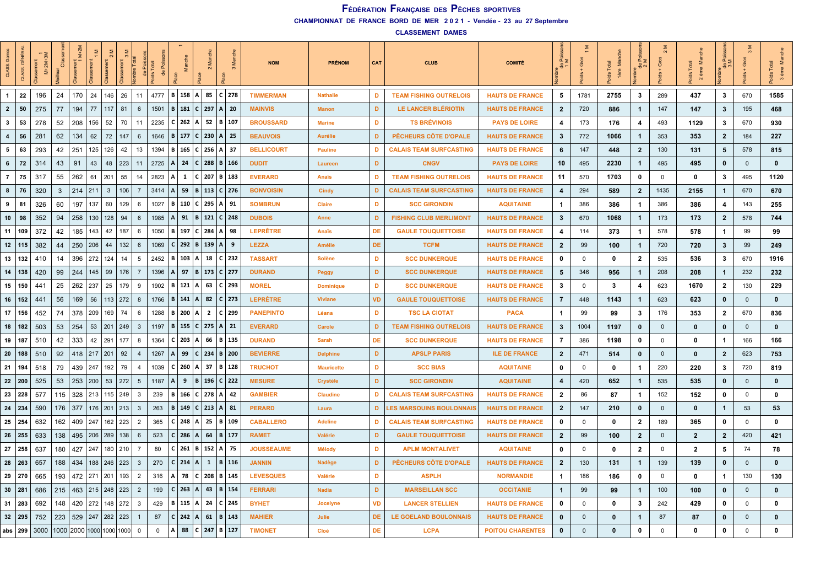**CHAMPIONNAT DE FRANCE BORD DE MER 2 0 2 1 - Vendée - 23 au 27 Septembre**

**CLASSEMENT DAMES**

| CLASS                   | GÉNÉ<br>ASS.  | $M+2M+3M$ | d   | $M+2N$      |                            |               |                 | de Poiss<br>vids Total<br>de Po |                                                        |           | $\sim$                     |     |              | <b>NOM</b>        | <b>PRÉNOM</b>     | CAT       | <b>CLUB</b>                     | <b>COMITÉ</b>           | $\frac{d}{1}$  | Gros           | Manche<br>Total<br>1ère<br><b>შ</b> | $\frac{de}{2}$ | ō           | es<br>Ma<br>Total<br>$2em$ eme | $\frac{de}{3}$ <sub>M</sub> | $+$ Gros<br>ids | ids Total<br>$\frac{1}{2}$ |
|-------------------------|---------------|-----------|-----|-------------|----------------------------|---------------|-----------------|---------------------------------|--------------------------------------------------------|-----------|----------------------------|-----|--------------|-------------------|-------------------|-----------|---------------------------------|-------------------------|----------------|----------------|-------------------------------------|----------------|-------------|--------------------------------|-----------------------------|-----------------|----------------------------|
| $\mathbf{1}$            | 22            | 196       | 24  | 170         | 24                         | 146<br>26     | 11              |                                 | 4777   B   158   A   85   C   278                      |           |                            |     |              | <b>TIMMERMAN</b>  | <b>Nathalie</b>   | D         | <b>TEAM FISHING OUTRELOIS</b>   | <b>HAUTS DE FRANCE</b>  | 5              | 1781           | 2755                                | $\mathbf{3}$   | 289         | 437                            | $\mathbf{3}$                | 670             | 1585                       |
| $\overline{2}$          | 50            | 275       | 77  | 194         | 77                         | 117<br>81     | 6               | 1501                            |                                                        |           | B   181   C   297          |     | A   20       | <b>MAINVIS</b>    | <b>Manon</b>      | D         | LE LANCER BLÉRIOTIN             | <b>HAUTS DE FRANCE</b>  | $\mathbf{2}$   | 720            | 886                                 | $\mathbf{1}$   | 147         | 147                            | $\mathbf{3}$                | 195             | 468                        |
| $\mathbf{3}$            | 53            | 278       | 52  | 208         | 52<br>156                  | 70            | 11              | 2235                            | $ C $ 262   A                                          |           |                            |     | 52   B   107 | <b>BROUSSARD</b>  | <b>Marine</b>     | D         | <b>TS BRÉVINOIS</b>             | <b>PAYS DE LOIRE</b>    | 4              | 173            | 176                                 | $\overline{4}$ | 493         | 1129                           | 3                           | 670             | 930                        |
| $\overline{\mathbf{4}}$ | 56            | 281       | 62  | 134         | 62                         | 72<br>147     | 6               | 1646                            |                                                        |           | B   177   C   230   A   25 |     |              | <b>BEAUVOIS</b>   | <b>Aurélie</b>    | D         | PÊCHEURS CÔTE D'OPALE           | <b>HAUTS DE FRANCE</b>  | 3              | 772            | 1066                                | $\mathbf{1}$   | 353         | 353                            | $\overline{2}$              | 184             | 227                        |
| 5                       | 63            | 293       | 42  | 251         | 125 126                    | 42            | 13              | 1394                            |                                                        |           | B   165   C   256   A   37 |     |              | <b>BELLICOURT</b> | <b>Pauline</b>    | D         | <b>CALAIS TEAM SURFCASTING</b>  | <b>HAUTS DE FRANCE</b>  | 6              | 147            | 448                                 | $\overline{2}$ | 130         | 131                            | 5                           | 578             | 815                        |
| $6\phantom{.}6$         | 72            | 314       | 43  | 91          | 43<br>48                   | 223           | 11              | 2725                            | ΙA.                                                    |           | 24 C 288                   |     | B   166      | <b>DUDIT</b>      | Laureen           | D         | <b>CNGV</b>                     | <b>PAYS DE LOIRE</b>    | 10             | 495            | 2230                                | $\mathbf{1}$   | 495         | 495                            | 0                           | $\mathbf 0$     | $\mathbf 0$                |
| $\overline{7}$          | 75            | 317       | 55  | 262         | 61<br>201                  | 55            | 14              | 2823                            | ۱A                                                     |           | $1 \mid C \mid 207$        |     | B   183      | <b>EVERARD</b>    | Anaïs             | D         | <b>TEAM FISHING OUTRELOIS</b>   | <b>HAUTS DE FRANCE</b>  | 11             | 570            | 1703                                | 0              | 0           | 0                              | 3                           | 495             | 1120                       |
| 8                       | 76            | 320       | 3   | $214$   211 | $\mathbf{3}$               | 106           | $\overline{7}$  | 3414                            | ∣A.                                                    |           | 59   B   113   C   276     |     |              | <b>BONVOISIN</b>  | <b>Cindy</b>      | D         | <b>CALAIS TEAM SURFCASTING</b>  | <b>HAUTS DE FRANCE</b>  | 4              | 294            | 589                                 | $\overline{2}$ | 1435        | 2155                           | $\mathbf{1}$                | 670             | 670                        |
| 9                       | 81            | 326       | 60  | 197         | 137<br>60                  | 129           | 6               | 1027                            |                                                        |           | B   110   C   295   A   91 |     |              | <b>SOMBRUN</b>    | <b>Claire</b>     | D         | <b>SCC GIRONDIN</b>             | <b>AQUITAINE</b>        | 1              | 386            | 386                                 | $\mathbf{1}$   | 386         | 386                            | $\overline{\mathbf{4}}$     | 143             | 255                        |
| 10                      | 98            | 352       | 94  | 258         | 130 128                    | 94            | 6               | 1985                            | l A                                                    |           | 91   B   121   C   248     |     |              | <b>DUBOIS</b>     | Anne              | D         | <b>FISHING CLUB MERLIMONT</b>   | <b>HAUTS DE FRANCE</b>  | 3              | 670            | 1068                                | $\mathbf{1}$   | 173         | 173                            | $\overline{2}$              | 578             | 744                        |
| 11                      | 109           | 372       | 42  | 185         | 143<br>42                  | 187           | 6               | 1050                            |                                                        |           | B   197   C   284          |     | A   98       | <b>LEPRÊTRE</b>   | Anaïs             | DE        | <b>GAULE TOUQUETTOISE</b>       | <b>HAUTS DE FRANCE</b>  | 4              | 114            | 373                                 | $\mathbf{1}$   | 578         | 578                            | $\mathbf{1}$                | 99              | 99                         |
| 12                      | 115           | 382       | 44  | 250   206   | 44                         | 132           | 6               | 1069                            |                                                        |           | C   292   B   139   A      |     | - 9          | <b>LEZZA</b>      | Amélie            | <b>DE</b> | <b>TCFM</b>                     | <b>HAUTS DE FRANCE</b>  | $\mathbf{2}$   | 99             | 100                                 | $\mathbf{1}$   | 720         | 720                            | 3                           | 99              | 249                        |
| 13                      | 132           | 410       | 14  |             | 396   272   124            | 14            | 5               | 2452   $\mathbf{B}$             |                                                        |           | 103 A 18 C 232             |     |              | <b>TASSART</b>    | <b>Solène</b>     | D         | <b>SCC DUNKERQUE</b>            | <b>HAUTS DE FRANCE</b>  | 0              | $\mathbf 0$    | 0                                   | $\overline{2}$ | 535         | 536                            | 3                           | 670             | 1916                       |
| 14                      | 138           | 420       | 99  |             | $244$   145   99           | 176           | $\overline{7}$  | 1396                            | $ A $ 97   B   173   C   277                           |           |                            |     |              | <b>DURAND</b>     | Peggy             | D         | <b>SCC DUNKERQUE</b>            | <b>HAUTS DE FRANCE</b>  | 5              | 346            | 956                                 | $\mathbf{1}$   | 208         | 208                            | $\mathbf{1}$                | 232             | 232                        |
| 15                      | 150           | 441       | 25  | 262   237   | 25                         | 179           | 9               |                                 | 1902   <b>B</b>   121   <b>A</b>   63   <b>C</b>   293 |           |                            |     |              | <b>MOREL</b>      | <b>Dominique</b>  | D         | <b>SCC DUNKERQUE</b>            | <b>HAUTS DE FRANCE</b>  | 3              | $\mathbf 0$    | 3                                   | $\overline{4}$ | 623         | 1670                           | $\mathbf{2}$                | 130             | 229                        |
| 16                      | 152           | 441       | 56  | $169$ 56    |                            | $113$   272   | 8               | 1766                            | B   141   A                                            |           |                            |     | 82   C   273 | <b>LEPRÊTRE</b>   | <b>Viviane</b>    | <b>VD</b> | <b>GAULE TOUQUETTOISE</b>       | <b>HAUTS DE FRANCE</b>  | $\overline{7}$ | 448            | 1143                                | $\mathbf{1}$   | 623         | 623                            | $\mathbf 0$                 | $\mathbf{0}$    | $\mathbf 0$                |
| 17                      | 156           | 452       | 74  | 378   209   |                            | 169<br>74     | 6               | 1288                            | $ B $ 200 $ A $                                        |           | $\overline{2}$             |     | C 299        | <b>PANEPINTO</b>  | Léana             | D         | <b>TSC LA CIOTAT</b>            | <b>PACA</b>             | $\mathbf{1}$   | 99             | 99                                  | $\mathbf{3}$   | 176         | 353                            | $\mathbf{2}$                | 670             | 836                        |
| 18                      | 182           | 503       | 53  | 254         | 53   201   249             |               | $\mathbf{3}$    | 1197                            |                                                        |           | B   155   C   275   A   21 |     |              | <b>EVERARD</b>    | Carole            | D         | <b>TEAM FISHING OUTRELOIS</b>   | <b>HAUTS DE FRANCE</b>  | $\mathbf{3}$   | 1004           | 1197                                | $\mathbf{0}$   | $\mathbf 0$ | 0                              | $\mathbf 0$                 | $\mathbf{0}$    | $\mathbf 0$                |
| 19   187                |               | 510       | 42  | 333         | 42 291                     | 177           | 8               | 1364                            | C   203   A                                            |           | 66                         |     | B   135      | <b>DURAND</b>     | Sarah             | DE        | <b>SCC DUNKERQUE</b>            | <b>HAUTS DE FRANCE</b>  | 7              | 386            | 1198                                | $\mathbf 0$    | 0           | 0                              | $\mathbf{1}$                | 166             | 166                        |
| 20                      | 188           | 510       | 92  |             | 418 217 201                | 92            | 4               | 1267                            | ΙA                                                     | 99        | C   234   B   200          |     |              | <b>BEVIERRE</b>   | <b>Delphine</b>   | D         | <b>APSLP PARIS</b>              | <b>ILE DE FRANCE</b>    | $\overline{2}$ | 471            | 514                                 | $\mathbf{0}$   | $\mathbf 0$ | 0                              | $\overline{2}$              | 623             | 753                        |
| 21                      | 194           | 518       | 79  | 439         | 247   192                  | 79            | $\overline{4}$  | 1039                            | C 260                                                  |           | 37<br>ا A                  |     | B 128        | <b>TRUCHOT</b>    | <b>Mauricette</b> | D         | <b>SCC BIAS</b>                 | <b>AQUITAINE</b>        | 0              | $\mathbf 0$    | 0                                   | $\mathbf{1}$   | 220         | 220                            | 3                           | 720             | 819                        |
| $22 \mid 200$           |               | 525       | 53  | 253   200   | 53                         | 272           | $5\overline{5}$ | 1187                            | l A                                                    | 9<br>l B  | 196                        |     | $C$ 222      | <b>MESURE</b>     | Crystèle          | D         | <b>SCC GIRONDIN</b>             | <b>AQUITAINE</b>        | 4              | 420            | 652                                 | $\mathbf{1}$   | 535         | 535                            | 0                           | $\mathbf{0}$    | $\mathbf{0}$               |
|                         | 23 228        | 577       | 115 |             | $328$   213   115   249    |               | $\overline{3}$  | 239                             |                                                        |           | B   166   C   278   A   42 |     |              | <b>GAMBIER</b>    | <b>Claudine</b>   | D         | <b>CALAIS TEAM SURFCASTING</b>  | <b>HAUTS DE FRANCE</b>  | $\mathbf{2}$   | 86             | 87                                  | $\mathbf{1}$   | 152         | 152                            | 0                           | $\mathbf 0$     | 0                          |
|                         | $24 \mid 234$ | 590       |     |             | 176 377 176 201            | $ 213\rangle$ | $\mathbf{3}$    | 263                             |                                                        |           | B   149   C   213   A   81 |     |              | <b>PERARD</b>     | Laura             | D         | <b>LES MARSOUINS BOULONNAIS</b> | <b>HAUTS DE FRANCE</b>  | $\mathbf{2}$   | 147            | 210                                 | $\mathbf 0$    | $\mathbf 0$ | $\Omega$                       | $\mathbf{1}$                | 53              | 53                         |
| 25                      | 254           | 632       |     | 162 409     | 247 <br>162                | 223           | $\overline{2}$  | 365                             | C   248   A                                            |           | 25                         |     | B 109        | <b>CABALLERO</b>  | <b>Adeline</b>    | D         | <b>CALAIS TEAM SURFCASTING</b>  | <b>HAUTS DE FRANCE</b>  | 0              | $\mathbf 0$    | 0                                   | $\overline{2}$ | 189         | 365                            | 0                           | $\mathbf 0$     | $\mathbf 0$                |
| 26                      | 255           | 633       | 138 |             | 495 206 289                | 138           | 6               | 523                             | $C$ 286                                                |           | 64<br>l A                  |     | $B \mid 177$ | <b>RAMET</b>      | Valérie           | D         | <b>GAULE TOUQUETTOISE</b>       | <b>HAUTS DE FRANCE</b>  | $\overline{2}$ | 99             | 100                                 | $\overline{2}$ | $\mathbf 0$ | $\overline{2}$                 | $\overline{2}$              | 420             | 421                        |
| 27                      | 258           | 637       | 180 |             | 427   247   180            | 210           | -7              | 80                              |                                                        | $C$ 261 B | 152                        |     | A   75       | <b>JOUSSEAUME</b> | <b>Mélody</b>     | D         | <b>APLM MONTALIVET</b>          | <b>AQUITAINE</b>        | 0              | $\mathbf 0$    | 0                                   | $\overline{2}$ | 0           | $\overline{2}$                 | 5                           | 74              | 78                         |
| 28                      | 263           | 657       | 188 | 434         | 188 246 223                |               | $\mathbf{3}$    | 270                             | $C$ 214                                                | ΙAΙ       | $\mathbf{1}$               | ΙB. | $\vert$ 116  | <b>JANNIN</b>     | Nadège            | D         | PÊCHEURS CÔTE D'OPALE           | <b>HAUTS DE FRANCE</b>  | $\mathbf{2}$   | 130            | 131                                 | $\mathbf{1}$   | 139         | 139                            | 0                           | $\mathbf{0}$    | $\mathbf{0}$               |
| 29                      | 270           | 665       | 193 |             | 472 271 201                | 193           | $\overline{2}$  | 316                             | l A                                                    |           | 78   C   208   B   145     |     |              | <b>LEVESQUES</b>  | Valérie           | D         | <b>ASPLH</b>                    | <b>NORMANDIE</b>        | $\mathbf{1}$   | 186            | 186                                 | 0              | 0           | 0                              | $\mathbf{1}$                | 130             | 130                        |
| 30                      | 281           | 686       | 215 |             | 463 215 248 223            |               | $\overline{2}$  | 199                             |                                                        | $C$ 263 A | 43                         |     | B 154        | <b>FERRARI</b>    | <b>Nadia</b>      | D         | <b>MARSEILLAN SCC</b>           | <b>OCCITANIE</b>        | $\mathbf{1}$   | 99             | 99                                  | $\mathbf{1}$   | 100         | 100                            | 0                           | $\mathbf{0}$    | $\mathbf 0$                |
|                         | 31   283      | 692       | 148 |             | 420   272   148   272      |               | $\mathbf{3}$    | 429                             | B   115   A                                            |           | 24                         |     | $ C $ 245    | <b>BYHET</b>      | Jocelyne          | VD        | <b>LANCER STELLIEN</b>          | <b>HAUTS DE FRANCE</b>  | 0              | $\mathbf 0$    | 0                                   | 3              | 242         | 429                            | 0                           | 0               | 0                          |
|                         | $32 \mid 295$ | 752       | 223 |             | 529 247 282 223            |               |                 | 87                              |                                                        | $C$ 242 A | 61                         |     | B 143        | <b>MAHIER</b>     | Julie             | DE        | LE GOELAND BOULONNAIS           | <b>HAUTS DE FRANCE</b>  | $\mathbf{0}$   | $\overline{0}$ | 0                                   | $\mathbf{1}$   | 87          | 87                             | $\mathbf 0$                 | $\mathbf 0$     | $\mathbf{0}$               |
|                         | abs $299$     | 3000      |     |             | 1000 2000 1000 1000 1000 0 |               |                 | $\mathbf 0$                     | A                                                      |           | 88   C   247   B   127     |     |              | <b>TIMONET</b>    | Cloé              | DE        | <b>LCPA</b>                     | <b>POITOU CHARENTES</b> | $\mathbf{0}$   | $\Omega$       | 0                                   | $\mathbf{0}$   | $\mathbf 0$ | $\Omega$                       | $\mathbf{0}$                | $\mathbf 0$     |                            |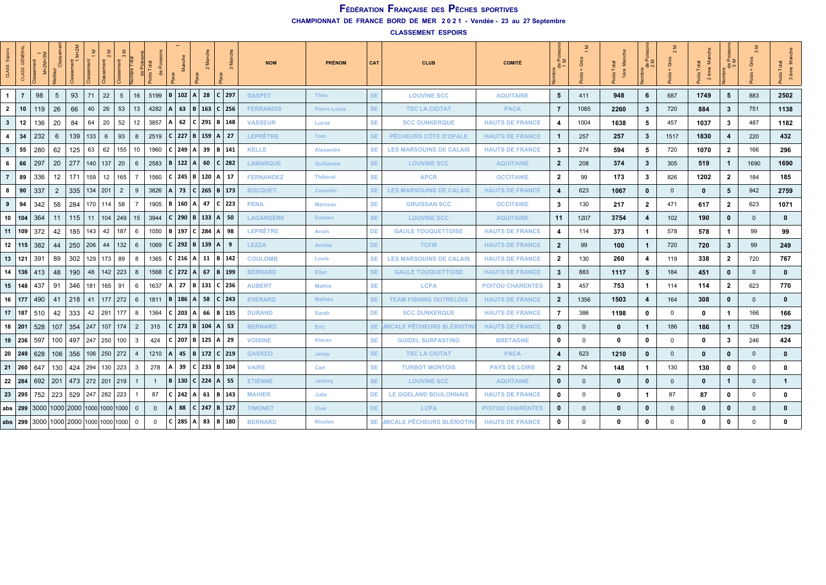**CHAMPIONNAT DE FRANCE BORD DE MER 2 0 2 1 - Vendée - 23 au 27 Septembre**

**CLASSEMENT ESPOIRS**

| CLASS.          | GÉNÉI<br>CLASS. | $M+2M+$ |                                         | $M+2M$<br>nent<br>1   | $\overline{1}$ |             | hire Tota       |                |                                |                |                    | $2 \,$ Ma                    |           |     | <b>NOM</b>       | <b>PRÉNOM</b>    | CAT       | <b>CLUB</b>                    | <b>COMITÉ</b>           | $\frac{1}{1}$           |              | $\frac{1}{2}$ | $\frac{e}{2}$           | ō            | oids<br>2e   | ূত<br>$rac{e}{2}$ |              |              |
|-----------------|-----------------|---------|-----------------------------------------|-----------------------|----------------|-------------|-----------------|----------------|--------------------------------|----------------|--------------------|------------------------------|-----------|-----|------------------|------------------|-----------|--------------------------------|-------------------------|-------------------------|--------------|---------------|-------------------------|--------------|--------------|-------------------|--------------|--------------|
| $\overline{1}$  | $\overline{7}$  | 98      | 5                                       | 93                    | 71             | 22          | $5\overline{)}$ | 16             | 5199   <b>B</b>   102   A   28 |                |                    |                              | $ C $ 297 |     | <b>DASPET</b>    | Théo             | SE.       | <b>LOUVINE SCC</b>             | <b>AQUITAINE</b>        | 5                       | 411          | 948           | 6                       | 687          | 1749         | $5^{\circ}$       | 883          | 2502         |
| $\overline{2}$  | 10              | 119     | 26                                      | 66                    | 40             | 26          | 53              | 13             | 4282                           | l A            |                    | 63   B   163   C   256       |           |     | <b>FERRANDIS</b> | Pierre-Louis     | <b>SE</b> | <b>TSC LA CIOTAT</b>           | <b>PACA</b>             | $\overline{7}$          | 1085         | 2260          | $\mathbf{3}$            | 720          | 884          | 3                 | 751          | 1138         |
| $\mathbf{3}$    | 12              | 136     | 20                                      | 84                    | 64             | 20          | 52              | 12             | 3857                           | ΙAΙ            |                    | 62   C   291   B   148       |           |     | <b>VASSEUR</b>   | Lucas            | <b>SE</b> | <b>SCC DUNKERQUE</b>           | <b>HAUTS DE FRANCE</b>  | 4                       | 1004         | 1638          | 5                       | 457          | 1037         | 3                 | 487          | 1182         |
| $\overline{4}$  | 34              | 232     | 6                                       | 139                   | 133            | 6           | 93              | 8              | 2519                           |                |                    | $ C $ 227   B   159   A   27 |           |     | <b>LEPRÊTRE</b>  | Tom              | SE.       | PÊCHEURS CÔTE D'OPALE          | <b>HAUTS DE FRANCE</b>  | $\mathbf{1}$            | 257          | 257           | $\mathbf{3}$            | 1517         | 1830         | 4                 | 220          | 432          |
| $5\overline{5}$ | 55              | 280     | 62                                      | 125                   | 63             | 62          | 155             | 10             | 1960                           |                | C   249   A   39   |                              | B   141   |     | <b>KELLE</b>     | <b>Alexandre</b> | <b>SE</b> | <b>LES MARSOUINS DE CALAIS</b> | <b>HAUTS DE FRANCE</b>  | $\mathbf{3}$            | 274          | 594           | 5                       | 720          | 1070         | $\mathbf{2}$      | 166          | 296          |
| 6               | 66              | 297     | 20                                      | 277                   | 140            | 137   20    |                 | 6              | 2583                           |                |                    | B   122   A   60   C   282   |           |     | <b>LAMARQUE</b>  | Guillaume        | SE.       | <b>LOUVINE SCC</b>             | <b>AQUITAINE</b>        | $\overline{2}$          | 208          | 374           | $\mathbf{3}$            | 305          | 519          | 1                 | 1690         | 1690         |
| $\overline{7}$  | 89              | 336     | 12                                      | 171                   | 159            | 12          | 165             | $\overline{7}$ | 1560                           |                |                    | C   245   B   120   A   17   |           |     | <b>FERNANDEZ</b> | <b>Thibaud</b>   | <b>SE</b> | <b>APCR</b>                    | <b>OCCITANIE</b>        | $\overline{2}$          | 99           | 173           | $\mathbf{3}$            | 826          | 1202         | $\overline{2}$    | 184          | 185          |
| 8               | 90              | 337     | $\overline{2}$                          | 335                   | 134            | 201         | $\overline{2}$  | 9              | 3826                           |                |                    | 73   C   265   B   173       |           |     | <b>BOCQUET</b>   | <b>Corentin</b>  | SE.       | <b>LES MARSOUINS DE CALAIS</b> | <b>HAUTS DE FRANCE</b>  | $\overline{\mathbf{4}}$ | 623          | 1067          | $\mathbf{0}$            | $\mathbf{0}$ | $\mathbf 0$  | 5                 | 942          | 2759         |
| 9               | 94              | 342     | 58                                      | 284                   | 170            | $114$ 58    |                 | $\overline{7}$ | 1905                           | l B            |                    | 160  A  47  C  223           |           |     | <b>PENA</b>      | <b>Marceau</b>   | <b>SE</b> | <b>GRUISSAN SCC</b>            | <b>OCCITANIE</b>        | $\mathbf{3}$            | 130          | 217           | $\overline{2}$          | 471          | 617          | $\mathbf{2}$      | 623          | 1071         |
| 10 104          |                 | 364     | 11                                      | 115                   | 11             | $104$   249 |                 | 15             | 3944                           |                |                    | $ C $ 290   B   133   A   50 |           |     | <b>LAGARDÈRE</b> | <b>Damien</b>    | SE.       | <b>LOUVINE SCC</b>             | <b>AQUITAINE</b>        | 11                      | 1207         | 3754          | $\overline{4}$          | 102          | 190          | 0                 | $\mathbf{0}$ | $\mathbf{0}$ |
| 11              | 109             | 372     | 42                                      | 185                   | 143            | 42          | 187             | 6              | 1050                           |                |                    | B   197   C   284   A   98   |           |     | <b>LEPRÊTRE</b>  | Anaïs            | DE        | <b>GAULE TOUQUETTOISE</b>      | <b>HAUTS DE FRANCE</b>  | 4                       | 114          | 373           | $\mathbf{1}$            | 578          | 578          | 1                 | 99           | 99           |
| $12$   115      |                 | 382     | 44                                      | 250                   | 206            | 44          | 132             | 6              | 1069                           |                |                    | $ C $ 292   B $ 139 A $      |           | - 9 | <b>LEZZA</b>     | Amélie           | DE.       | <b>TCFM</b>                    | <b>HAUTS DE FRANCE</b>  | $\overline{2}$          | 99           | 100           | $\mathbf{1}$            | 720          | 720          | 3                 | 99           | 249          |
| 13   121        |                 | 391     | 89                                      | 302                   | 129            | 173 89      |                 | 8              | 1365                           |                |                    | C   216   A   11   B   142   |           |     | <b>COULOMB</b>   | Louis            | <b>SE</b> | <b>LES MARSOUINS DE CALAIS</b> | <b>HAUTS DE FRANCE</b>  | $\overline{2}$          | 130          | 260           | $\overline{\mathbf{4}}$ | 119          | 338          | $\mathbf{2}$      | 720          | 767          |
| 14              | 136             | 413     | 48                                      | 190                   | 48             | $142$   223 |                 | 8              | 1568                           |                |                    | C   272   A   67   B   199   |           |     | <b>BERNARD</b>   | Eliot            | <b>SE</b> | <b>GAULE TOUQUETTOISE</b>      | <b>HAUTS DE FRANCE</b>  | $\mathbf{3}$            | 883          | 1117          | $5\phantom{.0}$         | 184          | 451          | 0                 | $\mathbf{0}$ | $\mathbf{0}$ |
| $15$   148      |                 | 437     | 91                                      | 346                   | 181            | $165$   91  |                 | 6              | 1637                           | l A            |                    | 27   B   131   C   236       |           |     | <b>AUBERT</b>    | <b>Mathis</b>    | <b>SE</b> | <b>LCPA</b>                    | <b>POITOU CHARENTES</b> | $\mathbf{3}$            | 457          | 753           | $\mathbf{1}$            | 114          | 114          | $\mathbf{2}$      | 623          | 770          |
| 16 177          |                 | 490     | 41                                      | 218                   | 41             | $177$   272 |                 | 6              | 1811                           |                |                    | $ B $ 186   A   58   C   243 |           |     | <b>EVERARD</b>   | Mathéo           | SE.       | <b>TEAM FISHING OUTRELOIS</b>  | <b>HAUTS DE FRANCE</b>  | $\overline{2}$          | 1356         | 1503          | $\overline{4}$          | 164          | 308          | $\mathbf 0$       | $\mathbf{0}$ | $\mathbf{0}$ |
| 17              | 187             | 510     | 42                                      | 333                   | 42             | 291   177   |                 | 8              | 1364                           |                | C   203   A        | 66                           | B   135   |     | <b>DURAND</b>    | Sarah            | <b>DE</b> | <b>SCC DUNKERQUE</b>           | <b>HAUTS DE FRANCE</b>  | $\overline{7}$          | 386          | 1198          | $\mathbf 0$             | $\mathbf 0$  | 0            | 1                 | 166          | 166          |
| 18 201          |                 | 528     | 107                                     | 354                   | 247            | 107   174   |                 | 2              | 315                            |                |                    | C   273   B   104   A   53   |           |     | <b>BERNARD</b>   | Eric             |           | SE AMICALE PÊCHEURS BLÉRIOTII  | <b>HAUTS DE FRANCE</b>  | $\mathbf 0$             | $\mathbf{0}$ | $\mathbf{0}$  | $\overline{1}$          | 186          | 186          | $\mathbf{1}$      | 129          | 129          |
| 19 236          |                 | 597     | 100                                     | 497                   |                | 247 250 100 |                 | 3              | 424                            |                |                    | $ C $ 207   B   125   A   29 |           |     | <b>VOISINE</b>   | Kiéran           | SE.       | <b>GUIDEL SURFASTING</b>       | <b>BRETAGNE</b>         | $\mathbf 0$             | 0            | $\Omega$      | $\mathbf 0$             | $\Omega$     | 0            | 3                 | 246          | 424          |
| 20              | 249             | 628     | 106                                     | 356                   | 106            | 250   272   |                 |                | 1210                           | $\overline{A}$ | 45                 | B   172   C   219            |           |     | <b>GASKEO</b>    | Jessy            | SE.       | <b>TSC LA CIOTAT</b>           | <b>PACA</b>             | $\overline{4}$          | 623          | 1210          | $\mathbf{0}$            | $\Omega$     | $\mathbf{0}$ | 0                 | $\mathbf{0}$ | $\mathbf{0}$ |
| $21 \mid 260$   |                 | 647     | 130                                     | 424                   | 294            | 130   223   |                 | 3              | 278                            | i A I          |                    | 39   C   233   B   104       |           |     | <b>VAIRE</b>     | Carl             | <b>SE</b> | <b>TURBOT MONTOIS</b>          | <b>PAYS DE LOIRE</b>    | $\overline{2}$          | 74           | 148           | $\mathbf{1}$            | 130          | 130          | 0                 | $\mathbf 0$  | 0            |
| 22              | 284             | 692     | 201                                     | 473   272   201   219 |                |             |                 | -1             | $\mathbf{1}$                   |                |                    | B   130   C   224   A   55   |           |     | <b>ETIENNE</b>   | Jérémy           | SE.       | <b>LOUVINE SCC</b>             | <b>AQUITAINE</b>        | $\mathbf 0$             | $\mathbf{0}$ | $\mathbf{0}$  | $\mathbf{0}$            | $\mathbf{0}$ | $\mathbf{0}$ | 1                 | $\mathbf{0}$ | $\mathbf 1$  |
| $23 \mid 295$   |                 |         | 752   223                               | 529 247 282 223       |                |             |                 |                | 87                             |                | $ C $ 242   A   61 |                              | B   143   |     | <b>MAHIER</b>    | Julie            | DE        | LE GOELAND BOULONNAIS          | <b>HAUTS DE FRANCE</b>  | $\mathbf 0$             | 0            | 0             | $\mathbf{1}$            | 87           | 87           | 0                 | $\mathbf{0}$ | 0            |
| abs $ 299$      |                 |         | 3000   1000   2000   1000   1000   1000 |                       |                |             |                 | $\mathbf{0}$   | $\mathbf{0}$                   | l A            | 88                 | $C$   247   B   127          |           |     | <b>TIMONET</b>   | Cloé             | DE.       | <b>LCPA</b>                    | <b>POITOU CHARENTES</b> | $\mathbf 0$             | $\mathbf{0}$ | $\mathbf{0}$  | $\mathbf{0}$            | $\mathbf{0}$ | $\mathbf{0}$ | 0                 | $\mathbf{0}$ | $\mathbf{0}$ |
| abs $ 299$      |                 |         | 3000  1000  2000  1000  1000  1000   0  |                       |                |             |                 |                | $\Omega$                       |                |                    | C   285   A   83   B   180   |           |     | <b>BERNARD</b>   | <b>Nicolas</b>   |           | SE AMICALE PÊCHEURS BLÉRIOTII  | <b>HAUTS DE FRANCE</b>  | $\mathbf 0$             | $\Omega$     | $\mathbf{0}$  | $\mathbf 0$             | $\Omega$     | $\mathbf{0}$ | 0                 | $\Omega$     | 0            |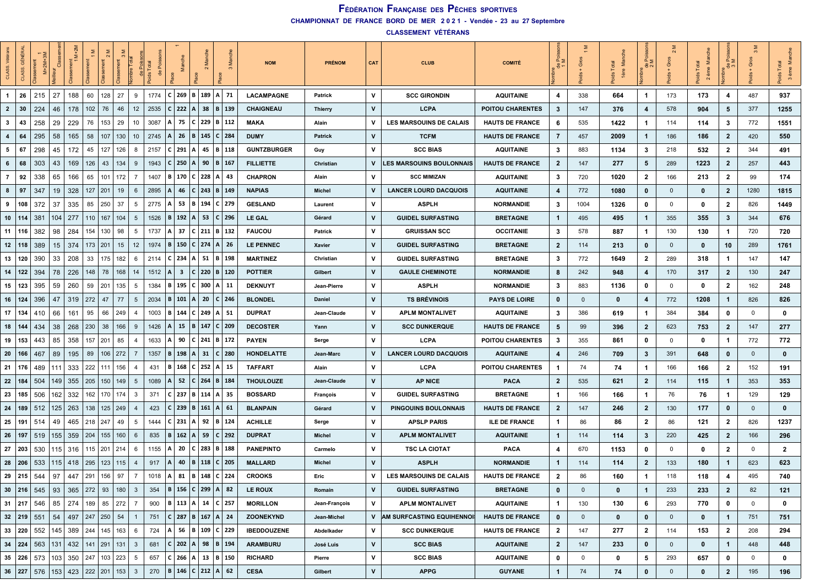**CHAMPIONNAT DE FRANCE BORD DE MER 2 0 2 1 - Vendée - 23 au 27 Septembre**

**CLASSEMENT VÉTÉRANS**

| <b>CLASS</b>            | GÉNÉRA        | $M+2M+$                    |     | $\frac{1}{2}$    |             |                       | $\frac{1}{\pi}$ | Pois<br>Total  |      |     |                         |              | $\sim$ |                                 | <b>NOM</b>         | <b>PRÉNOM</b> | CAT          | <b>CLUB</b>                     | <b>COMITÉ</b>           |                         | Gros        | $\epsilon$<br>1ère | ⊾ຂ<br>ಕಿನ               |              | ≝<br>Total<br>2 ème<br>4s |                         |              | ž<br>$\frac{5}{6}$<br>$\mathfrak{S}$ |
|-------------------------|---------------|----------------------------|-----|------------------|-------------|-----------------------|-----------------|----------------|------|-----|-------------------------|--------------|--------|---------------------------------|--------------------|---------------|--------------|---------------------------------|-------------------------|-------------------------|-------------|--------------------|-------------------------|--------------|---------------------------|-------------------------|--------------|--------------------------------------|
| $\mathbf{1}$            | 26            | 215                        | 27  | 188              | 60          | 128                   | 27              | 9              | 1774 | l C | $269$ B 189             |              |        | $A$ 71                          | <b>LACAMPAGNE</b>  | Patrick       | v            | <b>SCC GIRONDIN</b>             | <b>AQUITAINE</b>        | 4                       | 338         | 664                | $\mathbf{1}$            | 173          | 173                       | 4                       | 487          | 937                                  |
| $\overline{2}$          | 30            | 224                        | 46  | 178              | 102         | 76                    | 46              | 12             | 2535 | C   | 222 A                   |              | 38     | B   139                         | CHAIGNEAU          | Thierry       | v            | <b>LCPA</b>                     | <b>POITOU CHARENTES</b> | 3                       | 147         | 376                | $\overline{\mathbf{4}}$ | 578          | 904                       | 5                       | 377          | 1255                                 |
| $\mathbf{3}$            | 43            | 258                        | 29  | 229              | 76          | 153                   | 29              | 10             | 3087 | А   | 75                      |              |        | $C$   229   B   112             | <b>MAKA</b>        | Alain         | ٧            | LES MARSOUINS DE CALAIS         | <b>HAUTS DE FRANCE</b>  | 6                       | 535         | 1422               | 1                       | 114          | 114                       | 3                       | 772          | 1551                                 |
| $\overline{\mathbf{4}}$ | 64            | 295                        | 58  | 165              | 58          | 107                   | 130             | 10             | 2745 | A   | -26                     | <b>B</b> 145 |        | $C$ 284                         | <b>DUMY</b>        | Patrick       | V            | <b>TCFM</b>                     | <b>HAUTS DE FRANCE</b>  | 7                       | 457         | 2009               | $\mathbf{1}$            | 186          | 186                       | $\overline{2}$          | 420          | 550                                  |
| 5                       | 67            | 298                        | 45  | 172              | 45          | 127                   | 126             | 8              | 2157 | ΙC  | $291 \mid A \mid$       |              | 45     | B   118                         | <b>GUNTZBURGER</b> | Guy           | ۷            | <b>SCC BIAS</b>                 | <b>AQUITAINE</b>        | 3                       | 883         | 1134               | 3                       | 218          | 532                       | $\overline{\mathbf{2}}$ | 344          | 491                                  |
| 6                       | 68            | 303                        | 43  | 169              | 126         | 43                    | 134             | 9              | 1943 | C   | 250                     |              | 90     | $B \mid 167$                    | <b>FILLIETTE</b>   | Christian     | ۷            | <b>LES MARSOUINS BOULONNAIS</b> | <b>HAUTS DE FRANCE</b>  | $\overline{2}$          | 147         | 277                | $5\phantom{.0}$         | 289          | 1223                      | $\mathbf{2}$            | 257          | 443                                  |
| $\overline{7}$          | 92            | 338                        | 65  | 166              | 65          | 101                   | 172             | 7              | 1407 | ΙB. | 170                     | $C$ 228      |        | $A \mid 43$                     | <b>CHAPRON</b>     | Alain         | v            | <b>SCC MIMIZAN</b>              | <b>AQUITAINE</b>        | 3                       | 720         | 1020               | $\overline{2}$          | 166          | 213                       | $\mathbf{2}$            | 99           | 174                                  |
| 8                       | 97            | 347                        | 19  | 328              | $127$   201 |                       | 19              | 6              | 2895 |     | 46                      |              |        | $C$   243   B   149             | <b>NAPIAS</b>      | Michel        | v            | <b>LANCER LOURD DACQUOIS</b>    | <b>AQUITAINE</b>        | 4                       | 772         | 1080               | $\mathbf 0$             | $\mathbf 0$  | 0                         | $\mathbf{2}$            | 1280         | 1815                                 |
| 9                       | 108           | 372                        | 37  | 335              | 85          | 250                   | 37              | 5              | 2775 | ΙAΙ | 53                      |              |        | B   194   C   279               | <b>GESLAND</b>     | Laurent       | ۷            | <b>ASPLH</b>                    | <b>NORMANDIE</b>        | 3                       | 1004        | 1326               | $\mathbf 0$             | $\mathbf 0$  | 0                         | 2                       | 826          | 1449                                 |
| $10$   114              |               | 381                        | 104 | 277              | 110         | 167                   | 104             | 5              | 1526 | ΙB. | 192   A                 |              | 53     | $C$   296                       | LE GAL             | Gérard        | v            | <b>GUIDEL SURFASTING</b>        | <b>BRETAGNE</b>         | $\mathbf{1}$            | 495         | 495                | $\mathbf{1}$            | 355          | 355                       | 3                       | 344          | 676                                  |
| 11                      | 116           | 382                        | 98  | 284              | 154         | 130                   | 98              | 5              | 1737 | А   | 37                      |              |        | $C$   211   B   132             | <b>FAUCOU</b>      | Patrick       | v            | <b>GRUISSAN SCC</b>             | <b>OCCITANIE</b>        | 3                       | 578         | 887                | $\mathbf{1}$            | 130          | 130                       | -1                      | 720          | 720                                  |
| $12$   118              |               | 389                        | 15  | 374              | 173   201   |                       | 15              | 12             | 1974 | B   |                         |              |        | 150 C 274 A 26                  | <b>LE PENNEC</b>   | Xavier        | $\mathsf{v}$ | <b>GUIDEL SURFASTING</b>        | <b>BRETAGNE</b>         | $\overline{2}$          | 114         | 213                | $\mathbf 0$             | $\mathbf{0}$ | 0                         | 10                      | 289          | 1761                                 |
| 13                      | 120           | 390                        | 33  | 208              | 33          | 175                   | 182             | 6              | 2114 | l C | 234                     |              | 51     | B   198                         | <b>MARTINEZ</b>    | Christian     | v            | <b>GUIDEL SURFASTING</b>        | <b>BRETAGNE</b>         | 3                       | 772         | 1649               | $\overline{2}$          | 289          | 318                       | -1                      | 147          | 147                                  |
| 14                      | 122           | 394                        | 78  | 226              | 148         | 78                    | 168             | 14             | 1512 | A   | $\overline{\mathbf{3}}$ | $C$   220    |        | $B \mid 120$                    | <b>POTTIER</b>     | Gilbert       | V            | <b>GAULE CHEMINOTE</b>          | <b>NORMANDIE</b>        | 8                       | 242         | 948                | $\overline{4}$          | 170          | 317                       | $\mathbf{2}$            | 130          | 247                                  |
| 15   123                |               | 395                        | 59  | 260              | 59          | 201                   | 135             | 5              | 1384 | ΙB. | 195   C   300           |              |        | $A$ 11                          | <b>DEKNUYT</b>     | Jean-Pierre   | v            | <b>ASPLH</b>                    | <b>NORMANDIE</b>        | 3                       | 883         | 1136               | $\mathbf 0$             | $\mathbf 0$  | 0                         | $\mathbf{2}$            | 162          | 248                                  |
| 16                      | 124           | 396                        | 47  | 319              | 272         | 47                    | 77              | 5              | 2034 | В   | 101                     |              | 20     | $C$   246                       | <b>BLONDEL</b>     | Daniel        | v            | <b>TS BRÉVINOIS</b>             | <b>PAYS DE LOIRE</b>    | 0                       | $\mathbf 0$ | $\mathbf{0}$       | $\overline{\mathbf{4}}$ | 772          | 1208                      | 1                       | 826          | 826                                  |
| 17                      | 134           | 410                        | 66  | 161              | 95          | 66                    | 249             | $\overline{4}$ | 1003 | ΙB. | 144                     | C 249        |        | A   51                          | <b>DUPRAT</b>      | Jean-Claude   | ۷            | <b>APLM MONTALIVET</b>          | <b>AQUITAINE</b>        | 3                       | 386         | 619                | 1                       | 384          | 384                       | 0                       | 0            | 0                                    |
| 18                      | 144           | 434                        | 38  | 268              | 230         | 38                    | 166             | 9              | 1426 | ΙAΙ |                         |              |        | 15   B   147   C   209          | <b>DECOSTER</b>    | Yann          | v            | <b>SCC DUNKERQUE</b>            | <b>HAUTS DE FRANCE</b>  | 5                       | 99          | 396                | $\overline{2}$          | 623          | 753                       | $\overline{2}$          | 147          | 277                                  |
| 19                      | 153           | 443                        | 85  | 358              | 157         | 201                   | 85              | 4              | 1633 | А   | 90                      | C 241        |        | B   172                         | <b>PAYEN</b>       | Serge         | ۷            | <b>LCPA</b>                     | <b>POITOU CHARENTES</b> | 3                       | 355         | 861                | 0                       | $\mathbf 0$  | 0                         | -1                      | 772          | 772                                  |
| 20                      | 166           | 467                        | 89  | 195              | 89          | 106                   | 272             | 7              | 1357 | ΙB  | 198                     |              | 31     | $C$   280                       | <b>HONDELATTE</b>  | Jean-Marc     | v            | <b>LANCER LOURD DACQUOIS</b>    | <b>AQUITAINE</b>        | 4                       | 246         | 709                | $\mathbf{3}$            | 391          | 648                       | 0                       | $\mathbf 0$  | 0                                    |
| 21                      | 176           | 489                        | 111 | 333              | 222         | 111                   | 156             | 4              | 431  | в   | 168                     |              |        | $C$   252   A   15              | <b>TAFFART</b>     | Alain         | ۷            | LCPA                            | <b>POITOU CHARENTES</b> | $\mathbf{1}$            | 74          | 74                 | $\mathbf{1}$            | 166          | 166                       | $\overline{\mathbf{2}}$ | 152          | 191                                  |
| 22                      | 184           | 504                        | 149 | 355              | 205         | 150                   | 149             | 5              | 1089 | l A | 52                      | $C$ 264      |        | $B \mid 184$                    | <b>THOULOUZE</b>   | Jean-Claude   | v            | <b>AP NICE</b>                  | <b>PACA</b>             | $\mathbf{2}$            | 535         | 621                | $\overline{2}$          | 114          | 115                       | $\mathbf 1$             | 353          | 353                                  |
| 23                      | 185           | 506                        | 162 | 332              | 162         | 170                   | 174             | 3              | 371  | C   | 237 B 114               |              |        | $A \mid 35$                     | <b>BOSSARD</b>     | François      | v            | <b>GUIDEL SURFASTING</b>        | <b>BRETAGNE</b>         | 1                       | 166         | 166                | $\mathbf{1}$            | 76           | 76                        | -1                      | 129          | 129                                  |
| 24                      | 189           | 512                        | 125 | 263              | 138         | $125 \mid 249$        |                 |                | 423  | C   | 239   B   161   A   61  |              |        |                                 | <b>BLANPAIN</b>    | Gérard        | v            | <b>PINGOUINS BOULONNAIS</b>     | <b>HAUTS DE FRANCE</b>  | $\overline{2}$          | 147         | 246                | $\overline{2}$          | 130          | 177                       | $\mathbf 0$             | $\mathbf{0}$ | 0                                    |
| 25   191                |               | 514                        | 49  | 465              | 218         | 247                   | 49              | 5              | 1444 | C   | 231                     |              | 92     | $B \mid 124$                    | <b>ACHILLE</b>     | Serge         | v            | <b>APSLP PARIS</b>              | <b>ILE DE FRANCE</b>    | 1                       | 86          | 86                 | $\overline{2}$          | 86           | 121                       | $\mathbf{2}$            | 826          | 1237                                 |
| 26                      | 197           | 519                        | 155 | 359              | 204         | 155                   | 160             | 6              | 835  | ΙB. | 162                     |              | 59     | $C$   292                       | <b>DUPRAT</b>      | Michel        | v            | <b>APLM MONTALIVET</b>          | <b>AQUITAINE</b>        | 1                       | 114         | 114                | $\mathbf{3}$            | 220          | 425                       | $\overline{2}$          | 166          | 296                                  |
| 27                      | 203           | 530                        | 115 | 316              |             | $115$   201   214     |                 | 6              | 1155 | А   | 20                      | C 283        |        | B   188                         | <b>PANEPINTO</b>   | Carmelo       | ۷            | <b>TSC LA CIOTAT</b>            | <b>PACA</b>             | 4                       | 670         | 1153               | 0                       | $\mathbf 0$  | 0                         | $\overline{\mathbf{2}}$ | $\mathbf 0$  | $\mathbf{2}$                         |
| 28   206                |               | 533                        | 115 | 418              | 295         | 123                   | 115             | 4              | 917  | ΙA  | 40                      | B   118      |        | $C$   205                       | <b>MALLARD</b>     | Michel        | v            | <b>ASPLH</b>                    | <b>NORMANDIE</b>        | 1                       | 114         | 114                | $\overline{\mathbf{2}}$ | 133          | 180                       | $\mathbf 1$             | 623          | 623                                  |
|                         | $29$   215    | 544                        | 97  | 447              | 291         | 156                   | 97              | $\overline{7}$ | 1018 | ΙA  | 81                      |              |        | B 148 C 224                     | <b>CROOKS</b>      | Eric          | ۷            | LES MARSOUINS DE CALAIS         | <b>HAUTS DE FRANCE</b>  | $\overline{2}$          | 86          | 160                |                         | 118          | 118                       | 4                       | 495          | 740                                  |
|                         |               | 30   216   545   93        |     | $365$   272   93 |             |                       | 180             | 3              | 354  | B   |                         |              |        | 156 C 299 A 82                  | LE ROUX            | Romain        | $\mathbf v$  | <b>GUIDEL SURFASTING</b>        | <b>BRETAGNE</b>         | 0                       | $\mathbf 0$ | $\mathbf 0$        | $\mathbf{1}$            | 233          | 233                       | $\mathbf{2}$            | 82           | 121                                  |
|                         | 31   217      | $546$ 85                   |     | 274              |             | 189 85 272            |                 | $\overline{7}$ | 900  |     |                         |              |        | B   113   A   14   C   257      | <b>MORILLON</b>    | Jean-François | v            | <b>APLM MONTALIVET</b>          | <b>AQUITAINE</b>        | $\mathbf{1}$            | 130         | 130                | 6                       | 293          | 770                       | 0                       | $\mathbf 0$  | 0                                    |
|                         | $32 \mid 219$ | 551                        | 54  | 497   247   250  |             |                       | 54              | 1              | 751  |     |                         |              |        | C   287   B   167   A   24      | <b>ZOONEKYND</b>   | Jean-Michel   | V            | AM SURFCASTING EQUIHENNOI       | <b>HAUTS DE FRANCE</b>  | 0                       | $\mathbf 0$ | $\mathbf 0$        | $\mathbf 0$             | $\mathbf 0$  | $\mathbf{0}$              | $\mathbf{1}$            | 751          | 751                                  |
| 33 220                  |               | 552   145                  |     | 389              | $\vert$ 244 | $145$ 163             |                 | 6              | 724  |     |                         |              |        | A    56    B    109    C    229 | <b>IBEDDOUZENE</b> | Abdelkader    | v            | <b>SCC DUNKERQUE</b>            | <b>HAUTS DE FRANCE</b>  | $\overline{\mathbf{2}}$ | 147         | 277                | $\overline{2}$          | 114          | 153                       | $\overline{2}$          | 208          | 294                                  |
|                         |               | 34   224   563   131   432 |     |                  |             | $141$   291   131   3 |                 |                | 681  |     |                         |              |        | C   202   A   98   B   194      | <b>ARAMBURU</b>    | José Luis     | $\mathsf{v}$ | <b>SCC BIAS</b>                 | <b>AQUITAINE</b>        | $\overline{2}$          | 147         | 233                | $\mathbf 0$             | $\mathbf 0$  | $\mathbf 0$               | $\mathbf{1}$            | 448          | 448                                  |
|                         |               | 35   226   573   103   350 |     |                  |             | 247 103 223           |                 | 5              | 657  |     |                         |              |        | C   266   A   13   B   150      | <b>RICHARD</b>     | Pierre        | V            | <b>SCC BIAS</b>                 | <b>AQUITAINE</b>        | 0                       | 0           | 0                  | 5                       | 293          | 657                       | 0                       | 0            | 0                                    |
| 36   227                |               | 576   153                  |     | 423              | 222 201     |                       | 153             | $\mathbf{3}$   | 270  |     |                         |              |        | $ B $ 146   C   212   A   62    | <b>CESA</b>        | Gilbert       | $\mathsf{v}$ | <b>APPG</b>                     | <b>GUYANE</b>           | $\mathbf{1}$            | 74          | 74                 | $\mathbf{0}$            | $\mathbf 0$  | $\mathbf 0$               | $\mathbf{2}$            | 195          | 196                                  |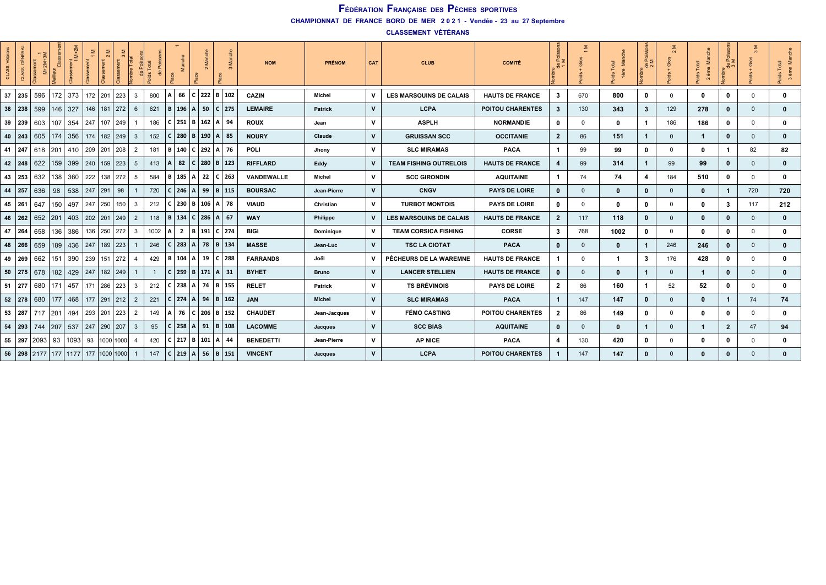**CHAMPIONNAT DE FRANCE BORD DE MER 2 0 2 1 - Vendée - 23 au 27 Septembre**

**CLASSEMENT VÉTÉRANS**

|          | GÉNÉI | $M+2M+3$ |     |                                                  |                 |                 |           |                | $\epsilon$ |     |                   |              | g<br>$\sim$         |                              | <b>NOM</b>       | <b>PRÉNOM</b>  | CAT          | <b>CLUB</b>                   | <b>COMITÉ</b>           |              | $\sum$       |              | $\frac{de}{2}$ <sub>M</sub> | $\sim$       | €<br>M<br>Total<br>ds<br>è<br>$\sim$ | $rac{e}{\sigma}$ | $\sum$<br>$\infty$ | ᆮ<br>bids<br>$\infty$ |
|----------|-------|----------|-----|--------------------------------------------------|-----------------|-----------------|-----------|----------------|------------|-----|-------------------|--------------|---------------------|------------------------------|------------------|----------------|--------------|-------------------------------|-------------------------|--------------|--------------|--------------|-----------------------------|--------------|--------------------------------------|------------------|--------------------|-----------------------|
| 37       | 235   | 596      | 172 | 373                                              |                 | 172 201 223     |           | 3              | 800        | A   |                   |              |                     | 66   C   222   B   102       | CAZIN            | Michel         | v            | LES MARSOUINS DE CALAIS       | <b>HAUTS DE FRANCE</b>  | 3            | 670          | 800          | $\mathbf 0$                 | $\Omega$     | 0                                    | $\mathbf 0$      | $\mathbf{0}$       | $\mathbf{0}$          |
| 38 238   |       | 599      | 146 | 327                                              |                 | 146   181   272 |           | 6              | 621        |     | B 196 A 50        |              |                     | $C$ 275                      | <b>LEMAIRE</b>   | <b>Patrick</b> | v            | <b>LCPA</b>                   | <b>POITOU CHARENTES</b> | 3            | 130          | 343          | $\mathbf{3}$                | 129          | 278                                  | 0                | $\mathbf{0}$       | $\mathbf{0}$          |
| 39 239   |       | 603      | 107 | 354                                              | 247 107 249     |                 |           |                | 186        |     | $C$ 251   B   162 |              |                     | A   94                       | <b>ROUX</b>      | Jean           | v            | <b>ASPLII</b>                 | <b>NORMANDIE</b>        | 0            | $\mathbf 0$  | 0            | $\mathbf{1}$                | 186          | 186                                  | 0                | $\mathbf{0}$       | 0                     |
| 40 243   |       | 605      | 174 | 356                                              | 174             | 182   249       |           | -3             | 152        | C   | 280 B 190         |              |                     | $A$ 85                       | <b>NOURY</b>     | Claude         | v            | <b>GRUISSAN SCC</b>           | <b>OCCITANIE</b>        | $\mathbf{2}$ | 86           | 151          | $\mathbf{1}$                | $\mathbf{0}$ | $\overline{\mathbf{1}}$              | $\mathbf{0}$     | $\mathbf{0}$       | $\mathbf{0}$          |
| 41 247   |       | 618      | 201 | 410   209   201   208                            |                 |                 |           | 2              | 181        |     | B   140   C   292 |              |                     | 76<br>Α                      | POLI             | Jhony          | v            | <b>SLC MIRAMAS</b>            | <b>PACA</b>             | $\mathbf 1$  | 99           | 99           | $\mathbf 0$                 | 0            | 0                                    | -1               | 82                 | 82                    |
| 42       | 248   | 622      | 159 | 399                                              | 240             | $159$ 223       |           | -5             | 413        |     | 82                | $C$ 280      |                     | $B$   123                    | <b>RIFFLARD</b>  | Eddy           | v            | <b>TEAM FISHING OUTRELOIS</b> | <b>HAUTS DE FRANCE</b>  | 4            | 99           | 314          | $\mathbf{1}$                | 99           | 99                                   | 0                | $\mathbf{0}$       | $\mathbf{0}$          |
| 43 253   |       | 632      | 138 | 360                                              | 222             | 138 272         |           | 5              | 584        | B   | 185 A 22          |              |                     | C 263                        | VANDEWALLE       | Michel         | v            | <b>SCC GIRONDIN</b>           | <b>AQUITAINE</b>        | $\mathbf{1}$ | 74           | 74           | $\overline{\mathbf{4}}$     | 184          | 510                                  | 0                | $\mathbf{0}$       | $\mathbf{0}$          |
| 44 257   |       | 636      | 98  | 538                                              | 247 291         |                 | 98        |                | 720        | C   | 246 A 99          |              |                     | $B$ 115                      | <b>BOURSAC</b>   | Jean-Pierre    | v            | <b>CNGV</b>                   | <b>PAYS DE LOIRE</b>    | $\mathbf 0$  | $\mathbf{0}$ | $\mathbf{0}$ | $\mathbf 0$                 | $\mathbf{0}$ | $\mathbf 0$                          | $\mathbf{1}$     | 720                | 720                   |
| 45 261   |       | 647      | 150 | 497                                              | $247$ 250 150   |                 |           | -3             | 212        |     | C 230 B           |              | 106                 | $A$ 78                       | <b>VIAUD</b>     | Christian      | v            | <b>TURBOT MONTOIS</b>         | <b>PAYS DE LOIRE</b>    | 0            | $\mathbf 0$  | 0            | $\mathbf 0$                 | 0            | 0                                    | 3                | 117                | 212                   |
| 46 262   |       | 652      | 201 | 403                                              | 202 201 249     |                 |           | $\overline{2}$ | 118        | ΙB. | 134 C 286         |              |                     | $A \mid 67$                  | <b>WAY</b>       | Philippe       | v            | LES MARSOUINS DE CALAIS       | <b>HAUTS DE FRANCE</b>  | $\mathbf{2}$ | 117          | 118          | $\mathbf{0}$                | $\mathbf{0}$ | 0                                    | 0                | $\mathbf{0}$       | $\mathbf{0}$          |
| 47 264   |       | 658      | 136 | 386                                              | 136             | 250 272         |           | -3             | 1002       | A   | $\overline{2}$    | B            | $\vert$ 191 $\vert$ | $C$ 274                      | <b>BIGI</b>      | Dominique      | v            | <b>TEAM CORSICA FISHING</b>   | CORSE                   | 3            | 768          | 1002         | $\mathbf 0$                 | 0            | 0                                    | 0                | $\mathbf{0}$       | $\mathbf{0}$          |
| 48 266   |       | 659      | 189 | 436                                              | $ 247\rangle$   | $189$ 223       |           |                | 246        |     | 283 A             |              | 78                  | $B$ 134                      | <b>MASSE</b>     | Jean-Luc       | v            | <b>TSC LA CIOTAT</b>          | <b>PACA</b>             | $\mathbf 0$  | $\mathbf{0}$ | $\mathbf 0$  | $\mathbf{1}$                | 246          | 246                                  | 0                | $\overline{0}$     | $\mathbf{0}$          |
| 49 269   |       | 662      | 151 | 390                                              | 239             | $151$ 272       |           |                | 429        | B   | 104  A            |              | 19                  | $C$ 288                      | <b>FARRANDS</b>  | Joël           | v            | PÊCHEURS DE LA WAREMNE        | <b>HAUTS DE FRANCE</b>  | $\mathbf{1}$ | 0            | -1           | 3                           | 176          | 428                                  | 0                | $\mathbf{0}$       | 0                     |
| 50   275 |       | 678      | 182 | 429                                              | 247             | 182 249         |           |                |            |     |                   |              |                     | $ C $ 259   B   171   A   31 | <b>BYHET</b>     | <b>Bruno</b>   | $\mathsf{v}$ | <b>LANCER STELLIEN</b>        | <b>HAUTS DE FRANCE</b>  | $\mathbf 0$  | $\mathbf{0}$ | $\mathbf{0}$ | $\overline{1}$              | $\Omega$     | $\overline{\mathbf{1}}$              | $\mathbf 0$      | $\overline{0}$     | $\mathbf{0}$          |
| 51 277   |       | 680      | 171 | $457$   171                                      |                 | 286 223         |           | -3             | 212        |     |                   |              |                     | C   238   A   74   B   155   | <b>RELET</b>     | Patrick        | v            | <b>TS BRÉVINOIS</b>           | <b>PAYS DE LOIRE</b>    | $\mathbf{2}$ | 86           | 160          | $\mathbf{1}$                | 52           | 52                                   | 0                | $\mathbf{0}$       | 0                     |
| $52$ 278 |       | 680      | 177 | 468                                              | 177 291 212     |                 |           | $\overline{2}$ | 221        |     | $C$ 274 A 94      |              |                     | $B$ 162                      | <b>JAN</b>       | <b>Michel</b>  | $\mathsf{v}$ | <b>SLC MIRAMAS</b>            | <b>PACA</b>             | $\mathbf{1}$ | 147          | 147          | $\mathbf{0}$                | $\mathbf{0}$ | 0                                    | $\mathbf{1}$     | 74                 | 74                    |
| 53 287   |       | 717 201  |     | 494                                              | 293   201   223 |                 |           | 2              | 149        | A   |                   | 76   C   206 |                     | B 152                        | <b>CHAUDET</b>   | Jean-Jacques   | v            | <b>FÉMO CASTING</b>           | <b>POITOU CHARENTES</b> | $\mathbf{2}$ | 86           | 149          | $\mathbf 0$                 | 0            | 0                                    | 0                | $\mathbf{0}$       | 0                     |
| 54       | 293   | 744      | 207 | 537                                              | 247 290 207     |                 |           | 3              | 95         |     | 258 A 91          |              |                     | B 108                        | <b>LACOMME</b>   | Jacques        | v            | <b>SCC BIAS</b>               | <b>AQUITAINE</b>        | 0            | $\mathbf{0}$ | $\mathbf 0$  | $\mathbf{1}$                | $\Omega$     | -1                                   | $\mathbf{2}$     | 47                 | 94                    |
| 55 297   |       | 2093     | 93  | 1093                                             | 93              |                 | 1000 1000 |                | 420        |     |                   |              |                     | C   217   B   101   A   44   | <b>BENEDETTI</b> | Jean-Pierre    | v            | <b>AP NICE</b>                | <b>PACA</b>             | 4            | 130          | 420          | $\mathbf 0$                 | 0            | 0                                    | 0                | $^{\circ}$         | $\mathbf{0}$          |
|          |       |          |     | 56   298   2177   177   1177   177   1000   1000 |                 |                 |           |                | 147        |     | C   219   A   56  |              |                     | $B \mid 151$                 | <b>VINCENT</b>   | <b>Jacques</b> | V            | <b>LCPA</b>                   | <b>POITOU CHARENTES</b> |              | 147          | 147          | $\mathbf 0$                 | $\mathbf{0}$ | 0                                    | 0                | $\Omega$           | $\mathbf{0}$          |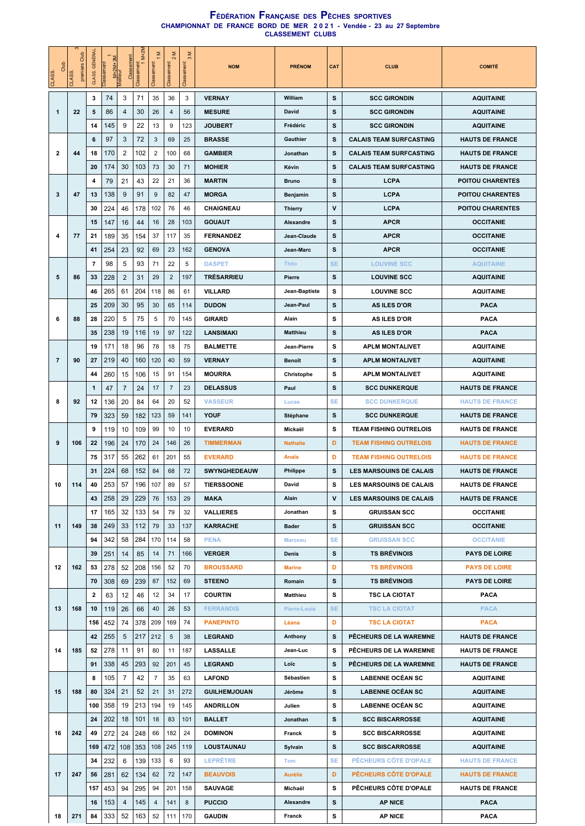| Club<br>CLASS. | S<br>premiers Club<br>CLASS. | <b>GÉNÉRAL</b><br>CLASS. | M+2M+3M<br>Meilleur<br>Classement | Clas           | $M+2M$<br>Classement<br>1 | Σ<br>Classement | 2 M<br>Classem | Σ<br>$\infty$<br>Classement | <b>NOM</b>          | <b>PRÉNOM</b>   | CAT          | <b>CLUB</b>                    | <b>COMITÉ</b>           |
|----------------|------------------------------|--------------------------|-----------------------------------|----------------|---------------------------|-----------------|----------------|-----------------------------|---------------------|-----------------|--------------|--------------------------------|-------------------------|
|                |                              | 3                        | 74                                | 3              | 71                        | 35              | 36             | 3                           | <b>VERNAY</b>       | William         | s            | <b>SCC GIRONDIN</b>            | <b>AQUITAINE</b>        |
| 1              | 22                           | 5                        | 86                                | 4              | 30                        | 26              | 4              | 56                          | <b>MESURE</b>       | David           | s            | <b>SCC GIRONDIN</b>            | <b>AQUITAINE</b>        |
|                |                              | 14                       | 145                               | 9              | 22                        | 13              | 9              | 123                         | <b>JOUBERT</b>      | Frédéric        | s            | <b>SCC GIRONDIN</b>            | <b>AQUITAINE</b>        |
|                |                              | 6                        | 97                                | 3              | 72                        | 3               | 69             | 25                          | <b>BRASSE</b>       | Gauthier        | s            | <b>CALAIS TEAM SURFCASTING</b> | <b>HAUTS DE FRANCE</b>  |
| 2              | 44                           | 18                       | 170                               | $\overline{2}$ | 102                       | $\overline{2}$  | 100            | 68                          | <b>GAMBIER</b>      | Jonathan        | s            | <b>CALAIS TEAM SURFCASTING</b> | <b>HAUTS DE FRANCE</b>  |
|                |                              | 20                       | 174                               | 30             | 103                       | 73              | 30             | 71                          | <b>MOHIER</b>       | Kévin           | s            | <b>CALAIS TEAM SURFCASTING</b> | <b>HAUTS DE FRANCE</b>  |
|                |                              | 4                        | 79                                | 21             | 43                        | 22              | 21             | 36                          | <b>MARTIN</b>       | <b>Bruno</b>    | s            | <b>LCPA</b>                    | <b>POITOU CHARENTES</b> |
| 3              | 47                           | 13                       | 138                               | 9              | 91                        | 9               | 82             | 47                          | <b>MORGA</b>        | Benjamin        | s            | LCPA                           | <b>POITOU CHARENTES</b> |
|                |                              | 30                       | 224                               | 46             | 178                       | 102             | 76             | 46                          | <b>CHAIGNEAU</b>    | <b>Thierry</b>  | $\mathsf{v}$ | <b>LCPA</b>                    | <b>POITOU CHARENTES</b> |
|                |                              | 15                       | 147                               | 16             | 44                        | 16              | 28             | 103                         | <b>GOUAUT</b>       | Alexandre       | s            | <b>APCR</b>                    | <b>OCCITANIE</b>        |
| 4              | 77                           | 21                       | 189                               | 35             | 154                       | 37              | 117            | 35                          | <b>FERNANDEZ</b>    | Jean-Claude     | s            | <b>APCR</b>                    | <b>OCCITANIE</b>        |
|                |                              | 41                       | 254                               | 23             | 92                        | 69              | 23             | 162                         | <b>GENOVA</b>       | Jean-Marc       | s            | <b>APCR</b>                    | <b>OCCITANIE</b>        |
|                |                              | $\overline{7}$           | 98                                | 5              | 93                        | 71              | 22             | 5                           | <b>DASPET</b>       | Théo            | <b>SE</b>    | <b>LOUVINE SCC</b>             | <b>AQUITAINE</b>        |
| 5              | 86                           | 33                       | 228                               | 2              | 31                        | 29              | $\overline{2}$ | 197                         | <b>TRÉSARRIEU</b>   | Pierre          | s            | <b>LOUVINE SCC</b>             | <b>AQUITAINE</b>        |
|                |                              | 46                       | 265                               | 61             | 204                       | 118             | 86             | 61                          | <b>VILLARD</b>      | Jean-Baptiste   | s            | <b>LOUVINE SCC</b>             | <b>AQUITAINE</b>        |
|                |                              | 25                       | 209                               | 30             | 95                        | 30              | 65             | 114                         | <b>DUDON</b>        | Jean-Paul       | s            | <b>AS ILES D'OR</b>            | <b>PACA</b>             |
| 6              | 88                           | 28                       | 220                               | 5              | 75                        | 5               | 70             | 145                         | <b>GIRARD</b>       | Alain           | s            | <b>AS ILES D'OR</b>            | <b>PACA</b>             |
|                |                              | 35                       | 238                               | 19             | 116                       | 19              | 97             | 122                         | <b>LANSIMAKI</b>    | <b>Matthieu</b> | s            | AS ILES D'OR                   | <b>PACA</b>             |
|                |                              | 19                       | 171                               | 18             | 96                        | 78              | 18             | 75                          | <b>BALMETTE</b>     | Jean-Pierre     | s            | <b>APLM MONTALIVET</b>         | <b>AQUITAINE</b>        |
| $\overline{7}$ | 90                           | 27                       | 219                               | 40             | 160                       | 120             | 40             | 59                          | <b>VERNAY</b>       | Benoît          | s            | <b>APLM MONTALIVET</b>         | <b>AQUITAINE</b>        |
|                |                              | 44                       | 260                               | 15             | 106                       | 15              | 91             | 154                         | <b>MOURRA</b>       | Christophe      | s            | <b>APLM MONTALIVET</b>         | <b>AQUITAINE</b>        |
|                |                              | $\mathbf{1}$             | 47                                | $\overline{7}$ | 24                        | 17              | $\overline{7}$ | 23                          | <b>DELASSUS</b>     | Paul            | s            | <b>SCC DUNKERQUE</b>           | <b>HAUTS DE FRANCE</b>  |
|                | 92                           | 12                       | 136                               | 20             | 84                        |                 | 20             | 52                          | <b>VASSEUR</b>      |                 | SE           | <b>SCC DUNKERQUE</b>           | <b>HAUTS DE FRANCE</b>  |
| 8              |                              |                          |                                   |                |                           | 64              |                |                             | <b>YOUF</b>         | Lucas           | s            |                                |                         |
|                |                              | 79                       | 323                               | 59             | 182                       | 123             | 59             | 141                         |                     | Stéphane        |              | <b>SCC DUNKERQUE</b>           | <b>HAUTS DE FRANCE</b>  |
|                |                              | 9                        | 119                               | 10             | 109                       | 99              | 10             | 10                          | <b>EVERARD</b>      | Mickaël         | s            | <b>TEAM FISHING OUTRELOIS</b>  | <b>HAUTS DE FRANCE</b>  |
| 9              | 106                          | 22                       | 196                               | 24             | 170                       | 24              | 146            | 26                          | <b>TIMMERMAN</b>    | <b>Nathalie</b> | D            | <b>TEAM FISHING OUTRELOIS</b>  | <b>HAUTS DE FRANCE</b>  |
|                |                              | 75                       | 317                               | 55             | 262                       | 61              | 201            | 55                          | <b>EVERARD</b>      | Anaïs           | D            | <b>TEAM FISHING OUTRELOIS</b>  | <b>HAUTS DE FRANCE</b>  |
|                |                              | 31                       | 224                               | 68             | 152                       | 84              | 68             | 72                          | <b>SWYNGHEDEAUW</b> | Philippe        | s            | <b>LES MARSOUINS DE CALAIS</b> | <b>HAUTS DE FRANCE</b>  |
| 10             | 114                          | 40                       | 253                               | 57             |                           | 196   107       | 89             | 57                          | <b>TIERSSOONE</b>   | David           | s            | LES MARSOUINS DE CALAIS        | <b>HAUTS DE FRANCE</b>  |
|                |                              | 43                       | 258                               | 29             | 229                       | 76              | 153            | 29                          | <b>MAKA</b>         | Alain           | $\mathsf{v}$ | <b>LES MARSOUINS DE CALAIS</b> | <b>HAUTS DE FRANCE</b>  |
|                |                              | 17                       | 165                               | 32             | 133                       | 54              | 79             | 32                          | <b>VALLIERES</b>    | Jonathan        | s            | <b>GRUISSAN SCC</b>            | <b>OCCITANIE</b>        |
| 11             | 149                          | 38                       | 249                               | 33             | 112                       | 79              | 33             | 137                         | <b>KARRACHE</b>     | Bader           | s            | <b>GRUISSAN SCC</b>            | <b>OCCITANIE</b>        |
|                |                              | 94                       | 342                               | 58             | 284                       | 170             | 114            | 58                          | <b>PENA</b>         | <b>Marceau</b>  | SE.          | <b>GRUISSAN SCC</b>            | <b>OCCITANIE</b>        |
|                |                              | 39                       | 251                               | 14             | 85                        | 14              | 71             | 166                         | <b>VERGER</b>       | Denis           | s            | <b>TS BRÉVINOIS</b>            | <b>PAYS DE LOIRE</b>    |
| 12             | 162                          | 53                       | 278                               | 52             | 208                       | 156             | 52             | 70                          | <b>BROUSSARD</b>    | <b>Marine</b>   | D            | <b>TS BRÉVINOIS</b>            | <b>PAYS DE LOIRE</b>    |
|                |                              | 70                       | 308                               | 69             | 239                       | 87              | 152            | 69                          | <b>STEENO</b>       | Romain          | s            | <b>TS BREVINOIS</b>            | <b>PAYS DE LOIRE</b>    |
|                |                              | $\overline{\mathbf{2}}$  | 63                                | 12             | 46                        | 12              | 34             | 17                          | <b>COURTIN</b>      | Matthieu        | s            | <b>TSC LA CIOTAT</b>           | <b>PACA</b>             |
| 13             | 168                          | 10                       | 119                               | 26             | 66                        | 40              | 26             | 53                          | <b>FERRANDIS</b>    | Pierre-Louis    | <b>SE</b>    | <b>TSC LA CIOTAT</b>           | <b>PACA</b>             |
|                |                              | 156                      | 452                               | 74             | 378                       | 209             | 169            | 74                          | <b>PANEPINTO</b>    | Léana           | D            | <b>TSC LA CIOTAT</b>           | <b>PACA</b>             |
|                |                              | 42                       | 255                               | 5              | 217                       | 212             | 5              | 38                          | <b>LEGRAND</b>      | Anthony         | s            | PÉCHEURS DE LA WAREMNE         | <b>HAUTS DE FRANCE</b>  |
| 14             | 185                          | 52                       | 278                               | 11             | 91                        | 80              | 11             | 187                         | LASSALLE            | Jean-Luc        | s            | PÊCHEURS DE LA WAREMNE         | <b>HAUTS DE FRANCE</b>  |
|                |                              | 91                       | 338                               | 45             | 293                       | 92              | 201            | 45                          | <b>LEGRAND</b>      | Loïc            | s            | PÊCHEURS DE LA WAREMNE         | <b>HAUTS DE FRANCE</b>  |
|                |                              | 8                        | 105                               | 7              | 42                        | 7               | 35             | 63                          | <b>LAFOND</b>       | Sébastien       | s            | <b>LABENNE OCÉAN SC</b>        | <b>AQUITAINE</b>        |
| 15             | 188                          | 80                       | 324                               | 21             | 52                        | 21              | 31             | 272                         | <b>GUILHEMJOUAN</b> | Jérôme          | s            | <b>LABENNE OCÉAN SC</b>        | <b>AQUITAINE</b>        |
|                |                              | 100                      | 358                               | 19             | 213                       | 194             | 19             | 145                         | <b>ANDRILLON</b>    | Julien          | s            | <b>LABENNE OCÉAN SC</b>        | <b>AQUITAINE</b>        |
|                |                              | 24                       | 202                               | 18             | 101                       | 18              | 83             | 101                         | <b>BALLET</b>       | Jonathan        | s            | <b>SCC BISCARROSSE</b>         | <b>AQUITAINE</b>        |
| 16             | 242                          | 49                       | 272                               | 24             | 248                       | 66              | 182            | 24                          | <b>DOMINON</b>      | Franck          | s            | <b>SCC BISCARROSSE</b>         | <b>AQUITAINE</b>        |
|                |                              | 169                      | 472                               | 108            | 353                       | 108             | 245            | 119                         | LOUSTAUNAU          | Sylvain         | s            | <b>SCC BISCARROSSE</b>         | <b>AQUITAINE</b>        |
|                |                              | 34                       | 232                               | 6              | 139                       | 133             | 6              | 93                          | <b>LEPRÊTRE</b>     | <b>Tom</b>      | <b>SE</b>    | PÊCHEURS CÔTE D'OPALE          | <b>HAUTS DE FRANCE</b>  |
| 17             | 247                          | 56                       | 281                               | 62             | 134                       | 62              | 72             | 147                         | <b>BEAUVOIS</b>     | <b>Aurélie</b>  | D            | <b>PËCHEURS CÔTE D'OPALE</b>   | <b>HAUTS DE FRANCE</b>  |
|                |                              | 157                      | 453                               | 94             | 295                       | 94              | 201            | 158                         | <b>SAUVAGE</b>      | Michaël         | s            | PÊCHEURS CÔTE D'OPALE          | <b>HAUTS DE FRANCE</b>  |
|                |                              | 16                       | 153                               | 4              | 145                       | 4               | 141            | 8                           | <b>PUCCIO</b>       | Alexandre       | s            | <b>AP NICE</b>                 | <b>PACA</b>             |
| 18             | 271                          | 84                       | 333                               | 52             | 163                       | 52              | 111            | 170                         | <b>GAUDIN</b>       | Franck          | s            | <b>AP NICE</b>                 | <b>PACA</b>             |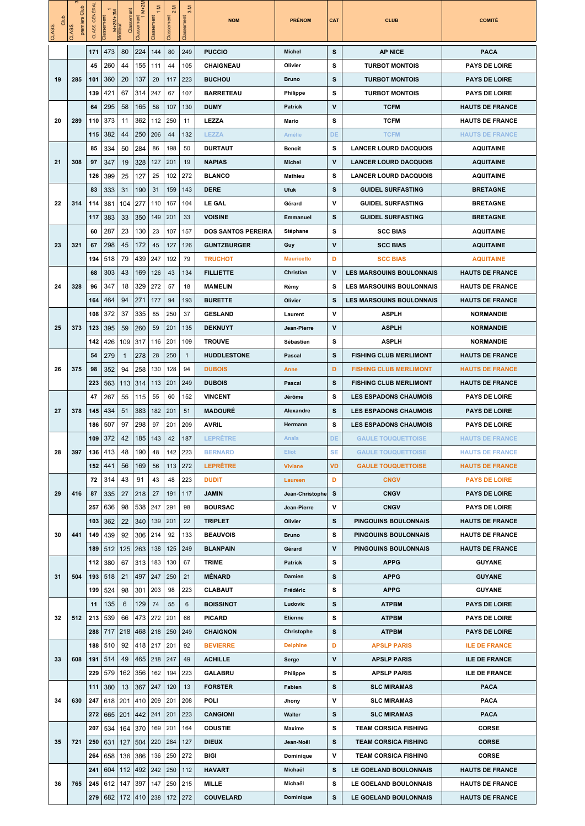| Club<br>CLASS. | S<br>Club<br>premiers<br>CLASS. | <b>GÉNÉRAL</b><br>CLASS. | M+2M+3M<br>Meilleur<br>lassen | Classement   | $M+2N$<br>Classement<br>1 | Σ<br>Classem- | Σ<br>$\sim$<br>Classemen | Σ<br>$\infty$<br>Classemen | <b>NOM</b>                | <b>PRÉNOM</b>     | CAT          | <b>CLUB</b>                     | <b>COMITÉ</b>          |
|----------------|---------------------------------|--------------------------|-------------------------------|--------------|---------------------------|---------------|--------------------------|----------------------------|---------------------------|-------------------|--------------|---------------------------------|------------------------|
|                |                                 | 171                      | 473                           | 80           | 224                       | 144           | 80                       | 249                        | <b>PUCCIO</b>             | Michel            | s            | <b>AP NICE</b>                  | <b>PACA</b>            |
|                |                                 | 45                       | 260                           | 44           | 155                       | 111           | 44                       | 105                        | CHAIGNEAU                 | Olivier           | s            | <b>TURBOT MONTOIS</b>           | <b>PAYS DE LOIRE</b>   |
| 19             | 285                             | 101                      | 360                           | 20           | 137                       | 20            | 117                      | 223                        | <b>BUCHOU</b>             | <b>Bruno</b>      | s            | <b>TURBOT MONTOIS</b>           | <b>PAYS DE LOIRE</b>   |
|                |                                 | 139                      | 421                           | 67           | 314                       | 247           | 67                       | 107                        | <b>BARRETEAU</b>          | Philippe          | s            | <b>TURBOT MONTOIS</b>           | <b>PAYS DE LOIRE</b>   |
|                |                                 | 64                       | 295                           | 58           | 165                       | 58            | 107                      | 130                        | <b>DUMY</b>               | Patrick           | $\mathsf{v}$ | <b>TCFM</b>                     | <b>HAUTS DE FRANCE</b> |
| 20             | 289                             | 110                      | 373                           | 11           | 362                       | 112           | 250                      | 11                         | <b>LEZZA</b>              | Mario             | s            | <b>TCFM</b>                     | <b>HAUTS DE FRANCE</b> |
|                |                                 | 115                      | 382                           | 44           | 250                       | 206           | 44                       | 132                        | <b>LEZZA</b>              | Amélie            | DE           | <b>TCFM</b>                     | <b>HAUTS DE FRANCE</b> |
|                |                                 | 85                       | 334                           | 50           | 284                       | 86            | 198                      | 50                         | <b>DURTAUT</b>            | Benoît            | s            | <b>LANCER LOURD DACQUOIS</b>    | <b>AQUITAINE</b>       |
| 21             | 308                             | 97                       | 347                           | 19           | 328                       | 127           | 201                      | 19                         | <b>NAPIAS</b>             | Michel            | V            | <b>LANCER LOURD DACQUOIS</b>    | <b>AQUITAINE</b>       |
|                |                                 | 126                      | 399                           | 25           | 127                       | 25            | 102                      | 272                        | <b>BLANCO</b>             | Mathieu           | s            | <b>LANCER LOURD DACQUOIS</b>    | <b>AQUITAINE</b>       |
|                |                                 | 83                       | 333                           | 31           | 190                       | 31            | 159                      | 143                        | <b>DERE</b>               | Ufuk              | s            | <b>GUIDEL SURFASTING</b>        | <b>BRETAGNE</b>        |
| 22             | 314                             | 114                      | 381                           | 104          | 277                       | 110           | 167                      | 104                        | <b>LE GAL</b>             | Gérard            | ٧            | <b>GUIDEL SURFASTING</b>        | <b>BRETAGNE</b>        |
|                |                                 | 117                      | 383                           | 33           | 350                       | 149           | 201                      | 33                         | <b>VOISINE</b>            | <b>Emmanuel</b>   | s            | <b>GUIDEL SURFASTING</b>        | <b>BRETAGNE</b>        |
|                |                                 | 60                       | 287                           | 23           | 130                       | 23            | 107                      | 157                        | <b>DOS SANTOS PEREIRA</b> | Stéphane          | s            | <b>SCC BIAS</b>                 | <b>AQUITAINE</b>       |
| 23             | 321                             | 67                       | 298                           | 45           | 172                       | 45            | 127                      | 126                        | <b>GUNTZBURGER</b>        | Guy               | v            | <b>SCC BIAS</b>                 | <b>AQUITAINE</b>       |
|                |                                 | 194                      | 518                           | 79           | 439                       | 247           | 192                      | 79                         | <b>TRUCHOT</b>            | <b>Mauricette</b> | D            | <b>SCC BIAS</b>                 | <b>AQUITAINE</b>       |
|                |                                 | 68                       | 303                           | 43           | 169                       | 126           | 43                       | 134                        | <b>FILLIETTE</b>          | Christian         | $\mathsf{v}$ | <b>LES MARSOUINS BOULONNAIS</b> | <b>HAUTS DE FRANCE</b> |
| 24             | 328                             | 96                       | 347                           | 18           | 329                       | 272           | 57                       | 18                         | <b>MAMELIN</b>            | Rémy              | s            | <b>LES MARSOUINS BOULONNAIS</b> | <b>HAUTS DE FRANCE</b> |
|                |                                 | 164                      | 464                           | 94           | 271                       | 177           | 94                       | 193                        | <b>BURETTE</b>            | Olivier           | s            | <b>LES MARSOUINS BOULONNAIS</b> | <b>HAUTS DE FRANCE</b> |
|                |                                 | 108                      | 372                           | 37           | 335                       | 85            | 250                      | 37                         | <b>GESLAND</b>            | Laurent           | $\mathsf{v}$ | ASPLH                           | <b>NORMANDIE</b>       |
| 25             | 373                             | 123                      | 395                           | 59           | 260                       | 59            | 201                      | 135                        | <b>DEKNUYT</b>            | Jean-Pierre       | $\mathsf{v}$ | <b>ASPLH</b>                    | <b>NORMANDIE</b>       |
|                |                                 | 142                      | 426                           | 109          | 317                       | 116           | 201                      | 109                        | <b>TROUVE</b>             | Sébastien         | s            | ASPLH                           | <b>NORMANDIE</b>       |
|                |                                 | 54                       | 279                           | $\mathbf{1}$ | 278                       | 28            | 250                      | $\mathbf{1}$               | <b>HUDDLESTONE</b>        | Pascal            | s            | <b>FISHING CLUB MERLIMONT</b>   | <b>HAUTS DE FRANCE</b> |
| 26             | 375                             | 98                       | 352                           | 94           | 258                       | 130           | 128                      | 94                         | <b>DUBOIS</b>             | Anne              | D            | <b>FISHING CLUB MERLIMONT</b>   | <b>HAUTS DE FRANCE</b> |
|                |                                 | 223                      | 563                           | 113          | 314                       | 113           | 201                      | 249                        | <b>DUBOIS</b>             | Pascal            | s            | <b>FISHING CLUB MERLIMONT</b>   | <b>HAUTS DE FRANCE</b> |
|                |                                 | 47                       | 267                           | 55           | 115                       | 55            | 60                       | 152                        | <b>VINCENT</b>            | Jérôme            | s            | <b>LES ESPADONS CHAUMOIS</b>    | <b>PAYS DE LOIRE</b>   |
| 27             | 378                             | 145                      | 434                           | 51           | 383                       | 182           | 201                      | 51                         | <b>MADOURÉ</b>            | Alexandre         | s            | <b>LES ESPADONS CHAUMOIS</b>    | <b>PAYS DE LOIRE</b>   |
|                |                                 | 186                      | 507                           | 97           | 298                       | 97            | 201                      | 209                        | AVRIL                     | Hermann           | s            | <b>LES ESPADONS CHAUMOIS</b>    | <b>PAYS DE LOIRE</b>   |
|                |                                 | 109                      | 372                           | 42           | 185                       | 143           | 42                       | 187                        | LEPRETRE                  | Anaïs             | <b>DE</b>    | <b>GAULE TOUQUETTOISE</b>       | <b>HAUTS DE FRANCE</b> |
| 28             | 397                             | 136                      | 413                           | 48           | 190                       | 48            | 142                      | 223                        | <b>BERNARD</b>            | <b>Eliot</b>      | <b>SE</b>    | <b>GAULE TOUQUETTOISE</b>       | <b>HAUTS DE FRANCE</b> |
|                |                                 | 152                      | 441                           | 56           | 169                       | 56            | 113                      | 272                        | <b>LEPRÊTRE</b>           | <b>Viviane</b>    | <b>VD</b>    | <b>GAULE TOUQUETTOISE</b>       | <b>HAUTS DE FRANCE</b> |
|                |                                 | 72                       | 314                           | 43           | 91                        | 43            | 48                       | 223                        | <b>DUDIT</b>              | Laureen           | D            | <b>CNGV</b>                     | <b>PAYS DE LOIRE</b>   |
| 29             | 416                             | 87                       | 335                           | 27           | 218                       | 27            | 191                      | 117                        | <b>JAMIN</b>              | Jean-Christophe   | s            | <b>CNGV</b>                     | <b>PAYS DE LOIRE</b>   |
|                |                                 | 257                      | 636                           | 98           | 538                       | 247           | 291                      | 98                         | <b>BOURSAC</b>            | Jean-Pierre       | v            | <b>CNGV</b>                     | <b>PAYS DE LOIRE</b>   |
|                |                                 | 103                      | 362                           | 22           | 340                       | 139           | 201                      | 22                         | <b>TRIPLET</b>            | Olivier           | s            | PINGOUINS BOULONNAIS            | <b>HAUTS DE FRANCE</b> |
| 30             | 441                             | 149                      | 439                           | 92           | 306                       | 214           | 92                       | 133                        | <b>BEAUVOIS</b>           | <b>Bruno</b>      | s            | <b>PINGOUINS BOULONNAIS</b>     | <b>HAUTS DE FRANCE</b> |
|                |                                 | 189                      | 512                           | 125          | 263                       | 138           | 125                      | 249                        | <b>BLANPAIN</b>           | Gérard            | $\mathsf{v}$ | <b>PINGOUINS BOULONNAIS</b>     | <b>HAUTS DE FRANCE</b> |
|                |                                 | 112                      | 380                           | 67           | 313                       | 183           | 130                      | 67                         | <b>TRIME</b>              | <b>Patrick</b>    | s            | <b>APPG</b>                     | <b>GUYANE</b>          |
| 31             | 504                             | 193                      | 518                           | 21           | 497                       | 247           | 250                      | 21                         | <b>MÉNARD</b>             | Damien            | s            | <b>APPG</b>                     | <b>GUYANE</b>          |
|                |                                 | 199                      | 524                           | 98           | 301                       | 203           | 98                       | 223                        | CLABAUT                   | Frédéric          | s            | <b>APPG</b>                     | GUYANE                 |
|                |                                 | 11                       | 135                           | 6            | 129                       | 74            | 55                       | 6                          | <b>BOISSINOT</b>          | Ludovic           | s            | <b>ATPBM</b>                    | <b>PAYS DE LOIRE</b>   |
| 32             | 512                             | 213                      | 539                           | 66           | 473                       | 272           | 201                      | 66                         | <b>PICARD</b>             | <b>Etienne</b>    | s            | <b>ATPBM</b>                    | <b>PAYS DE LOIRE</b>   |
|                |                                 | 288                      | 717                           | 218          | 468                       | 218           | 250                      | 249                        | <b>CHAIGNON</b>           | Christophe        | s            | <b>ATPBM</b>                    | <b>PAYS DE LOIRE</b>   |
|                |                                 | 188                      | 510                           | 92           | 418                       | 217           | 201                      | 92                         | <b>BEVIERRE</b>           | <b>Delphine</b>   | D            | <b>APSLP PARIS</b>              | <b>ILE DE FRANCE</b>   |
| 33             | 608                             | 191                      | 514                           | 49           | 465                       | 218           | 247                      | 49                         | <b>ACHILLE</b>            | Serge             | $\mathbf{v}$ | <b>APSLP PARIS</b>              | <b>ILE DE FRANCE</b>   |
|                |                                 | 229                      | 579                           | 162          | 356                       | 162           | 194                      | 223                        | <b>GALABRU</b>            | Philippe          | s            | <b>APSLP PARIS</b>              | <b>ILE DE FRANCE</b>   |
|                |                                 | 111                      | 380                           | 13           | 367                       | 247           | 120                      | 13                         | <b>FORSTER</b>            | Fabien            | s            | <b>SLC MIRAMAS</b>              | <b>PACA</b>            |
| 34             | 630                             | 247                      | $618$   201                   |              | 410                       | 209           | 201                      | 208                        | <b>POLI</b>               | Jhony             | $\mathsf{v}$ | <b>SLC MIRAMAS</b>              | <b>PACA</b>            |
|                |                                 | 272                      | 665                           | 201          | 442                       | 241           | 201                      | 223                        | <b>CANGIONI</b>           | Walter            | s            | <b>SLC MIRAMAS</b>              | <b>PACA</b>            |
|                |                                 | 207                      | 534                           | 164          | 370                       | 169           | 201                      | 164                        | <b>COUSTIE</b>            | Maxime            | s            | <b>TEAM CORSICA FISHING</b>     | <b>CORSE</b>           |
| 35             | 721                             | 250                      | 631                           | 127          | 504                       | 220           | 284                      | 127                        | <b>DIEUX</b>              | Jean-Noël         | s            | <b>TEAM CORSICA FISHING</b>     | <b>CORSE</b>           |
|                |                                 | 264                      | 658                           | 136          | 386                       | 136           | 250                      | 272                        | <b>BIGI</b>               | Dominique         | $\mathsf{v}$ | <b>TEAM CORSICA FISHING</b>     | <b>CORSE</b>           |
|                |                                 | 241                      | 604                           | 112          | 492                       | 242           | 250                      | 112                        | <b>HAVART</b>             | Michaël           | s            | LE GOELAND BOULONNAIS           | <b>HAUTS DE FRANCE</b> |
| 36             | 765                             | 245                      | 612                           | 147          | 397                       | 147           | 250                      | 215                        | <b>MILLE</b>              | Michaël           | s            | LE GOELAND BOULONNAIS           | <b>HAUTS DE FRANCE</b> |
|                |                                 | 279                      | 682                           | 172          | 410                       | 238           | 172                      | 272                        | <b>COUVELARD</b>          | Dominique         | s            | LE GOELAND BOULONNAIS           | <b>HAUTS DE FRANCE</b> |
|                |                                 |                          |                               |              |                           |               |                          |                            |                           |                   |              |                                 |                        |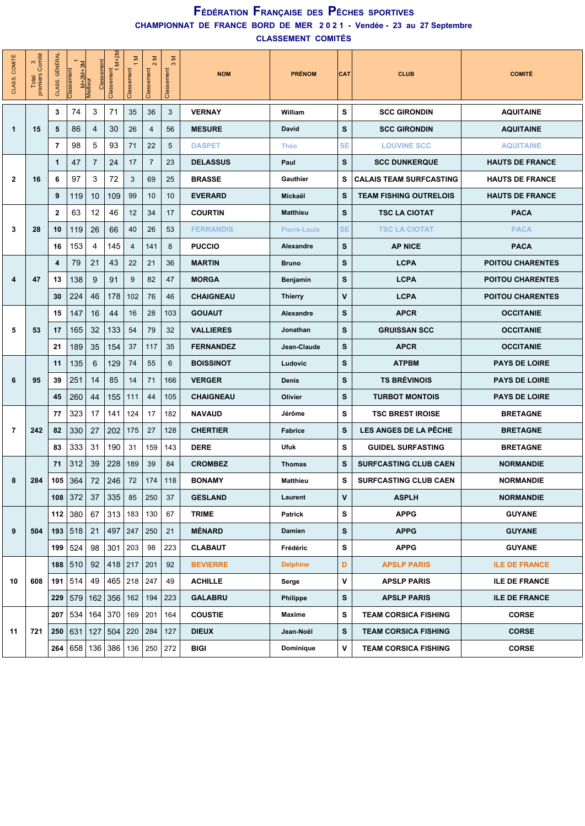**CLASSEMENT COMITÉS**

| CLASS. COMITÉ  | 3 <sub>connite</sub><br>Total<br>premiers | <b>GÉNÉRAI</b><br>CLASS. | M+2M+3M<br>Meilleur<br>Classement | Classement     | $M+2M$<br>Classement<br>1 | $\geq$<br>Classement | Σ<br>$\mathbf{\Omega}$<br>Classement | Σ<br>$\infty$<br>Classement | <b>NOM</b>       | <b>PRÉNOM</b>       | <b>CAT</b> | <b>CLUB</b>                    | <b>COMITÉ</b>           |
|----------------|-------------------------------------------|--------------------------|-----------------------------------|----------------|---------------------------|----------------------|--------------------------------------|-----------------------------|------------------|---------------------|------------|--------------------------------|-------------------------|
|                |                                           | 3                        | 74                                | 3              | 71                        | 35                   | 36                                   | 3                           | <b>VERNAY</b>    | William             | s          | <b>SCC GIRONDIN</b>            | <b>AQUITAINE</b>        |
| $\mathbf{1}$   | 15                                        | 5                        | 86                                | 4              | 30                        | 26                   | 4                                    | 56                          | <b>MESURE</b>    | David               | s          | <b>SCC GIRONDIN</b>            | <b>AQUITAINE</b>        |
|                |                                           | $\overline{7}$           | 98                                | 5              | 93                        | 71                   | 22                                   | 5                           | <b>DASPET</b>    | <b>Théo</b>         | <b>SE</b>  | <b>LOUVINE SCC</b>             | <b>AQUITAINE</b>        |
|                |                                           | 1                        | 47                                | $\overline{7}$ | 24                        | 17                   | $\overline{7}$                       | 23                          | <b>DELASSUS</b>  | Paul                | s          | <b>SCC DUNKERQUE</b>           | <b>HAUTS DE FRANCE</b>  |
| 2              | 16                                        | 6                        | 97                                | 3              | 72                        | 3                    | 69                                   | 25                          | <b>BRASSE</b>    | Gauthier            | s          | <b>CALAIS TEAM SURFCASTING</b> | <b>HAUTS DE FRANCE</b>  |
|                |                                           | 9                        | 119                               | 10             | 109                       | 99                   | 10                                   | 10                          | <b>EVERARD</b>   | Mickaël             | s          | <b>TEAM FISHING OUTRELOIS</b>  | <b>HAUTS DE FRANCE</b>  |
|                |                                           | $\mathbf{2}$             | 63                                | 12             | 46                        | 12                   | 34                                   | 17                          | <b>COURTIN</b>   | <b>Matthieu</b>     | s          | <b>TSC LA CIOTAT</b>           | <b>PACA</b>             |
| 3              | 28                                        | 10                       | 119                               | 26             | 66                        | 40                   | 26                                   | 53                          | <b>FERRANDIS</b> | <b>Pierre-Louis</b> | <b>SE</b>  | <b>TSC LA CIOTAT</b>           | <b>PACA</b>             |
|                |                                           | 16                       | 153                               | 4              | 145                       | $\overline{4}$       | 141                                  | 8                           | <b>PUCCIO</b>    | Alexandre           | s          | <b>AP NICE</b>                 | <b>PACA</b>             |
|                |                                           | 4                        | 79                                | 21             | 43                        | 22                   | 21                                   | 36                          | <b>MARTIN</b>    | <b>Bruno</b>        | s          | <b>LCPA</b>                    | <b>POITOU CHARENTES</b> |
| 4              | 47                                        | 13                       | 138                               | 9              | 91                        | 9                    | 82                                   | 47                          | <b>MORGA</b>     | Benjamin            | s          | <b>LCPA</b>                    | <b>POITOU CHARENTES</b> |
|                |                                           | 30                       | 224                               | 46             | 178                       | 102                  | 76                                   | 46                          | <b>CHAIGNEAU</b> | <b>Thierry</b>      | v          | <b>LCPA</b>                    | <b>POITOU CHARENTES</b> |
|                |                                           | 15                       | 147                               | 16             | 44                        | 16                   | 28                                   | 103                         | <b>GOUAUT</b>    | Alexandre           | s          | <b>APCR</b>                    | <b>OCCITANIE</b>        |
| 5              | 53                                        | 17                       | 165                               | 32             | 133                       | 54                   | 79                                   | 32                          | <b>VALLIERES</b> | Jonathan            | s          | <b>GRUISSAN SCC</b>            | <b>OCCITANIE</b>        |
|                |                                           | 21                       | 189                               | 35             | 154                       | 37                   | 117                                  | 35                          | <b>FERNANDEZ</b> | Jean-Claude         | s          | <b>APCR</b>                    | <b>OCCITANIE</b>        |
|                |                                           | 11                       | 135                               | 6              | 129                       | 74                   | 55                                   | 6                           | <b>BOISSINOT</b> | Ludovic             | s          | <b>ATPBM</b>                   | <b>PAYS DE LOIRE</b>    |
| 6              | 95                                        | 39                       | 251                               | 14             | 85                        | 14                   | 71                                   | 166                         | <b>VERGER</b>    | <b>Denis</b>        | s          | <b>TS BRÉVINOIS</b>            | <b>PAYS DE LOIRE</b>    |
|                |                                           | 45                       | 260                               | 44             | 155                       | 111                  | 44                                   | 105                         | <b>CHAIGNEAU</b> | Olivier             | S          | <b>TURBOT MONTOIS</b>          | <b>PAYS DE LOIRE</b>    |
|                |                                           | 77                       | 323                               | 17             | 141                       | 124                  | 17                                   | 182                         | <b>NAVAUD</b>    | Jérôme              | s          | <b>TSC BREST IROISE</b>        | <b>BRETAGNE</b>         |
| $\overline{7}$ | 242                                       | 82                       | 330                               | 27             | 202                       | 175                  | 27                                   | 128                         | <b>CHERTIER</b>  | <b>Fabrice</b>      | S          | <b>LES ANGES DE LA PÊCHE</b>   | <b>BRETAGNE</b>         |
|                |                                           | 83                       | 333                               | 31             | 190                       | 31                   | 159                                  | 143                         | <b>DERE</b>      | Ufuk                | s          | <b>GUIDEL SURFASTING</b>       | <b>BRETAGNE</b>         |
|                |                                           | 71                       | 312                               | 39             | 228                       | 189                  | 39                                   | 84                          | <b>CROMBEZ</b>   | <b>Thomas</b>       | s          | <b>SURFCASTING CLUB CAEN</b>   | <b>NORMANDIE</b>        |
| 8              | 284                                       | 105                      | 364                               | 72             | 246                       | 72                   | 174                                  | 118                         | <b>BONAMY</b>    | Matthieu            | s          | <b>SURFCASTING CLUB CAEN</b>   | <b>NORMANDIE</b>        |
|                |                                           | 108                      | 372                               | 37             | 335                       | 85                   | 250                                  | 37                          | <b>GESLAND</b>   | Laurent             | v          | <b>ASPLH</b>                   | <b>NORMANDIE</b>        |
|                |                                           | 112                      | 380                               | 67             | 313                       | 183                  | 130                                  | 67                          | <b>TRIME</b>     | <b>Patrick</b>      | s          | <b>APPG</b>                    | <b>GUYANE</b>           |
| 9              | 504                                       | 193                      | 518                               | 21             | 497                       | 247                  | 250                                  | 21                          | <b>MÉNARD</b>    | Damien              | S          | <b>APPG</b>                    | <b>GUYANE</b>           |
|                |                                           | 199                      | 524                               | 98             | 301                       | 203                  | 98                                   | 223                         | CLABAUT          | Frédéric            | s          | <b>APPG</b>                    | <b>GUYANE</b>           |
|                |                                           | 188                      | 510                               | 92             | 418                       | 217                  | 201                                  | 92                          | <b>BEVIERRE</b>  | <b>Delphine</b>     | D          | <b>APSLP PARIS</b>             | <b>ILE DE FRANCE</b>    |
| 10             | 608                                       | 191                      | 514                               | 49             |                           | $465$ 218            | 247                                  | 49                          | <b>ACHILLE</b>   | Serge               | ۷          | <b>APSLP PARIS</b>             | <b>ILE DE FRANCE</b>    |
|                |                                           | 229                      | 579                               | 162            | 356                       | 162                  | 194                                  | 223                         | <b>GALABRU</b>   | <b>Philippe</b>     | S          | <b>APSLP PARIS</b>             | <b>ILE DE FRANCE</b>    |
|                |                                           | 207                      | 534                               | 164            | 370                       | 169                  | 201                                  | 164                         | <b>COUSTIE</b>   | Maxime              | s          | <b>TEAM CORSICA FISHING</b>    | <b>CORSE</b>            |
| 11             | 721                                       | 250                      | 631                               | 127            | 504                       | 220                  | 284                                  | 127                         | <b>DIEUX</b>     | Jean-Noël           | S          | <b>TEAM CORSICA FISHING</b>    | <b>CORSE</b>            |
|                |                                           | 264                      | 658 136                           |                | 386                       | 136                  | 250                                  | 272                         | <b>BIGI</b>      | Dominique           | V          | <b>TEAM CORSICA FISHING</b>    | <b>CORSE</b>            |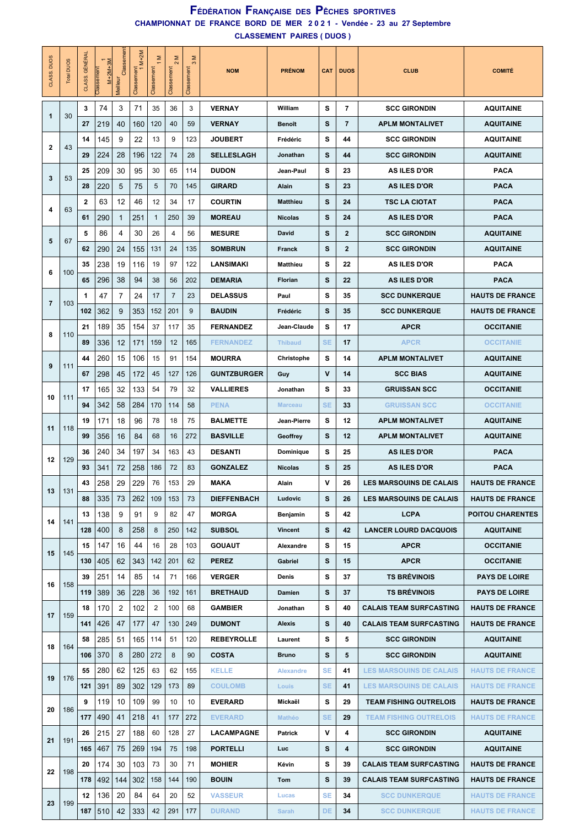#### **CHAMPIONNAT DE FRANCE BORD DE MER 2 0 2 1 - Vendée - 23 au 27 Septembre CLASSEMENT PAIRES ( DUOS ) FÉDÉRATION FRANÇAISE DES PÊCHES SPORTIVES**

| <b>DUOS</b><br>CLASS | Total DUOS | CLASS. GÉNÉRAL | $M+2M+3M$<br>Classement | Classement<br>Meilleu | $M+2M$<br>Classement<br>1 | Σ<br>Classement | Σ<br>$\sim$<br>Classement | Σ<br>Classement | <b>NOM</b>         | <b>PRÉNOM</b>    | <b>CAT</b>   | <b>DUOS</b>    | <b>CLUB</b>                    | <b>COMITÉ</b>           |
|----------------------|------------|----------------|-------------------------|-----------------------|---------------------------|-----------------|---------------------------|-----------------|--------------------|------------------|--------------|----------------|--------------------------------|-------------------------|
| $\mathbf 1$          | 30         | 3              | 74                      | 3                     | 71                        | 35              | 36                        | 3               | <b>VERNAY</b>      | William          | s            | 7              | <b>SCC GIRONDIN</b>            | <b>AQUITAINE</b>        |
|                      |            | 27             | 219                     | 40                    | 160                       | 120             | 40                        | 59              | <b>VERNAY</b>      | Benoît           | s            | $\overline{7}$ | <b>APLM MONTALIVET</b>         | <b>AQUITAINE</b>        |
| $\mathbf 2$          | 43         | 14             | 145                     | 9                     | 22                        | 13              | 9                         | 123             | <b>JOUBERT</b>     | Frédéric         | s            | 44             | <b>SCC GIRONDIN</b>            | <b>AQUITAINE</b>        |
|                      |            | 29             | 224                     | 28                    | 196                       | 122             | 74                        | 28              | <b>SELLESLAGH</b>  | Jonathan         | s            | 44             | <b>SCC GIRONDIN</b>            | <b>AQUITAINE</b>        |
| 3                    | 53         | 25             | 209                     | 30                    | 95                        | 30              | 65                        | 114             | <b>DUDON</b>       | Jean-Paul        | s            | 23             | AS ILES D'OR                   | <b>PACA</b>             |
|                      |            | 28             | 220                     | 5                     | 75                        | 5               | 70                        | 145             | <b>GIRARD</b>      | Alain            | s            | 23             | <b>AS ILES D'OR</b>            | <b>PACA</b>             |
| 4                    | 63         | $\mathbf{2}$   | 63                      | 12                    | 46                        | 12              | 34                        | 17              | <b>COURTIN</b>     | Matthieu         | s            | 24             | <b>TSC LA CIOTAT</b>           | <b>PACA</b>             |
|                      |            | 61             | 290                     | $\mathbf{1}$          | 251                       | $\mathbf{1}$    | 250                       | 39              | <b>MOREAU</b>      | <b>Nicolas</b>   | s            | 24             | <b>AS ILES D'OR</b>            | <b>PACA</b>             |
| 5                    | 67         | 5              | 86                      | 4                     | 30                        | 26              | $\overline{4}$            | 56              | <b>MESURE</b>      | David            | s            | $\mathbf{2}$   | <b>SCC GIRONDIN</b>            | <b>AQUITAINE</b>        |
|                      |            | 62             | 290                     | 24                    | 155                       | 131             | 24                        | 135             | <b>SOMBRUN</b>     | Franck           | s            | $\mathbf{2}$   | <b>SCC GIRONDIN</b>            | <b>AQUITAINE</b>        |
| 6                    | 100        | 35             | 238                     | 19                    | 116                       | 19              | 97                        | 122             | <b>LANSIMAKI</b>   | Matthieu         | s            | 22             | AS ILES D'OR                   | <b>PACA</b>             |
|                      |            | 65             | 296                     | 38                    | 94                        | 38              | 56                        | 202             | <b>DEMARIA</b>     | Florian          | s            | 22             | <b>AS ILES D'OR</b>            | <b>PACA</b>             |
|                      |            | 1              | 47                      | $\overline{7}$        | 24                        | 17              | 7                         | 23              | <b>DELASSUS</b>    | Paul             | s            | 35             | <b>SCC DUNKERQUE</b>           | <b>HAUTS DE FRANCE</b>  |
| 7                    | 103        | 102            | 362                     | 9                     | 353                       | 152             | 201                       | 9               | <b>BAUDIN</b>      | Frédéric         | s            | 35             | <b>SCC DUNKERQUE</b>           | <b>HAUTS DE FRANCE</b>  |
|                      |            | 21             | 189                     | 35                    | 154                       | 37              | 117                       | 35              | <b>FERNANDEZ</b>   | Jean-Claude      | s            | 17             | <b>APCR</b>                    | <b>OCCITANIE</b>        |
| 8                    | 110        | 89             | 336                     | 12                    | 171                       | 159             | 12                        | 165             | <b>FERNANDEZ</b>   | <b>Thibaud</b>   | <b>SE</b>    | 17             | <b>APCR</b>                    | <b>OCCITANIE</b>        |
|                      |            | 44             | 260                     | 15                    | 106                       | 15              | 91                        | 154             | <b>MOURRA</b>      | Christophe       | s            | 14             | <b>APLM MONTALIVET</b>         | <b>AQUITAINE</b>        |
| 9                    | 111        | 67             | 298                     | 45                    | 172                       | 45              | 127                       | 126             | <b>GUNTZBURGER</b> | Guy              | $\mathsf{v}$ | 14             | <b>SCC BIAS</b>                | <b>AQUITAINE</b>        |
|                      |            | 17             | 165                     | 32                    | 133                       | 54              | 79                        | 32              | <b>VALLIERES</b>   | Jonathan         | s            | 33             | <b>GRUISSAN SCC</b>            | <b>OCCITANIE</b>        |
| 10                   | 111        | 94             | 342                     | 58                    | 284                       | 170             | 114                       | 58              | <b>PENA</b>        | <b>Marceau</b>   | <b>SE</b>    | 33             | <b>GRUISSAN SCC</b>            | <b>OCCITANIE</b>        |
|                      |            | 19             | 171                     | 18                    | 96                        | 78              | 18                        | 75              | <b>BALMETTE</b>    | Jean-Pierre      | s            | 12             | <b>APLM MONTALIVET</b>         | <b>AQUITAINE</b>        |
| 11                   | 118        | 99             | 356                     | 16                    | 84                        | 68              | 16                        | 272             | <b>BASVILLE</b>    | Geoffrey         | s            | 12             | <b>APLM MONTALIVET</b>         | <b>AQUITAINE</b>        |
|                      |            | 36             | 240                     | 34                    | 197                       | 34              | 163                       | 43              | <b>DESANTI</b>     | Dominique        | s            | 25             | <b>AS ILES D'OR</b>            | <b>PACA</b>             |
| 12                   | 129        | 93             | 341                     | 72                    | 258                       | 186             | 72                        | 83              | <b>GONZALEZ</b>    | <b>Nicolas</b>   | s            | 25             | <b>AS ILES D'OR</b>            | PACA                    |
|                      |            | 43             | 258                     | 29                    | 229                       | 76              | 153                       | 29              | <b>MAKA</b>        | Alain            | v            | 26             | <b>LES MARSOUINS DE CALAIS</b> | <b>HAUTS DE FRANCE</b>  |
| 13                   | 131        | 88             | 335                     | 73                    | 262                       | 109             | 153                       | 73              | <b>DIEFFENBACH</b> | Ludovic          | S            | 26             | <b>LES MARSOUINS DE CALAIS</b> | <b>HAUTS DE FRANCE</b>  |
|                      |            | 13             | 138                     | 9                     | 91                        | 9               | 82                        | 47              | <b>MORGA</b>       | Benjamin         | S            | 42             | <b>LCPA</b>                    | <b>POITOU CHARENTES</b> |
| 14                   | 141        | 128            | 400                     | 8                     | 258                       | 8               | 250                       | 142             | <b>SUBSOL</b>      | Vincent          | s            | 42             | <b>LANCER LOURD DACQUOIS</b>   | <b>AQUITAINE</b>        |
|                      |            | 15             | 147                     | 16                    | 44                        | 16              | 28                        | 103             | <b>GOUAUT</b>      | Alexandre        | s            | 15             | <b>APCR</b>                    | <b>OCCITANIE</b>        |
| 15                   | 145        | 130            | 405                     | 62                    | 343                       | 142             | 201                       | 62              | <b>PEREZ</b>       | Gabriel          | s            | 15             | <b>APCR</b>                    | <b>OCCITANIE</b>        |
|                      |            | 39             | 251                     | 14                    | 85                        | 14              | 71                        | 166             | <b>VERGER</b>      | Denis            | s            | 37             | <b>TS BRÉVINOIS</b>            | <b>PAYS DE LOIRE</b>    |
| 16                   | 158        | 119            | 389                     | 36                    | 228                       | 36              | 192                       | 161             | <b>BRETHAUD</b>    | Damien           | s            | 37             | <b>TS BRÉVINOIS</b>            | <b>PAYS DE LOIRE</b>    |
|                      |            | 18             | 170                     | 2                     | 102                       | 2               | 100                       | 68              | <b>GAMBIER</b>     | Jonathan         | s            | 40             | <b>CALAIS TEAM SURFCASTING</b> | <b>HAUTS DE FRANCE</b>  |
| 17                   | 159        | 141            | 426                     | 47                    | 177                       | 47              | 130                       | 249             | <b>DUMONT</b>      | Alexis           | S            | 40             | <b>CALAIS TEAM SURFCASTING</b> | <b>HAUTS DE FRANCE</b>  |
|                      |            | 58             | 285                     | 51                    | 165                       | 114             | 51                        | 120             | <b>REBEYROLLE</b>  | Laurent          | s            | 5              | <b>SCC GIRONDIN</b>            | <b>AQUITAINE</b>        |
| 18                   | 164        | 106            | 370                     | 8                     | 280                       | 272             | 8                         | 90              | <b>COSTA</b>       | <b>Bruno</b>     | s            | 5              | <b>SCC GIRONDIN</b>            | <b>AQUITAINE</b>        |
|                      |            | 55             | 280                     | 62                    | 125                       | 63              | 62                        | 155             | <b>KELLE</b>       | <b>Alexandre</b> | <b>SE</b>    | 41             | <b>LES MARSOUINS DE CALAIS</b> | <b>HAUTS DE FRANCE</b>  |
| 19                   | 176        | 121            | 391                     | 89                    | 302                       | 129             | 173                       | 89              | <b>COULOMB</b>     | Louis            | <b>SE</b>    | 41             | <b>LES MARSOUINS DE CALAIS</b> | <b>HAUTS DE FRANCE</b>  |
|                      |            | 9              | 119                     | 10                    | 109                       | 99              | 10                        | 10              | <b>EVERARD</b>     | Mickaël          | S            | 29             | <b>TEAM FISHING OUTRELOIS</b>  | <b>HAUTS DE FRANCE</b>  |
| 20                   | 186        | 177            | 490                     | 41                    | 218                       | 41              | 177                       | 272             | <b>EVERARD</b>     | <b>Mathéo</b>    | <b>SE</b>    | 29             | <b>TEAM FISHING OUTRELOIS</b>  | <b>HAUTS DE FRANCE</b>  |
|                      |            | 26             | 215                     | 27                    | 188                       | 60              | 128                       | 27              | <b>LACAMPAGNE</b>  | Patrick          | ۷            | 4              | <b>SCC GIRONDIN</b>            | <b>AQUITAINE</b>        |
| 21                   | 191        | 165            | 467                     | 75                    | 269                       | 194             | 75                        | 198             | PORTELLI           | <b>Luc</b>       | S            | 4              | <b>SCC GIRONDIN</b>            | <b>AQUITAINE</b>        |
|                      |            | 20             | 174                     | 30                    | 103                       | 73              | 30                        | 71              | <b>MOHIER</b>      | Kévin            | s            | 39             | <b>CALAIS TEAM SURFCASTING</b> | <b>HAUTS DE FRANCE</b>  |
| 22                   | 198        | 178            | 492                     | 144                   | 302                       | 158             | 144                       | 190             | <b>BOUIN</b>       | Tom              | s            | 39             | <b>CALAIS TEAM SURFCASTING</b> | <b>HAUTS DE FRANCE</b>  |
|                      |            | 12             | 136                     | 20                    | 84                        | 64              | 20                        | 52              | <b>VASSEUR</b>     | Lucas            | <b>SE</b>    | 34             | <b>SCC DUNKERQUE</b>           | <b>HAUTS DE FRANCE</b>  |
| 23                   | 199        | 187            | 510                     | 42                    | 333                       | 42              | 291                       | 177             | <b>DURAND</b>      | Sarah            | DE           | 34             | <b>SCC DUNKERQUE</b>           | <b>HAUTS DE FRANCE</b>  |